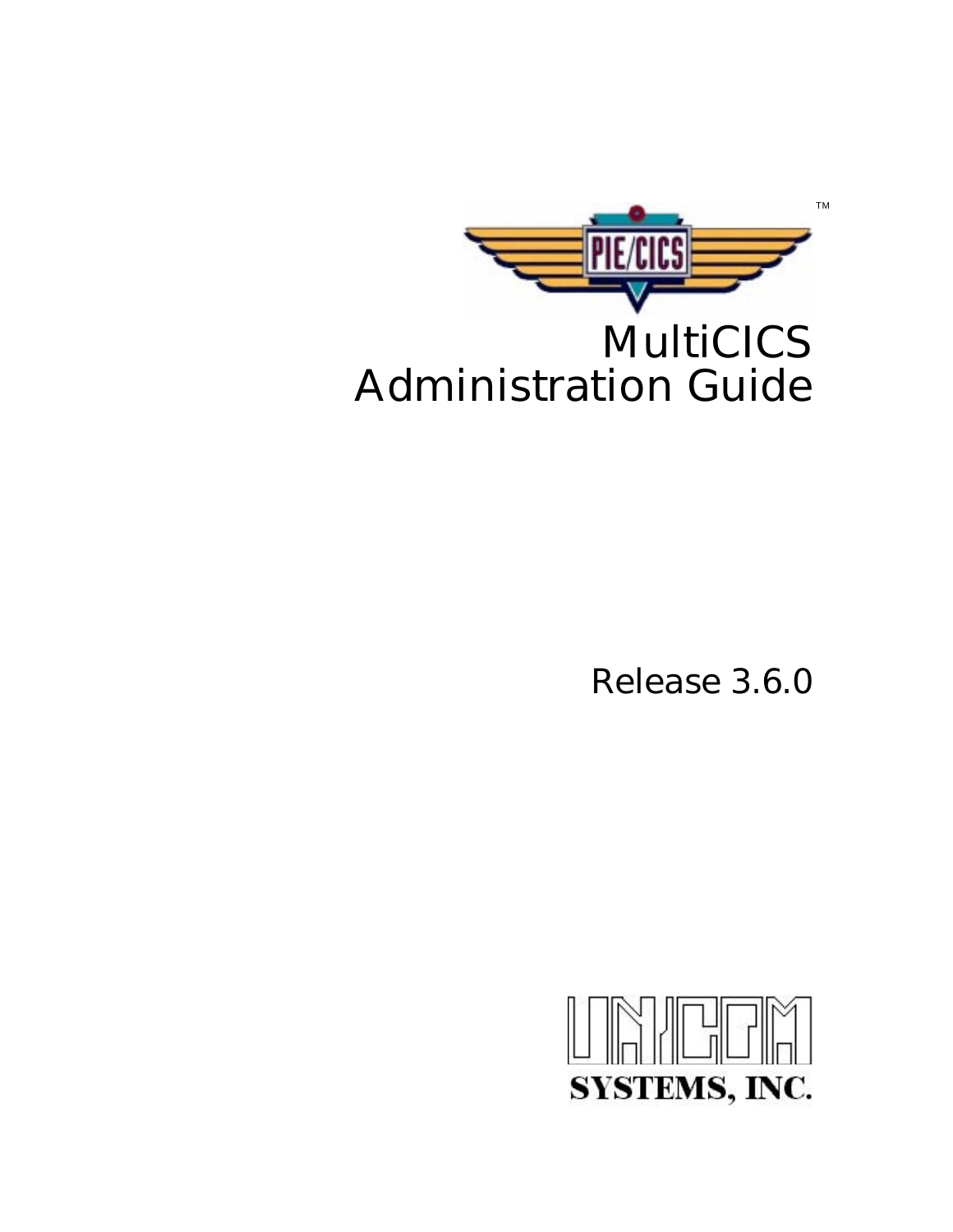

Release 3.6.0

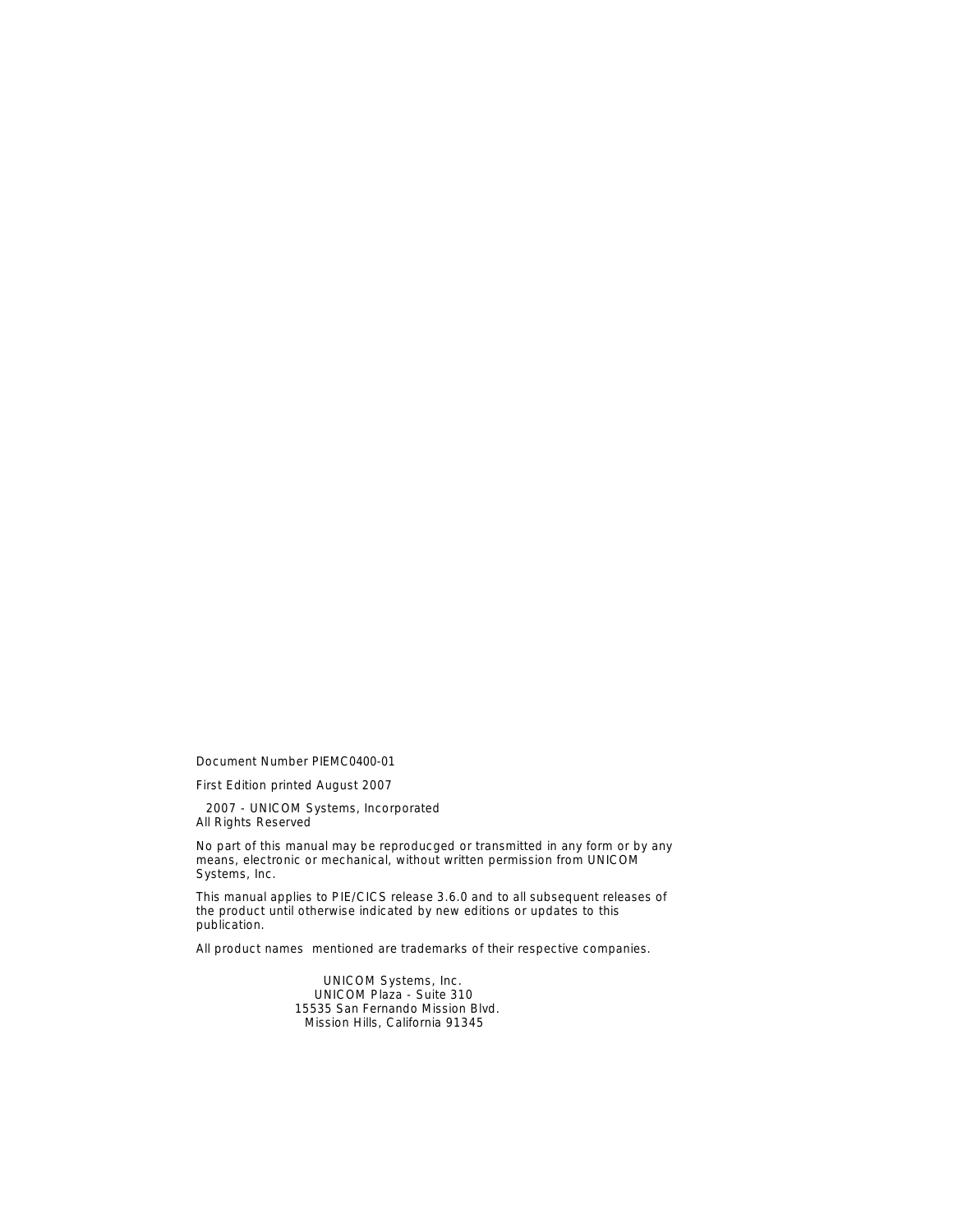Document Number PIEMC0400-01

First Edition printed August 2007

2007 - UNICOM Systems, Incorporated All Rights Reserved

No part of this manual may be reproducged or transmitted in any form or by any means, electronic or mechanical, without written permission from UNICOM Systems, Inc.

This manual applies to PIE/CICS release 3.6.0 and to all subsequent releases of the product until otherwise indicated by new editions or updates to this publication.

All product names mentioned are trademarks of their respective companies.

UNICOM Systems, Inc. UNICOM Plaza - Suite 310 15535 San Fernando Mission Blvd. Mission Hills, California 91345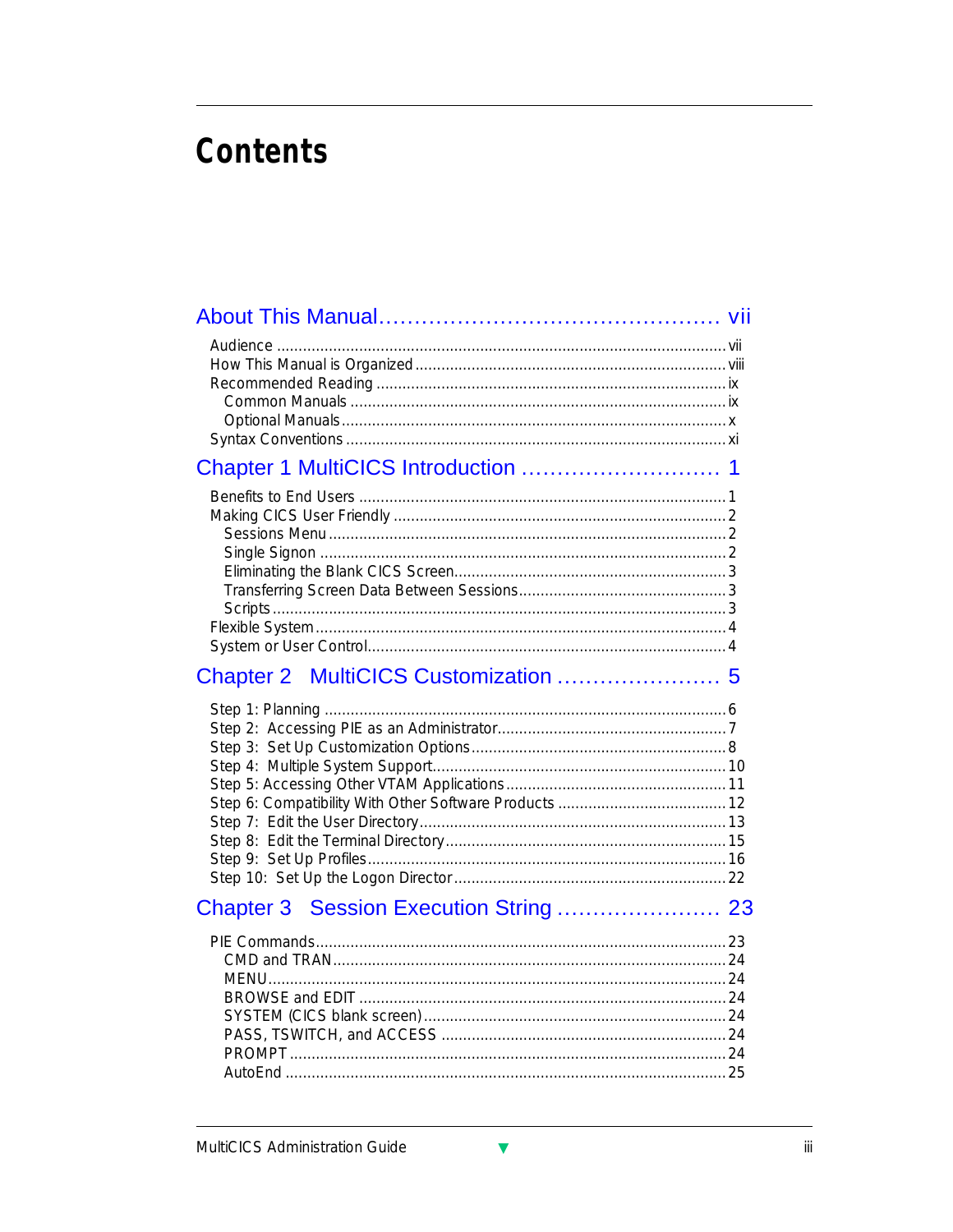# Contents

| Chapter 1 MultiCICS Introduction  1    |  |
|----------------------------------------|--|
|                                        |  |
| Chapter 2 MultiCICS Customization  5   |  |
|                                        |  |
| Chapter 3 Session Execution String  23 |  |
|                                        |  |

 $\overline{\textbf{v}}$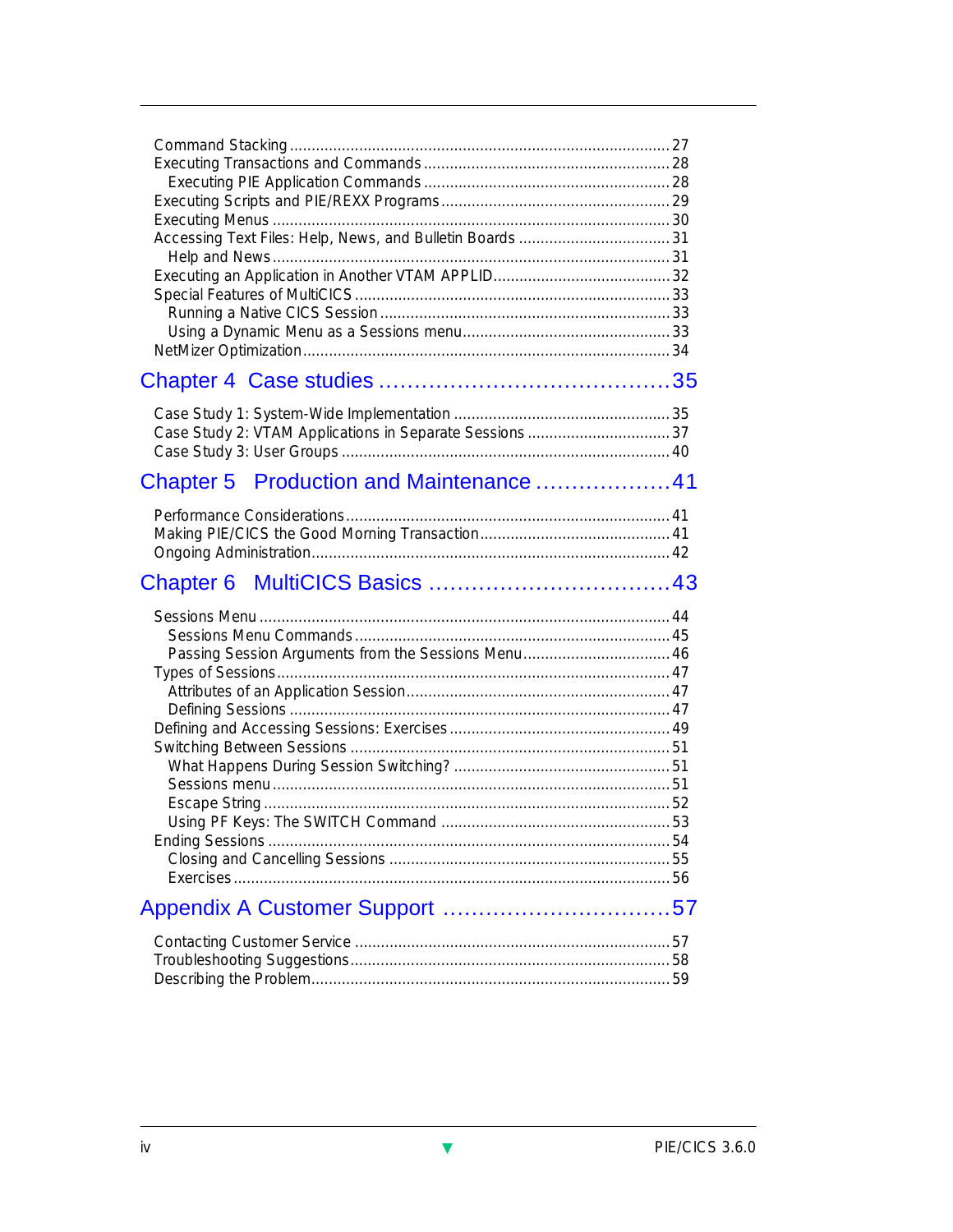| Accessing Text Files: Help, News, and Bulletin Boards 31 |  |
|----------------------------------------------------------|--|
|                                                          |  |
| Case Study 2: VTAM Applications in Separate Sessions  37 |  |
| Chapter 5 Production and Maintenance 41                  |  |
|                                                          |  |
|                                                          |  |
|                                                          |  |
| Passing Session Arguments from the Sessions Menu 46      |  |
|                                                          |  |

 $\blacktriangledown$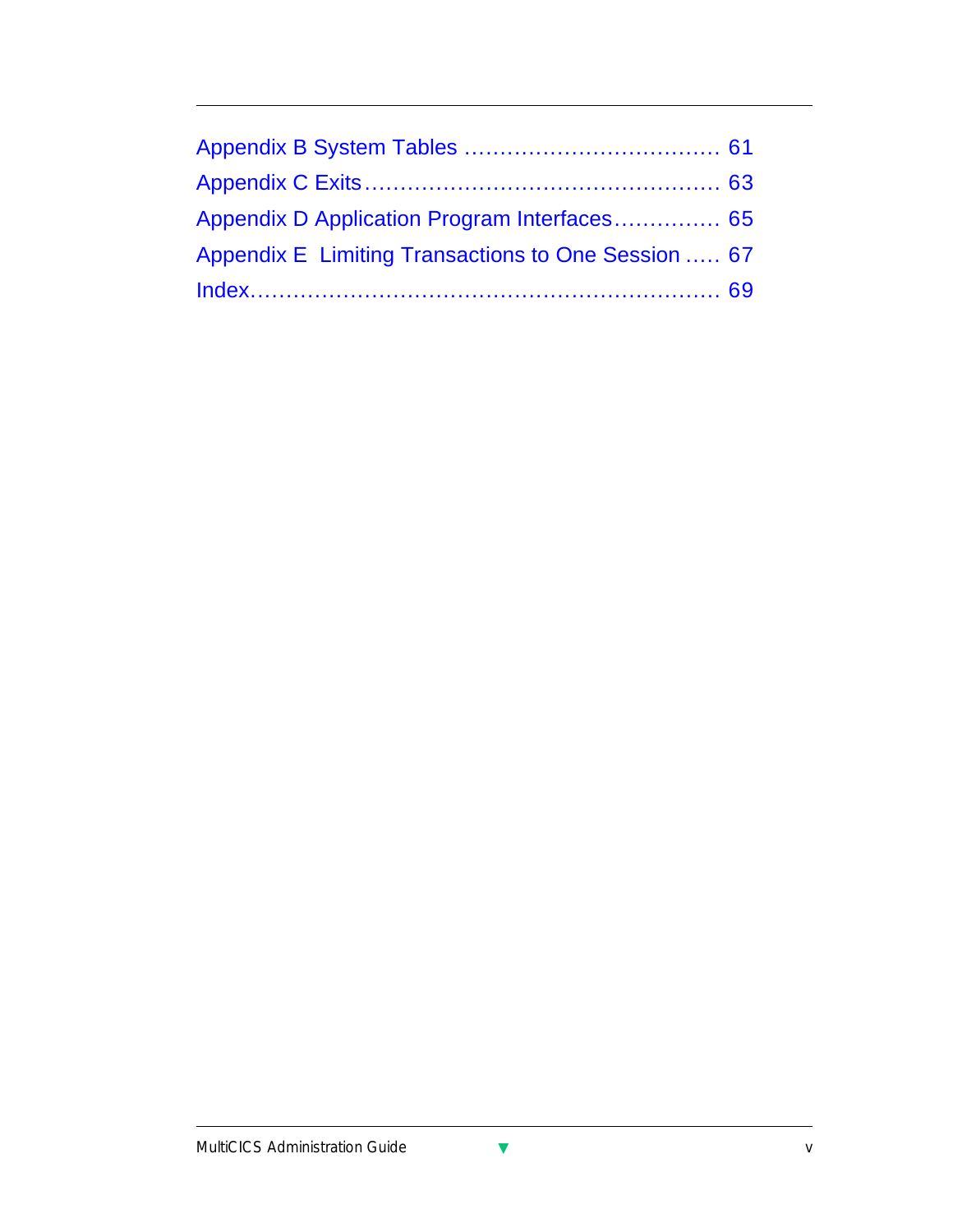| Appendix D Application Program Interfaces 65        |  |
|-----------------------------------------------------|--|
| Appendix E Limiting Transactions to One Session  67 |  |
|                                                     |  |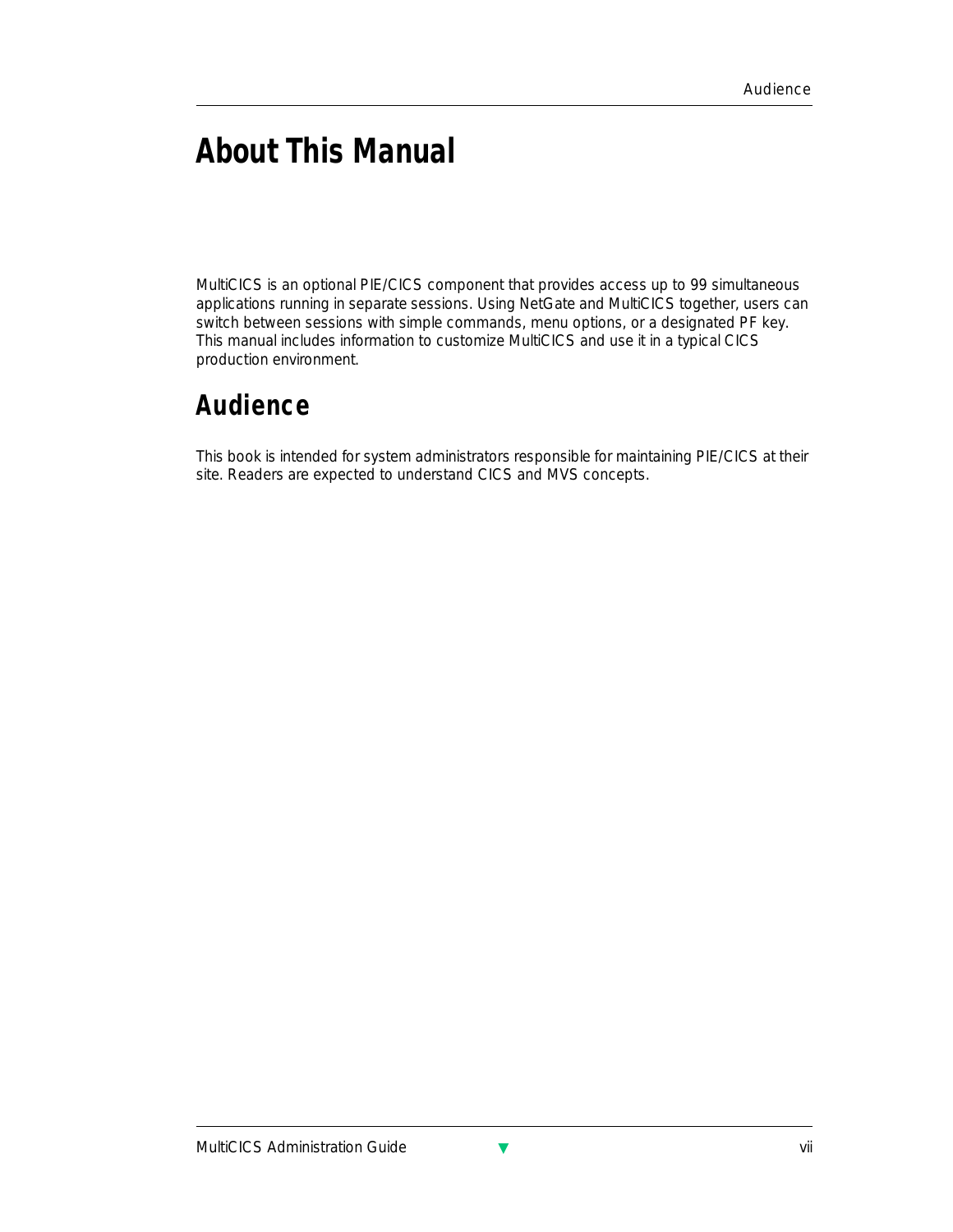# <span id="page-6-0"></span>**About This Manual**

MultiCICS is an optional PIE/CICS component that provides access up to 99 simultaneous applications running in separate sessions. Using NetGate and MultiCICS together, users can switch between sessions with simple commands, menu options, or a designated PF key. This manual includes information to customize MultiCICS and use it in a typical CICS production environment.

### <span id="page-6-1"></span>**Audience**

This book is intended for system administrators responsible for maintaining PIE/CICS at their site. Readers are expected to understand CICS and MVS concepts.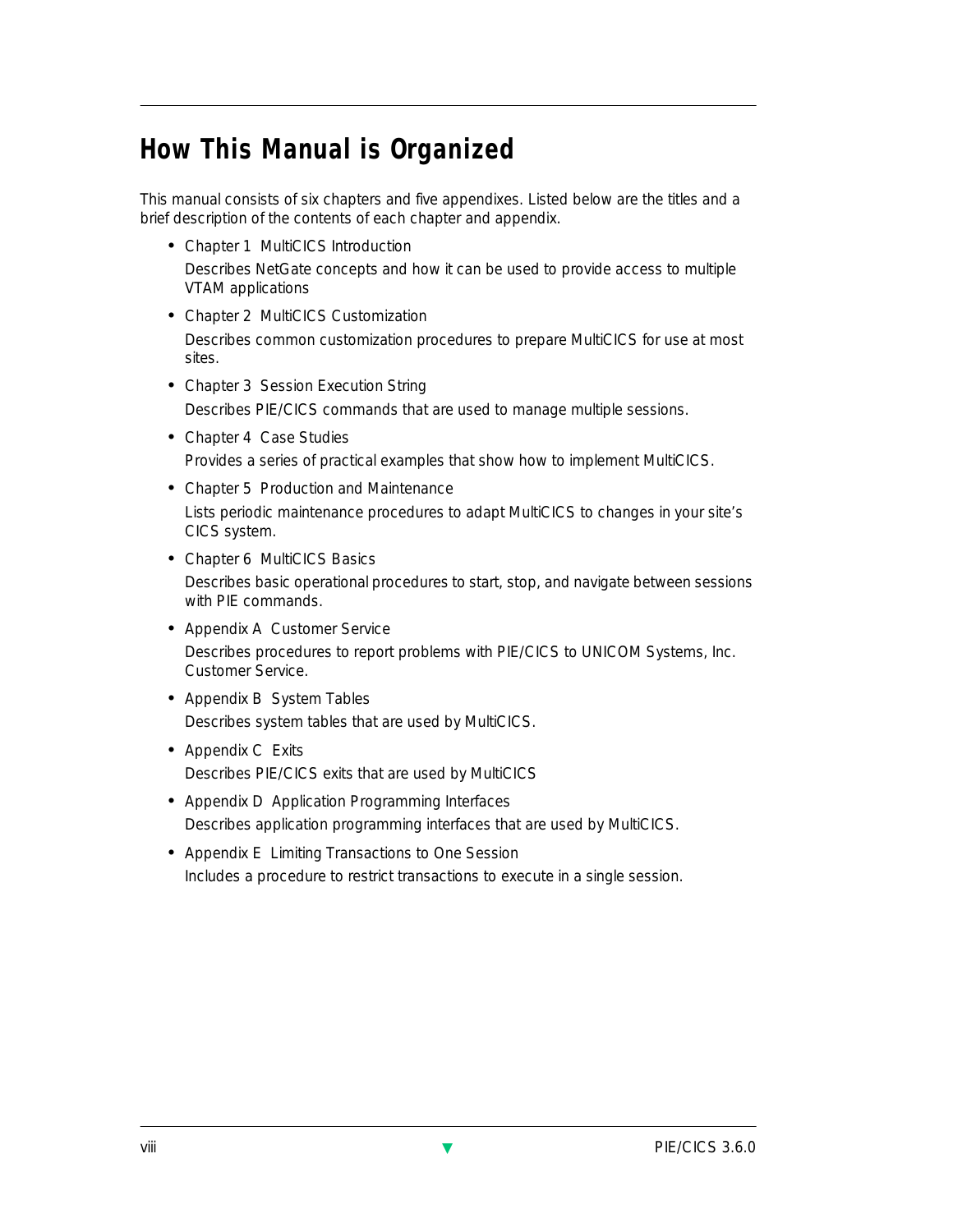# <span id="page-7-0"></span>**How This Manual is Organized**

This manual consists of six chapters and five appendixes. Listed below are the titles and a brief description of the contents of each chapter and appendix.

**•** Chapter 1 MultiCICS Introduction

Describes NetGate concepts and how it can be used to provide access to multiple VTAM applications

- **•** Chapter 2 MultiCICS Customization Describes common customization procedures to prepare MultiCICS for use at most sites.
- **•** Chapter 3 Session Execution String Describes PIE/CICS commands that are used to manage multiple sessions.
- **•** Chapter 4 Case Studies Provides a series of practical examples that show how to implement MultiCICS.
- **•** Chapter 5 Production and Maintenance Lists periodic maintenance procedures to adapt MultiCICS to changes in your site's CICS system.
- **•** Chapter 6 MultiCICS Basics Describes basic operational procedures to start, stop, and navigate between sessions with PIE commands.
- **•** Appendix A Customer Service Describes procedures to report problems with PIE/CICS to UNICOM Systems, Inc. Customer Service.
- **•** Appendix B System Tables Describes system tables that are used by MultiCICS.
- **•** Appendix C Exits Describes PIE/CICS exits that are used by MultiCICS
- **•** Appendix D Application Programming Interfaces Describes application programming interfaces that are used by MultiCICS.
- **•** Appendix E Limiting Transactions to One Session Includes a procedure to restrict transactions to execute in a single session.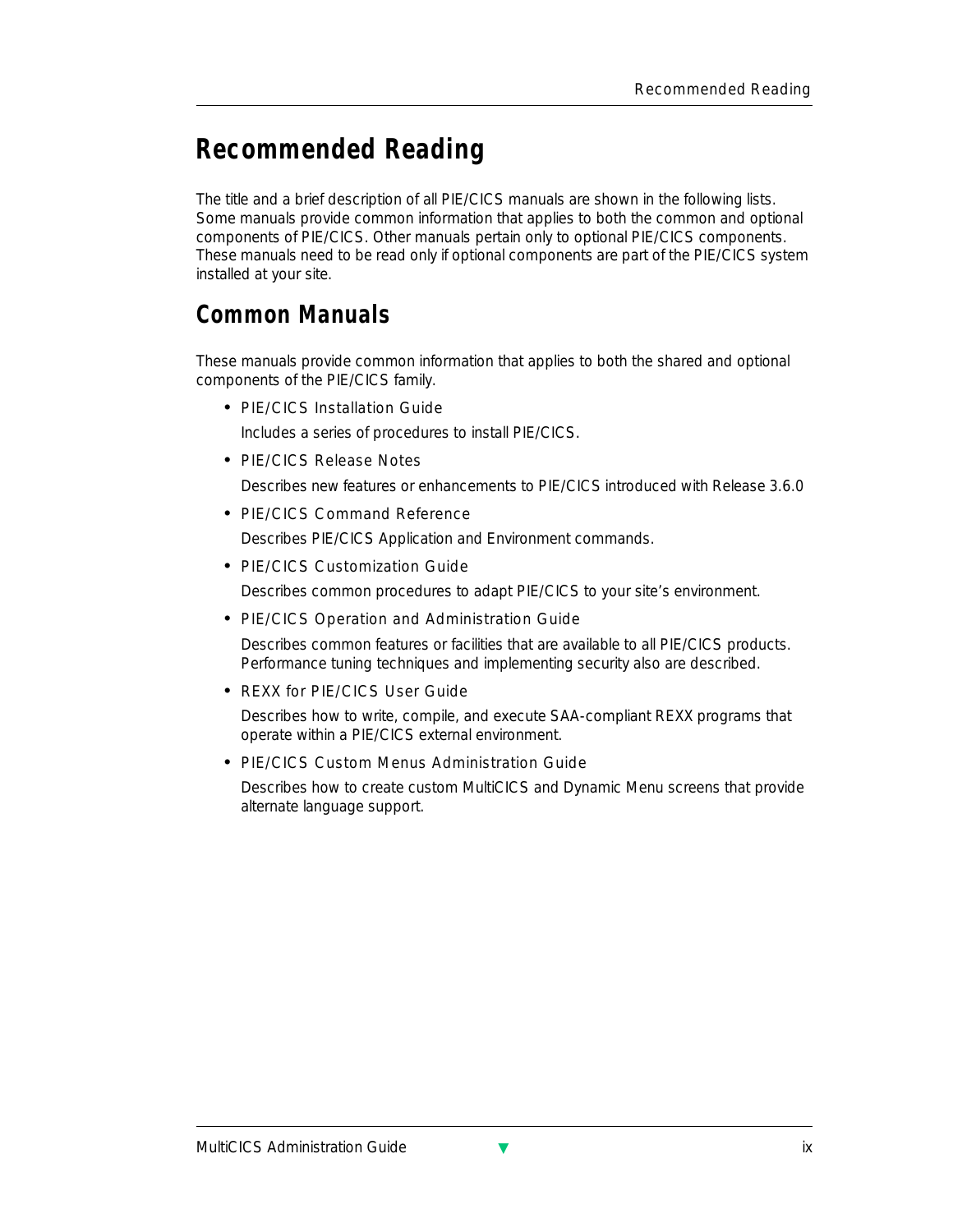# <span id="page-8-0"></span>**Recommended Reading**

The title and a brief description of all PIE/CICS manuals are shown in the following lists. Some manuals provide common information that applies to both the common and optional components of PIE/CICS. Other manuals pertain only to optional PIE/CICS components. These manuals need to be read only if optional components are part of the PIE/CICS system installed at your site.

### <span id="page-8-1"></span>**Common Manuals**

These manuals provide common information that applies to both the shared and optional components of the PIE/CICS family.

**•** *PIE/CICS Installation Guide*

Includes a series of procedures to install PIE/CICS.

- **•** *PIE/CICS Release Notes* Describes new features or enhancements to PIE/CICS introduced with Release 3.6.0
- **•** *PIE/CICS Command Reference* Describes PIE/CICS Application and Environment commands.
- **•** *PIE/CICS Customization Guide*

Describes common procedures to adapt PIE/CICS to your site's environment.

**•** *PIE/CICS Operation and Administration Guide*

Describes common features or facilities that are available to all PIE/CICS products. Performance tuning techniques and implementing security also are described.

**•** *REXX for PIE/CICS User Guide*

Describes how to write, compile, and execute SAA-compliant REXX programs that operate within a PIE/CICS external environment.

**•** *PIE/CICS Custom Menus Administration Guide*

Describes how to create custom MultiCICS and Dynamic Menu screens that provide alternate language support.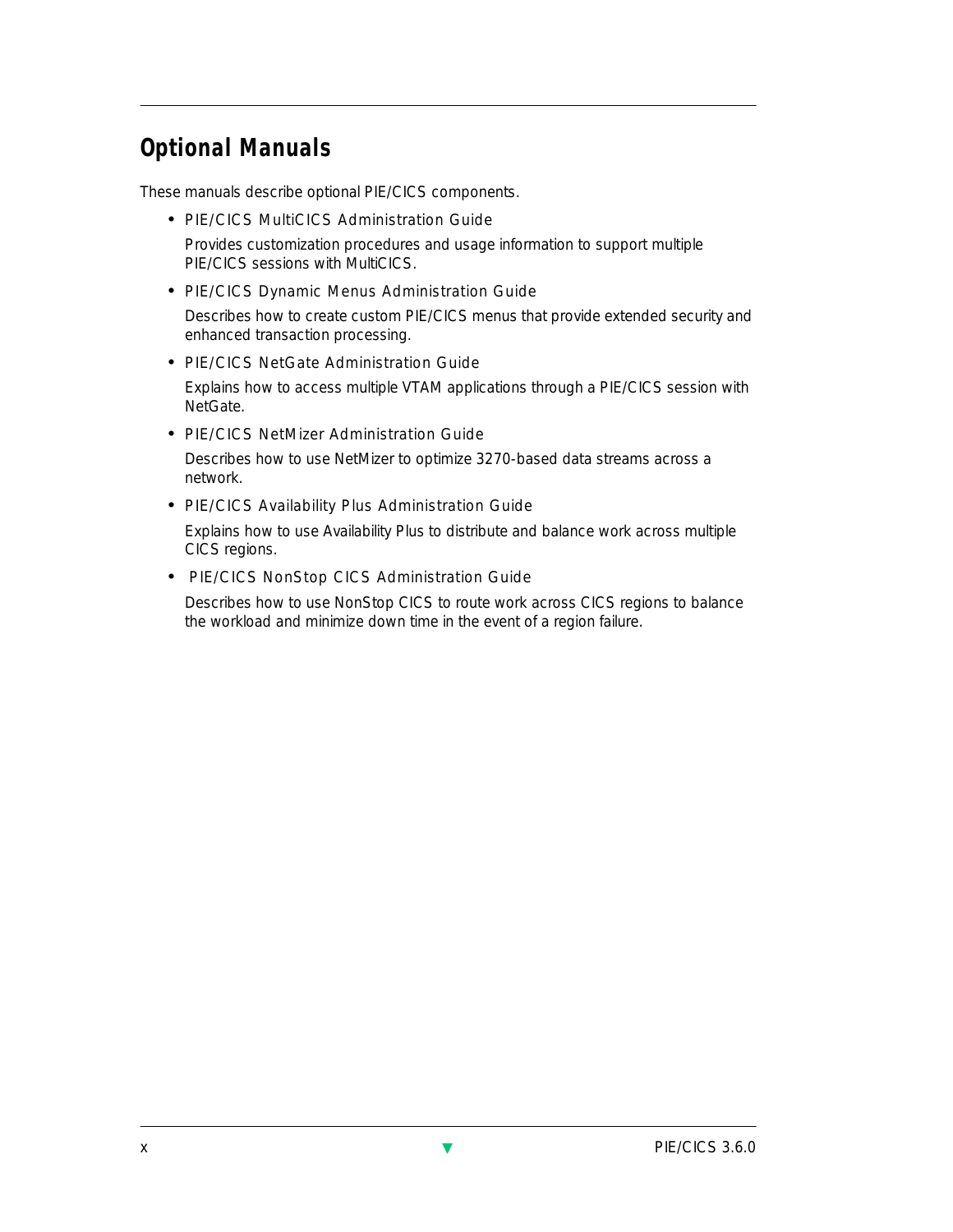### <span id="page-9-0"></span>**Optional Manuals**

These manuals describe optional PIE/CICS components.

**•** *PIE/CICS MultiCICS Administration Guide*

Provides customization procedures and usage information to support multiple PIE/CICS sessions with MultiCICS.

- **•** *PIE/CICS Dynamic Menus Administration Guide* Describes how to create custom PIE/CICS menus that provide extended security and enhanced transaction processing.
- **•** *PIE/CICS NetGate Administration Guide*

Explains how to access multiple VTAM applications through a PIE/CICS session with NetGate.

- **•** *PIE/CICS NetMizer Administration Guide* Describes how to use NetMizer to optimize 3270-based data streams across a network.
- **•** *PIE/CICS Availability Plus Administration Guide*

Explains how to use Availability Plus to distribute and balance work across multiple CICS regions.

**•** *PIE/CICS NonStop CICS Administration Guide*

Describes how to use NonStop CICS to route work across CICS regions to balance the workload and minimize down time in the event of a region failure.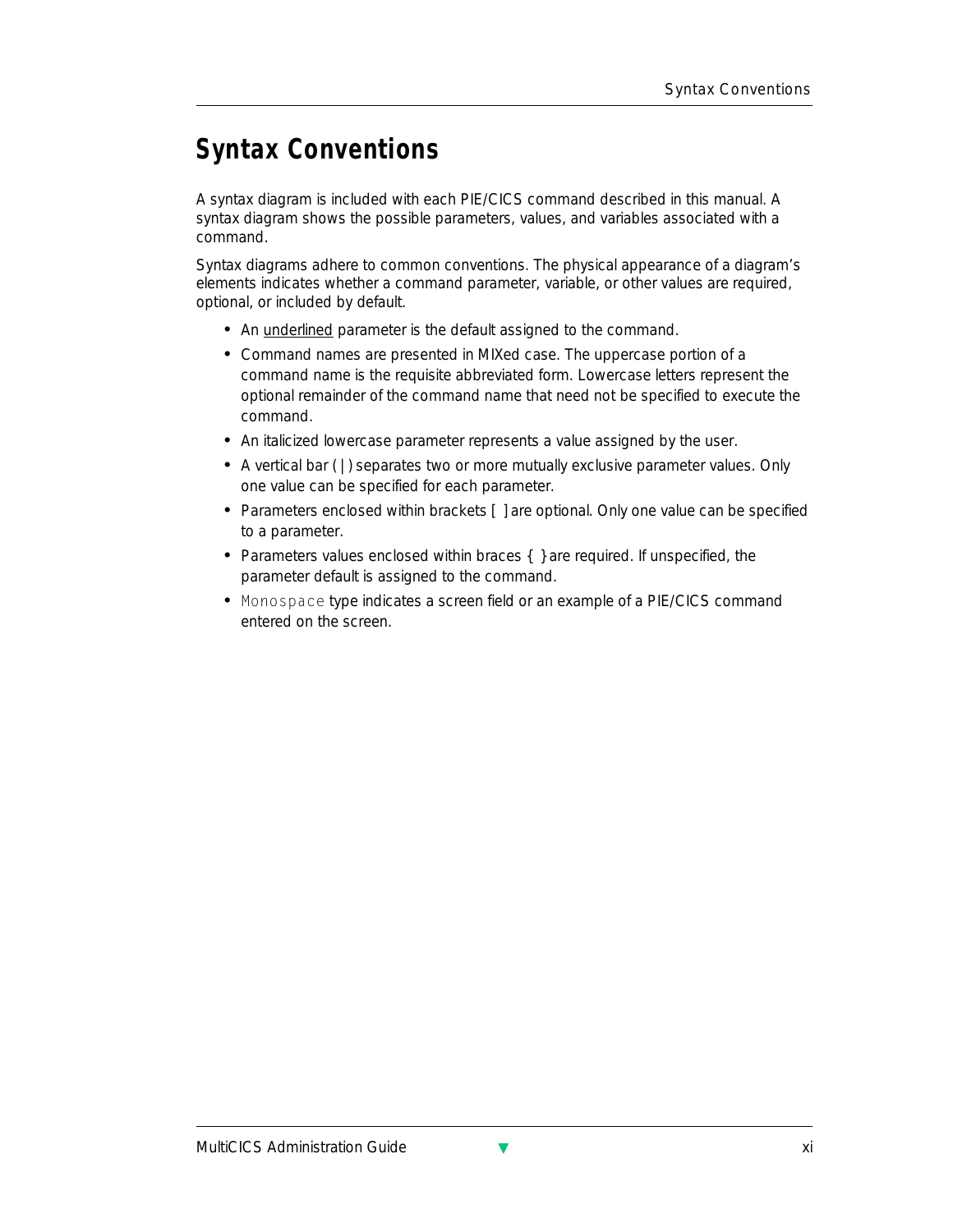# <span id="page-10-0"></span>**Syntax Conventions**

A syntax diagram is included with each PIE/CICS command described in this manual. A syntax diagram shows the possible parameters, values, and variables associated with a command.

Syntax diagrams adhere to common conventions. The physical appearance of a diagram's elements indicates whether a command parameter, variable, or other values are required, optional, or included by default.

- **•** An underlined parameter is the default assigned to the command.
- **•** Command names are presented in MIXed case. The uppercase portion of a command name is the requisite abbreviated form. Lowercase letters represent the optional remainder of the command name that need not be specified to execute the command.
- **•** An *italicized lowercase* parameter represents a value assigned by the user.
- A vertical bar (|) separates two or more mutually exclusive parameter values. Only one value can be specified for each parameter.
- **•** Parameters enclosed within brackets [ ] are optional. Only one value can be specified to a parameter.
- **•** Parameters values enclosed within braces { } are required. If unspecified, the parameter default is assigned to the command.
- **•** Monospace type indicates a screen field or an example of a PIE/CICS command entered on the screen.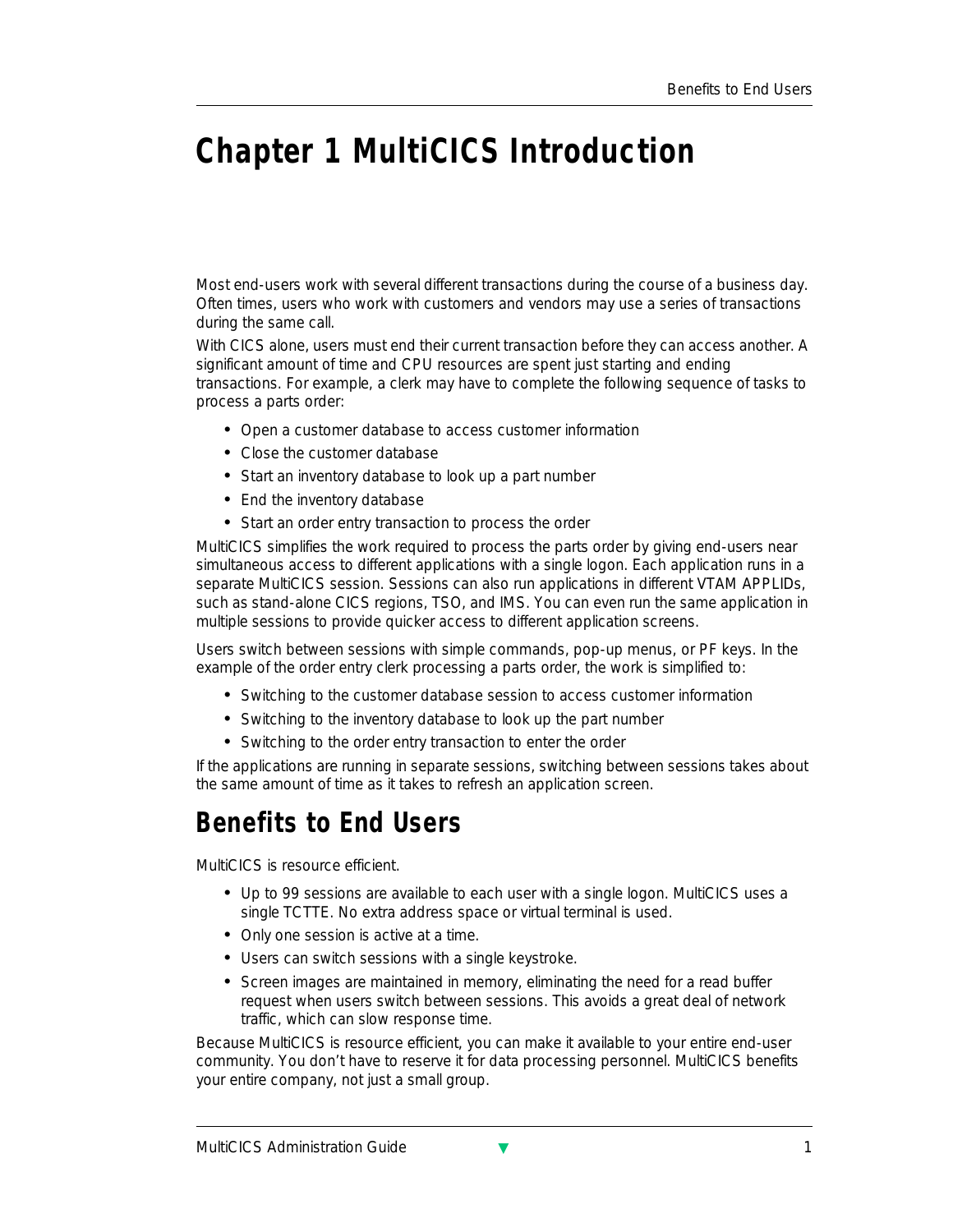# <span id="page-12-0"></span>**Chapter 1 MultiCICS Introduction**

Most end-users work with several different transactions during the course of a business day. Often times, users who work with customers and vendors may use a series of transactions during the same call.

With CICS alone, users must end their current transaction before they can access another. A significant amount of time and CPU resources are spent just starting and ending transactions. For example, a clerk may have to complete the following sequence of tasks to process a parts order:

- **•** Open a customer database to access customer information
- **•** Close the customer database
- **•** Start an inventory database to look up a part number
- **•** End the inventory database
- **•** Start an order entry transaction to process the order

MultiCICS simplifies the work required to process the parts order by giving end-users near simultaneous access to different applications with a single logon. Each application runs in a separate MultiCICS session. Sessions can also run applications in different VTAM APPLIDs, such as stand-alone CICS regions, TSO, and IMS. You can even run the same application in multiple sessions to provide quicker access to different application screens.

Users switch between sessions with simple commands, pop-up menus, or PF keys. In the example of the order entry clerk processing a parts order, the work is simplified to:

- **•** Switching to the customer database session to access customer information
- **•** Switching to the inventory database to look up the part number
- **•** Switching to the order entry transaction to enter the order

If the applications are running in separate sessions, switching between sessions takes about the same amount of time as it takes to refresh an application screen.

### <span id="page-12-1"></span>**Benefits to End Users**

MultiCICS is resource efficient.

- **•** Up to 99 sessions are available to each user with a single logon. MultiCICS uses a single TCTTE. No extra address space or virtual terminal is used.
- **•** Only one session is active at a time.
- **•** Users can switch sessions with a single keystroke.
- **•** Screen images are maintained in memory, eliminating the need for a read buffer request when users switch between sessions. This avoids a great deal of network traffic, which can slow response time.

Because MultiCICS is resource efficient, you can make it available to your entire end-user community. You don't have to reserve it for data processing personnel. MultiCICS benefits your entire company, not just a small group.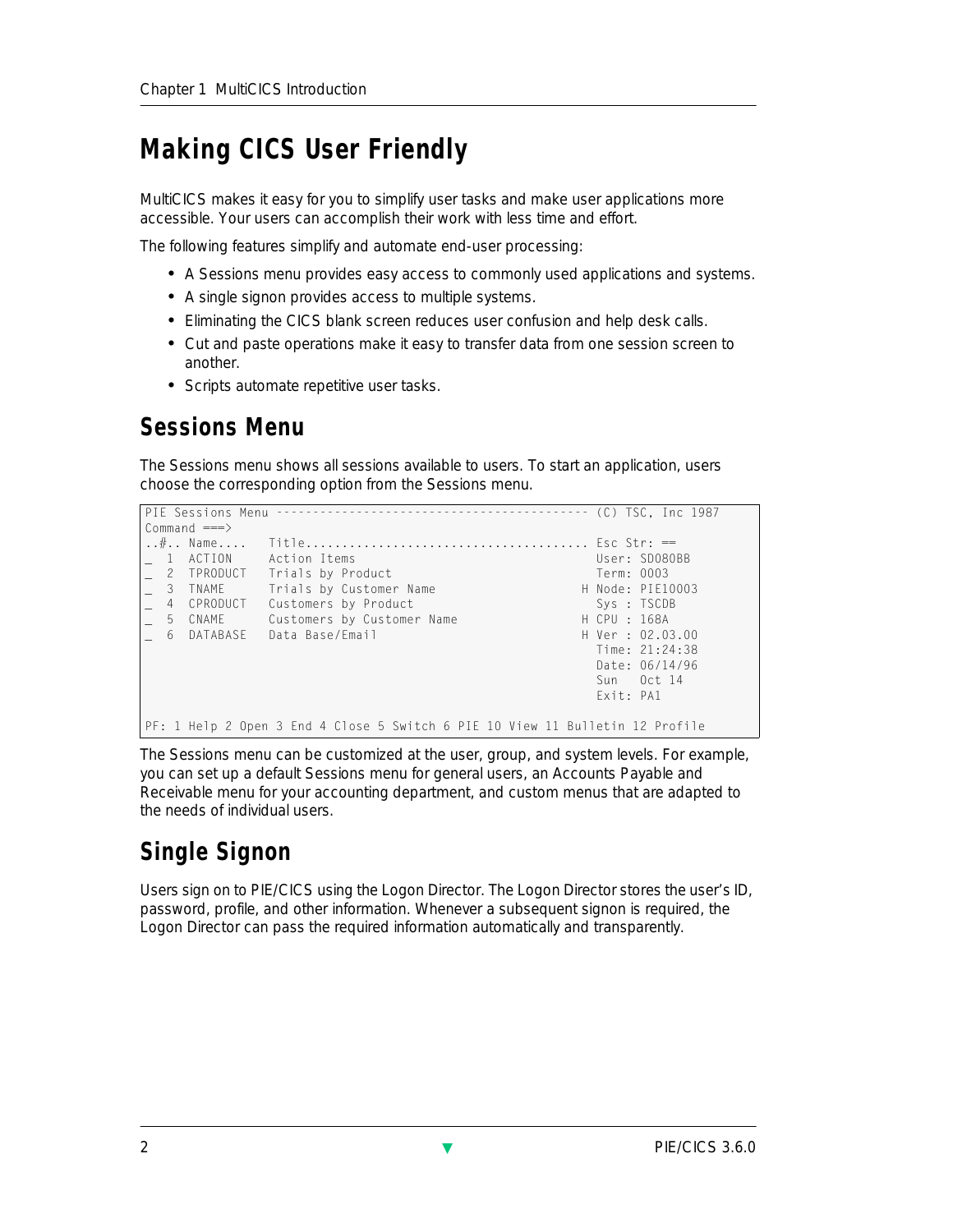# <span id="page-13-0"></span>**Making CICS User Friendly**

MultiCICS makes it easy for you to simplify user tasks and make user applications more accessible. Your users can accomplish their work with less time and effort.

The following features simplify and automate end-user processing:

- **•** A Sessions menu provides easy access to commonly used applications and systems.
- **•** A single signon provides access to multiple systems.
- **•** Eliminating the CICS blank screen reduces user confusion and help desk calls.
- **•** Cut and paste operations make it easy to transfer data from one session screen to another.
- **•** Scripts automate repetitive user tasks.

### <span id="page-13-1"></span>**Sessions Menu**

The Sessions menu shows all sessions available to users. To start an application, users choose the corresponding option from the Sessions menu.

|  | $\Gamma$ Command $\Rightarrow$  |                                                                               |                  |                |
|--|---------------------------------|-------------------------------------------------------------------------------|------------------|----------------|
|  |                                 |                                                                               |                  |                |
|  |                                 | 1 ACTION 6 Action Items                                                       | User: SD080BB    |                |
|  |                                 | _ 2 TPRODUCT Trials by Product                                                | Term: 0003       |                |
|  |                                 | 3 TNAME Trials by Customer Name                                               | H Node: PIE10003 |                |
|  | $\vert$ 4 <code>CPRODUCT</code> | Customers by Product                                                          | Sys : TSCDB      |                |
|  |                                 | - 5 CNAME Customers by Customer Name                                          | H CPU : 168A     |                |
|  |                                 | 6 DATABASE Data Base/Email                                                    | H Ver : 02.03.00 |                |
|  |                                 |                                                                               |                  | Time: 21:24:38 |
|  |                                 |                                                                               |                  | Date: 06/14/96 |
|  |                                 |                                                                               | Sun Oct 14       |                |
|  |                                 |                                                                               | Exit: PA1        |                |
|  |                                 |                                                                               |                  |                |
|  |                                 | PF: 1 Help 2 Open 3 End 4 Close 5 Switch 6 PIE 10 View 11 Bulletin 12 Profile |                  |                |

The Sessions menu can be customized at the user, group, and system levels. For example, you can set up a default Sessions menu for general users, an Accounts Payable and Receivable menu for your accounting department, and custom menus that are adapted to the needs of individual users.

# <span id="page-13-2"></span>**Single Signon**

Users sign on to PIE/CICS using the Logon Director. The Logon Director stores the user's ID, password, profile, and other information. Whenever a subsequent signon is required, the Logon Director can pass the required information automatically and transparently.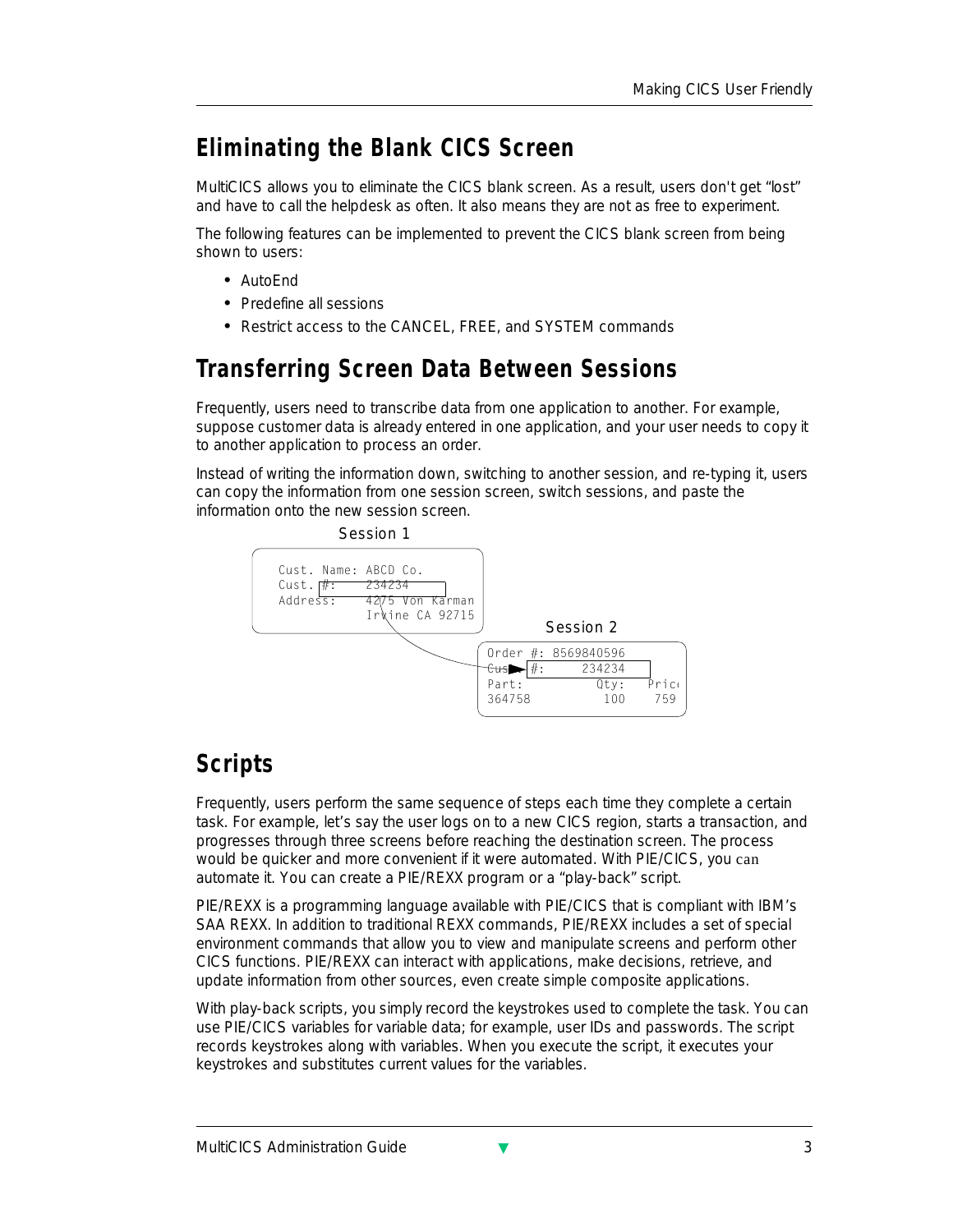### <span id="page-14-0"></span>**Eliminating the Blank CICS Screen**

MultiCICS allows you to eliminate the CICS blank screen. As a result, users don't get "lost" and have to call the helpdesk as often. It also means they are not as free to experiment.

The following features can be implemented to prevent the CICS blank screen from being shown to users:

- **•** AutoEnd
- **•** Predefine all sessions
- **•** Restrict access to the CANCEL, FREE, and SYSTEM commands

### <span id="page-14-1"></span>**Transferring Screen Data Between Sessions**

Frequently, users need to transcribe data from one application to another. For example, suppose customer data is already entered in one application, and your user needs to copy it to another application to process an order.

Instead of writing the information down, switching to another session, and re-typing it, users can copy the information from one session screen, switch sessions, and paste the information onto the new session screen.



### <span id="page-14-2"></span>**Scripts**

Frequently, users perform the same sequence of steps each time they complete a certain task. For example, let's say the user logs on to a new CICS region, starts a transaction, and progresses through three screens before reaching the destination screen. The process would be quicker and more convenient if it were automated. With PIE/CICS, you can automate it. You can create a PIE/REXX program or a "play-back" script.

PIE/REXX is a programming language available with PIE/CICS that is compliant with IBM's SAA REXX. In addition to traditional REXX commands, PIE/REXX includes a set of special environment commands that allow you to view and manipulate screens and perform other CICS functions. PIE/REXX can interact with applications, make decisions, retrieve, and update information from other sources, even create simple composite applications.

With play-back scripts, you simply record the keystrokes used to complete the task. You can use PIE/CICS variables for variable data; for example, user IDs and passwords. The script records keystrokes along with variables. When you execute the script, it executes your keystrokes and substitutes current values for the variables.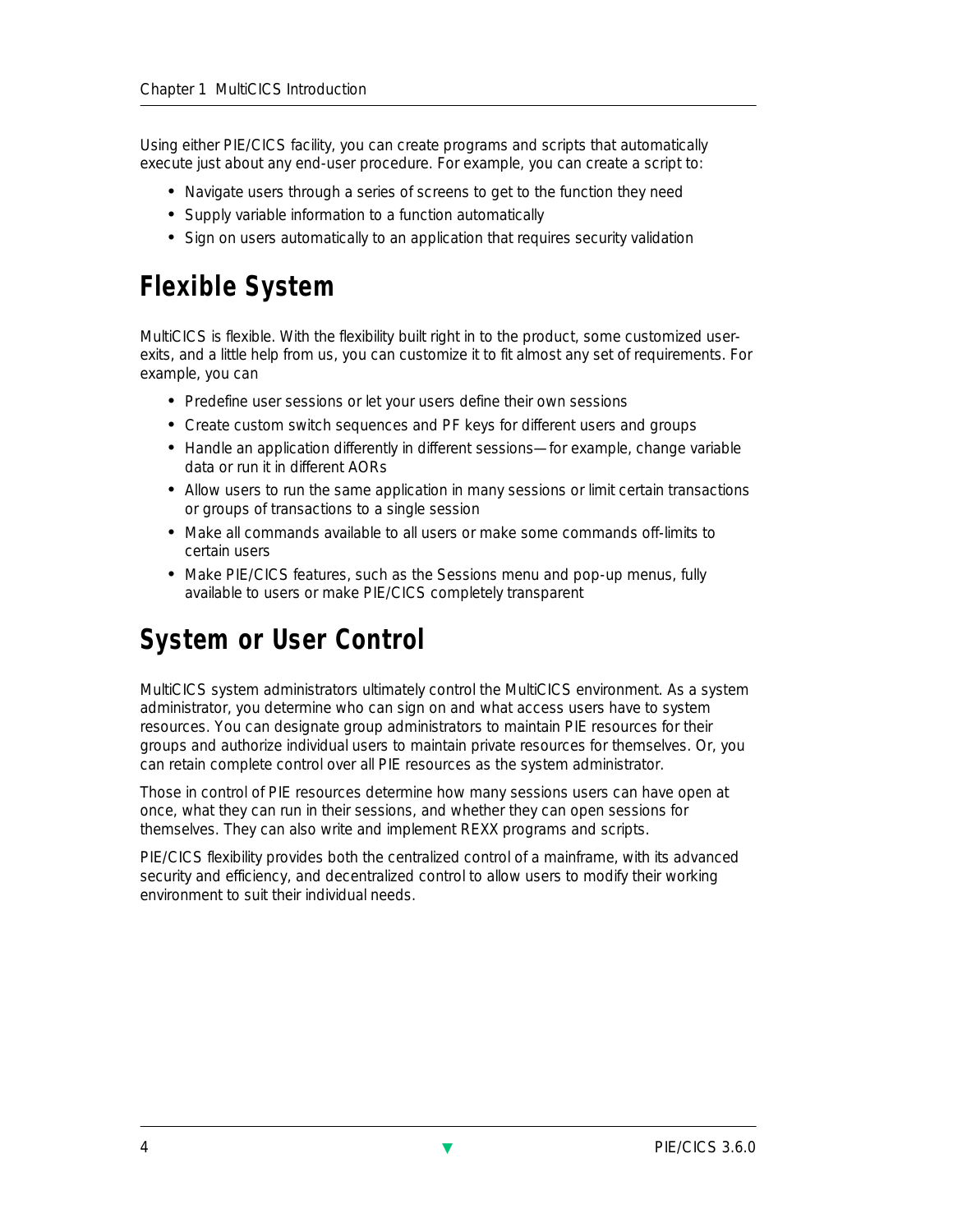Using either PIE/CICS facility, you can create programs and scripts that automatically execute just about any end-user procedure. For example, you can create a script to:

- **•** Navigate users through a series of screens to get to the function they need
- **•** Supply variable information to a function automatically
- **•** Sign on users automatically to an application that requires security validation

### <span id="page-15-0"></span>**Flexible System**

MultiCICS is flexible. With the flexibility built right in to the product, some customized userexits, and a little help from us, you can customize it to fit almost any set of requirements. For example, you can

- **•** Predefine user sessions or let your users define their own sessions
- **•** Create custom switch sequences and PF keys for different users and groups
- **•** Handle an application differently in different sessions—for example, change variable data or run it in different AORs
- **•** Allow users to run the same application in many sessions or limit certain transactions or groups of transactions to a single session
- **•** Make all commands available to all users or make some commands off-limits to certain users
- **•** Make PIE/CICS features, such as the Sessions menu and pop-up menus, fully available to users or make PIE/CICS completely transparent

### <span id="page-15-1"></span>**System or User Control**

MultiCICS system administrators ultimately control the MultiCICS environment. As a system administrator, you determine who can sign on and what access users have to system resources. You can designate group administrators to maintain PIE resources for their groups and authorize individual users to maintain private resources for themselves. Or, you can retain complete control over all PIE resources as the system administrator.

Those in control of PIE resources determine how many sessions users can have open at once, what they can run in their sessions, and whether they can open sessions for themselves. They can also write and implement REXX programs and scripts.

PIE/CICS flexibility provides both the centralized control of a mainframe, with its advanced security and efficiency, and decentralized control to allow users to modify their working environment to suit their individual needs.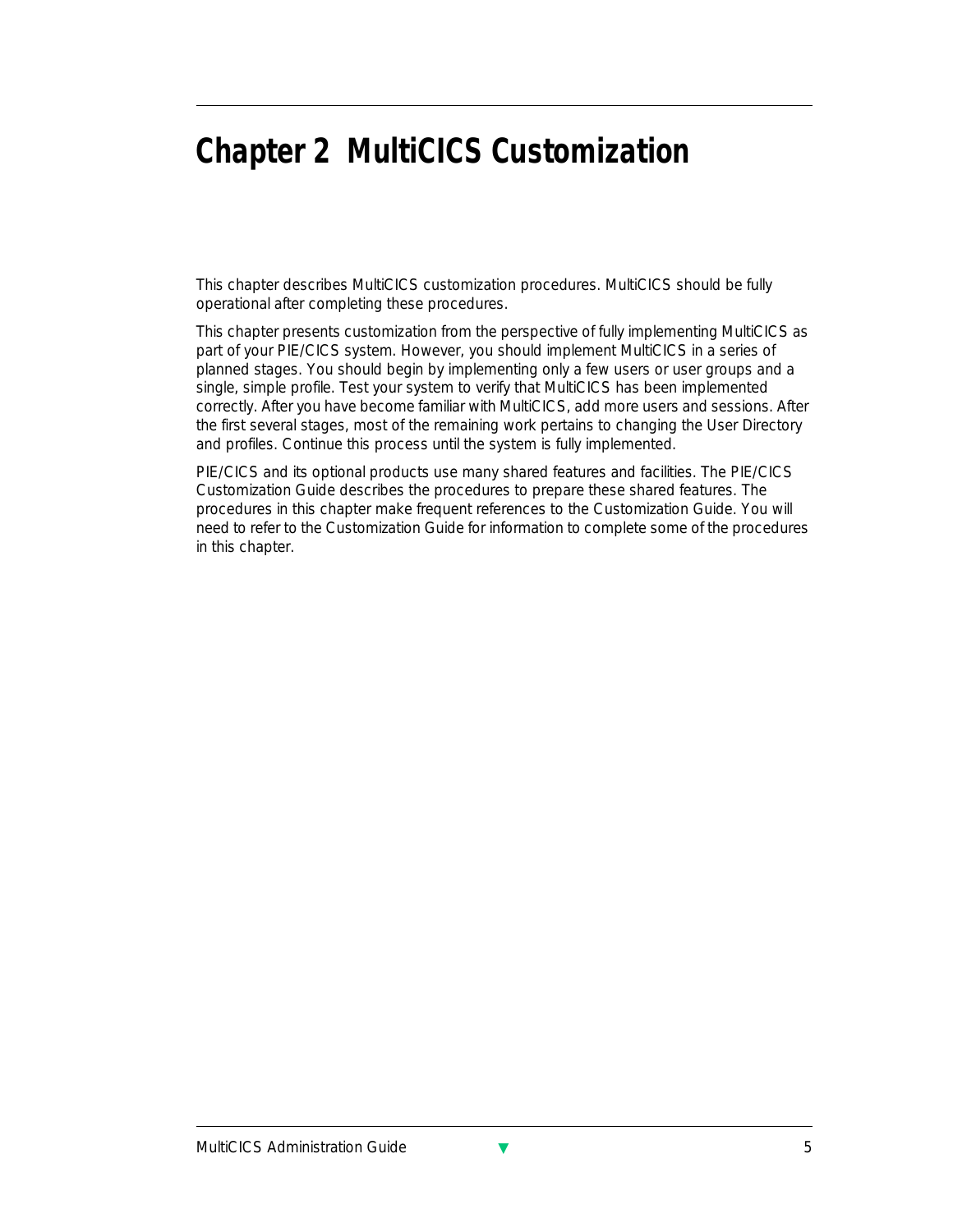# <span id="page-16-1"></span><span id="page-16-0"></span>**Chapter 2 MultiCICS Customization**

This chapter describes MultiCICS customization procedures. MultiCICS should be fully operational after completing these procedures.

This chapter presents customization from the perspective of fully implementing MultiCICS as part of your PIE/CICS system. However, you should implement MultiCICS in a series of planned stages. You should begin by implementing only a few users or user groups and a single, simple profile. Test your system to verify that MultiCICS has been implemented correctly. After you have become familiar with MultiCICS, add more users and sessions. After the first several stages, most of the remaining work pertains to changing the User Directory and profiles. Continue this process until the system is fully implemented.

PIE/CICS and its optional products use many shared features and facilities. The *PIE/CICS Customization Guide* describes the procedures to prepare these shared features. The procedures in this chapter make frequent references to the *Customization Guide*. You will need to refer to the *Customization Guide* for information to complete some of the procedures in this chapter.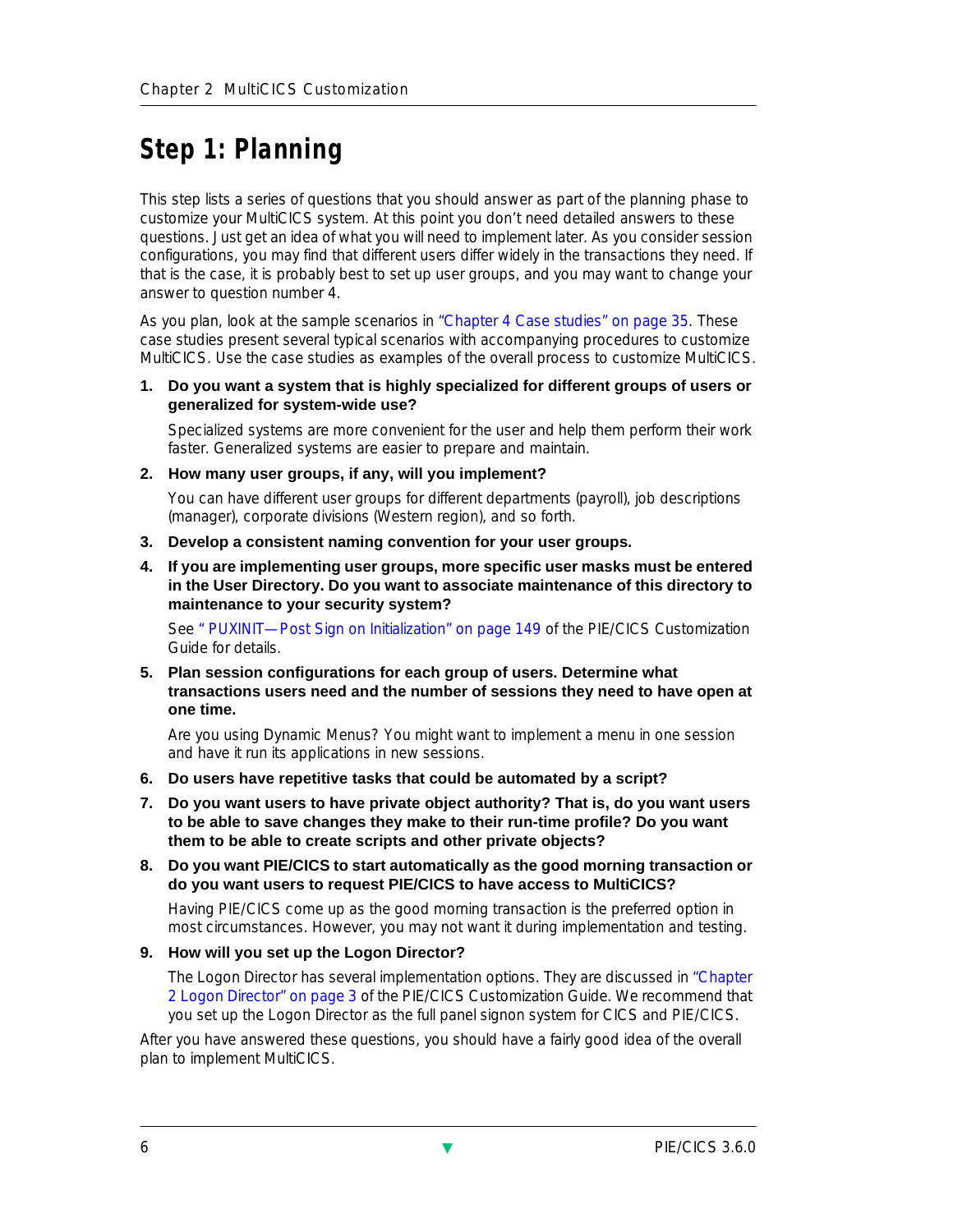# <span id="page-17-0"></span>**Step 1: Planning**

This step lists a series of questions that you should answer as part of the planning phase to customize your MultiCICS system. At this point you don't need detailed answers to these questions. Just get an idea of what you will need to implement later. As you consider session configurations, you may find that different users differ widely in the transactions they need. If that is the case, it is probably best to set up user groups, and you may want to change your answer to question number 4.

As you plan, look at the sample scenarios in ["Chapter 4 Case studies" on page 35.](#page-46-2) These case studies present several typical scenarios with accompanying procedures to customize MultiCICS. Use the case studies as examples of the overall process to customize MultiCICS.

#### **1. Do you want a system that is highly specialized for different groups of users or generalized for system-wide use?**

Specialized systems are more convenient for the user and help them perform their work faster. Generalized systems are easier to prepare and maintain.

#### **2. How many user groups, if any, will you implement?**

You can have different user groups for different departments (payroll), job descriptions (manager), corporate divisions (Western region), and so forth.

- **3. Develop a consistent naming convention for your user groups.**
- **4. If you are implementing user groups, more specific user masks must be entered in the User Directory. Do you want to associate maintenance of this directory to maintenance to your security system?**

See " PUXINIT—Post Sign on Initialization" on page 149 of the *PIE/CICS Customization Guide* for details.

**5. Plan session configurations for each group of users. Determine what transactions users need and the number of sessions they need to have open at one time.**

Are you using Dynamic Menus? You might want to implement a menu in one session and have it run its applications in new sessions.

- **6. Do users have repetitive tasks that could be automated by a script?**
- **7. Do you want users to have private object authority? That is, do you want users to be able to save changes they make to their run-time profile? Do you want them to be able to create scripts and other private objects?**
- **8. Do you want PIE/CICS to start automatically as the good morning transaction or do you want users to request PIE/CICS to have access to MultiCICS?**

Having PIE/CICS come up as the good morning transaction is the preferred option in most circumstances. However, you may not want it during implementation and testing.

**9. How will you set up the Logon Director?** 

The Logon Director has several implementation options. They are discussed in "Chapter 2 Logon Director" on page 3 of the *PIE/CICS Customization Guide*. We recommend that you set up the Logon Director as the full panel signon system for CICS and PIE/CICS.

After you have answered these questions, you should have a fairly good idea of the overall plan to implement MultiCICS.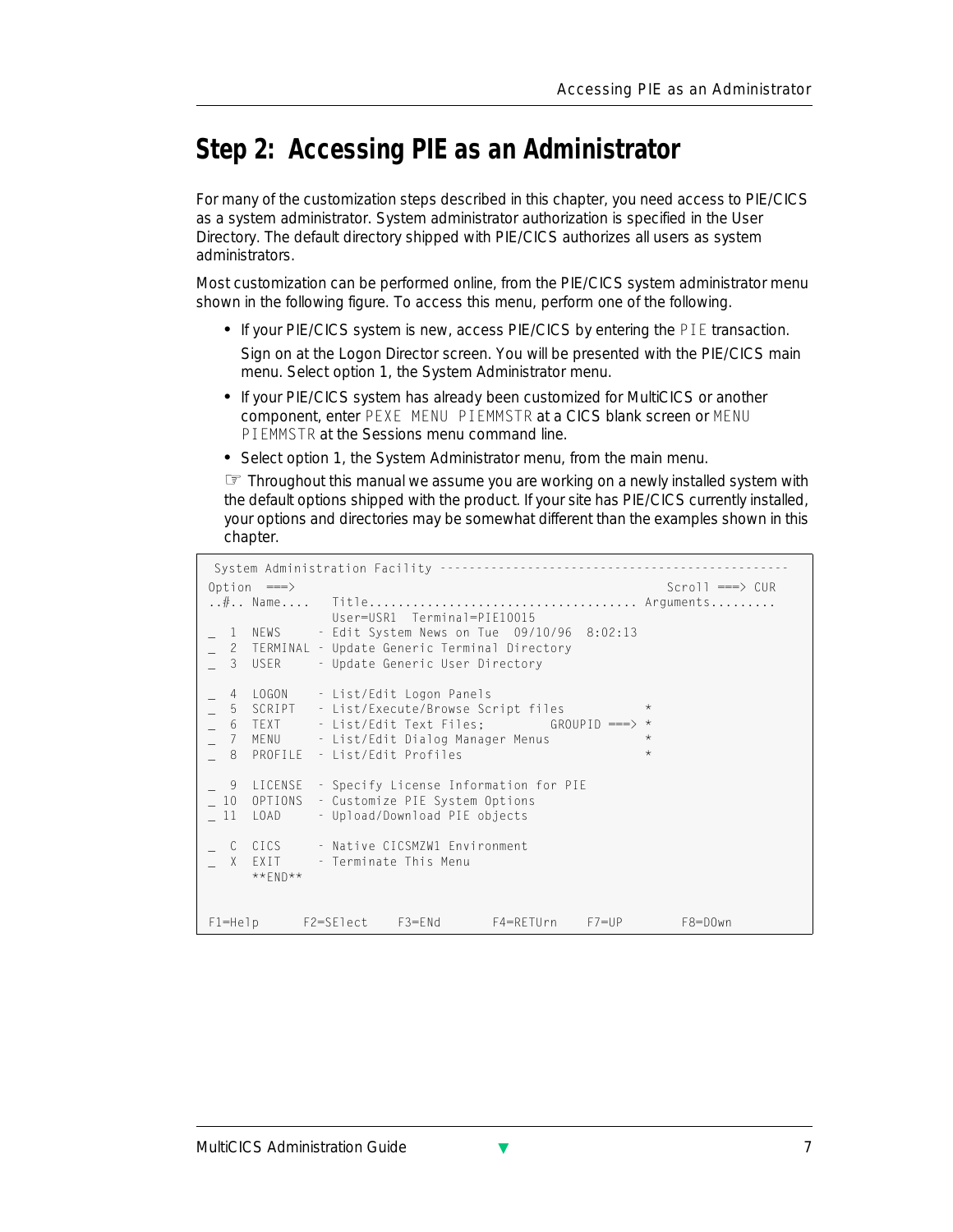### <span id="page-18-0"></span>**Step 2: Accessing PIE as an Administrator**

For many of the customization steps described in this chapter, you need access to PIE/CICS as a system administrator. System administrator authorization is specified in the User Directory. The default directory shipped with PIE/CICS authorizes all users as system administrators.

Most customization can be performed online, from the PIE/CICS system administrator menu shown in the following figure. To access this menu, perform one of the following.

- **•** If your PIE/CICS system is new, access PIE/CICS by entering the PIE transaction. Sign on at the Logon Director screen. You will be presented with the PIE/CICS main menu. Select option 1, the System Administrator menu.
- **•** If your PIE/CICS system has already been customized for MultiCICS or another component, enter PEXE MENU PIEMMSTR at a CICS blank screen or MENU PIEMMSTR at the Sessions menu command line.
- **•** Select option 1, the System Administrator menu, from the main menu.

☞ Throughout this manual we assume you are working on a newly installed system with the default options shipped with the product. If your site has PIE/CICS currently installed, your options and directories may be somewhat different than the examples shown in this chapter.

```
System Administration Facility ------------------------------------------------
 Option ===> Scroll ===> CUR 
 ..#.. Name.... Title..................................... Arguments......... 
 User=USR1 Terminal=PIE10015 
 _ 1 NEWS - Edit System News on Tue 09/10/96 8:02:13 
  2 TERMINAL - Update Generic Terminal Directory
  3 USER - Update Generic User Directory
  4 LOGON - List/Edit Logon Panels
  5 SCRIPT - List/Execute/Browse Script files
 _ 6 TEXT - List/Edit Text Files; GROUPID ===> * 
 _ 7 MENU - List/Edit Dialog Manager Menus * 
  8 PROFILE - List/Edit Profiles
  9 LICENSE - Specify License Information for PIE
 _ 10 OPTIONS - Customize PIE System Options 
 _ 11 LOAD - Upload/Download PIE objects 
  C CICS - Native CICSM7W1 Environment
  X EXIT - Terminate This Menu
     ***FND**
 F1=Help F2=SElect F3=ENd F4=RETUrn F7=UP F8=DOwn
```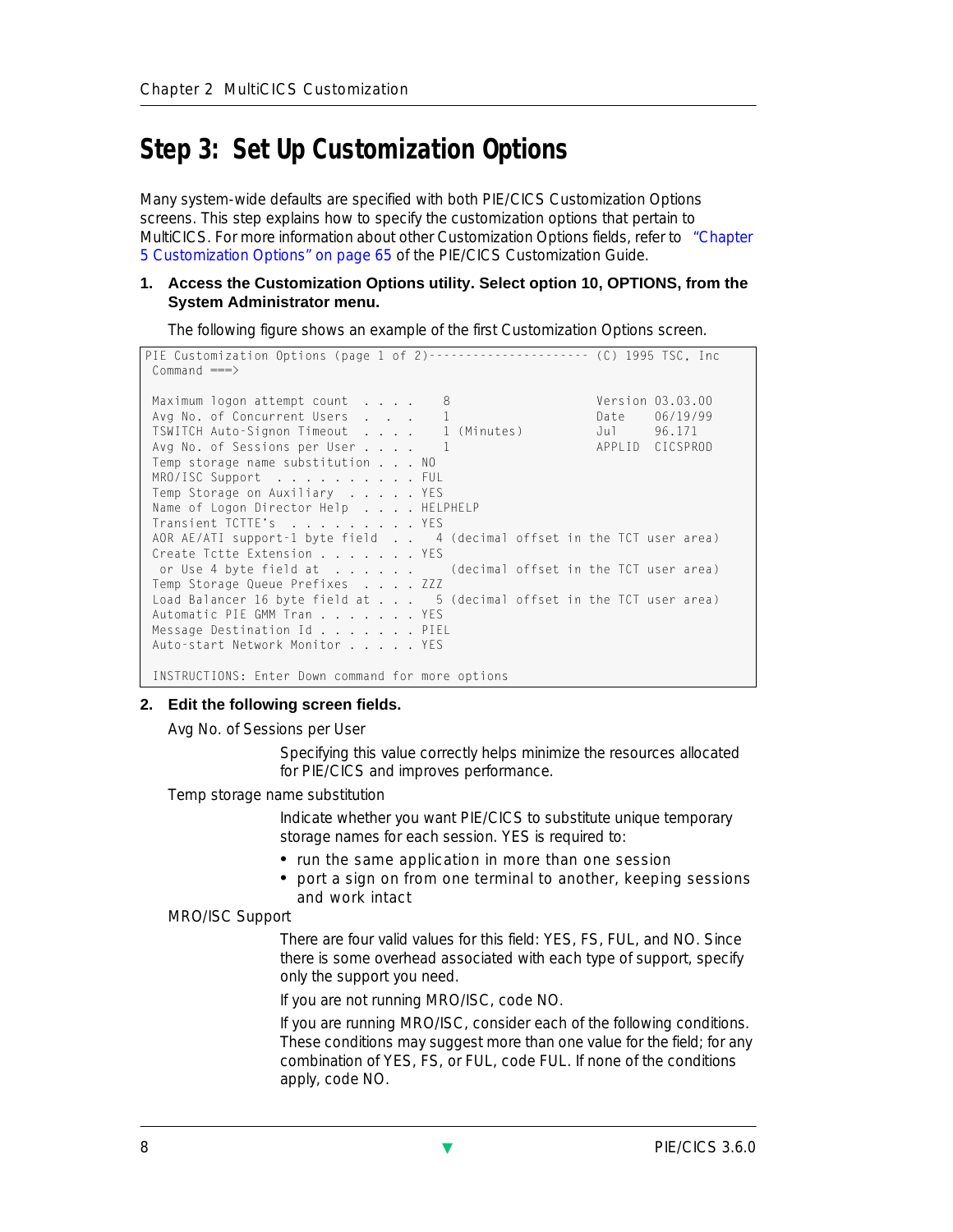## <span id="page-19-0"></span>**Step 3: Set Up Customization Options**

Many system-wide defaults are specified with both PIE/CICS Customization Options screens. This step explains how to specify the customization options that pertain to MultiCICS. For more information about other Customization Options fields, refer to "Chapter 5 Customization Options" on page 65 of the *PIE/CICS Customization Guide*.

#### **1. Access the Customization Options utility. Select option 10, OPTIONS, from the System Administrator menu.**

The following figure shows an example of the first Customization Options screen.

| PIE Customization Options (page 1 of 2)--------------------- (C) 1995 TSC, Inc<br>Command $\Rightarrow$                                                                                                                                                                                                        |  |
|----------------------------------------------------------------------------------------------------------------------------------------------------------------------------------------------------------------------------------------------------------------------------------------------------------------|--|
| Version 03.03.00<br>Maximum logon attempt count 8<br>Date 06/19/99<br>Avg No. of Concurrent Users 1<br>TSWITCH Auto-Signon Timeout 1 (Minutes)<br>Jul 96.171<br>APPLID CICSPROD<br>Avg No. of Sessions per User 1<br>Temp storage name substitution NO<br>MRO/ISC Support FUL<br>Temp Storage on Auxiliary YES |  |
| Name of Logon Director Help HELPHELP                                                                                                                                                                                                                                                                           |  |
| Transient TCTTE's YES                                                                                                                                                                                                                                                                                          |  |
| AOR AE/ATI support-1 byte field 4 (decimal offset in the TCT user area)                                                                                                                                                                                                                                        |  |
| Create Totte Extension YES                                                                                                                                                                                                                                                                                     |  |
| or Use 4 byte field at (decimal offset in the TCT user area)                                                                                                                                                                                                                                                   |  |
| Temp Storage Queue Prefixes ZZZ<br>Load Balancer 16 byte field at 5 (decimal offset in the TCT user area)                                                                                                                                                                                                      |  |
| Automatic PIE GMM Tran YES                                                                                                                                                                                                                                                                                     |  |
| Message Destination Id PIEL                                                                                                                                                                                                                                                                                    |  |
| Auto-start Network Monitor YES                                                                                                                                                                                                                                                                                 |  |
| INSTRUCTIONS: Enter Down command for more options                                                                                                                                                                                                                                                              |  |

### **2. Edit the following screen fields.**

Avg No. of Sessions per User

Specifying this value correctly helps minimize the resources allocated for PIE/CICS and improves performance.

Temp storage name substitution

Indicate whether you want PIE/CICS to substitute unique temporary storage names for each session. YES is required to:

- **•** run the same application in more than one session
- **•** port a sign on from one terminal to another, keeping sessions and work intact

MRO/ISC Support

There are four valid values for this field: YES, FS, FUL, and NO. Since there is some overhead associated with each type of support, specify only the support you need.

If you are not running MRO/ISC, code NO.

If you are running MRO/ISC, consider each of the following conditions. These conditions may suggest more than one value for the field; for any combination of YES, FS, or FUL, code FUL. If none of the conditions apply, code NO.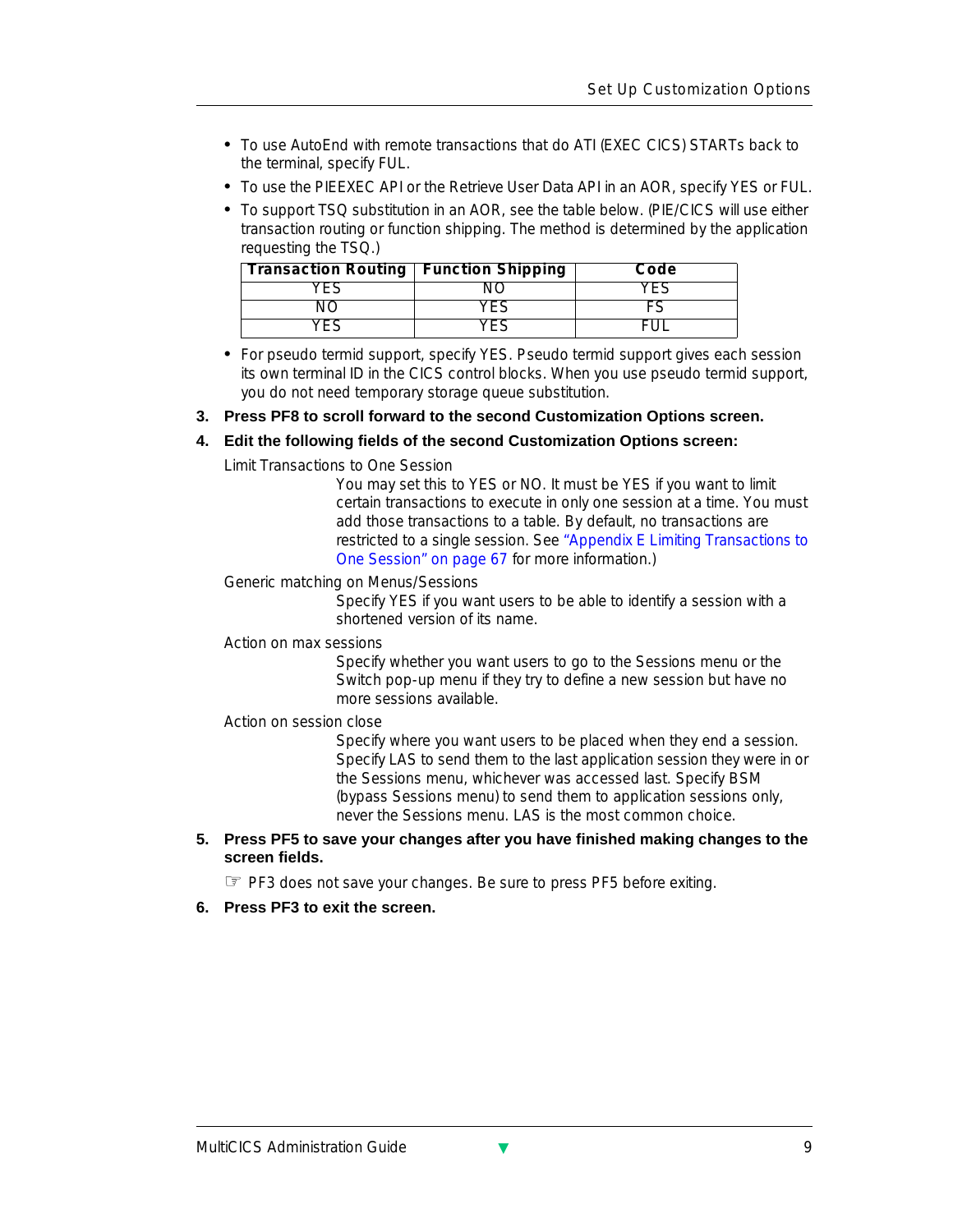- **•** To use AutoEnd with remote transactions that do ATI (EXEC CICS) STARTs back to the terminal, specify FUL.
- **•** To use the PIEEXEC API or the Retrieve User Data API in an AOR, specify YES or FUL.
- **•** To support TSQ substitution in an AOR, see the table below. (PIE/CICS will use either transaction routing or function shipping. The method is determined by the application requesting the TSQ.)

| <b>Transaction Routing   Function Shipping</b> | Code |
|------------------------------------------------|------|
|                                                |      |
|                                                |      |
|                                                |      |

- **•** For pseudo termid support, specify YES. Pseudo termid support gives each session its own terminal ID in the CICS control blocks. When you use pseudo termid support, you do not need temporary storage queue substitution.
- **3. Press PF8 to scroll forward to the second Customization Options screen.**

### **4. Edit the following fields of the second Customization Options screen:**

Limit Transactions to One Session

You may set this to YES or NO. It must be YES if you want to limit certain transactions to execute in only one session at a time. You must add those transactions to a table. By default, no transactions are restricted to a single session. See ["Appendix E Limiting Transactions to](#page-78-1)  [One Session" on page 67](#page-78-1) for more information.)

#### Generic matching on Menus/Sessions

Specify YES if you want users to be able to identify a session with a shortened version of its name.

### Action on max sessions

Specify whether you want users to go to the Sessions menu or the Switch pop-up menu if they try to define a new session but have no more sessions available.

### Action on session close

Specify where you want users to be placed when they end a session. Specify LAS to send them to the last application session they were in or the Sessions menu, whichever was accessed last. Specify BSM (bypass Sessions menu) to send them to application sessions only, never the Sessions menu. LAS is the most common choice.

#### **5. Press PF5 to save your changes after you have finished making changes to the screen fields.**

☞ PF3 does not save your changes. Be sure to press PF5 before exiting.

### **6. Press PF3 to exit the screen.**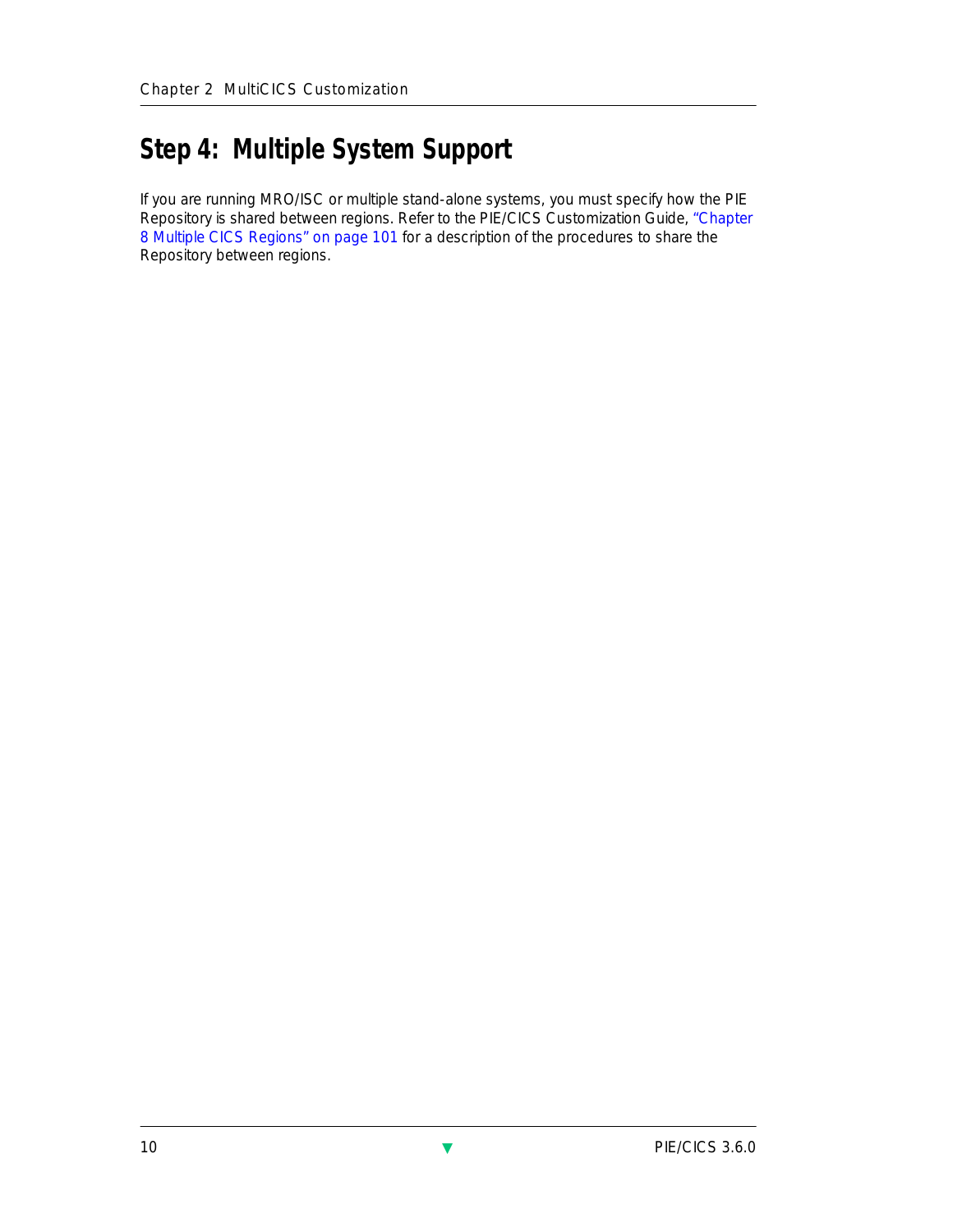# <span id="page-21-0"></span>**Step 4: Multiple System Support**

If you are running MRO/ISC or multiple stand-alone systems, you must specify how the PIE Repository is shared between regions. Refer to the *PIE/CICS Customization Guide*, "Chapter 8 Multiple CICS Regions" on page 101 for a description of the procedures to share the Repository between regions.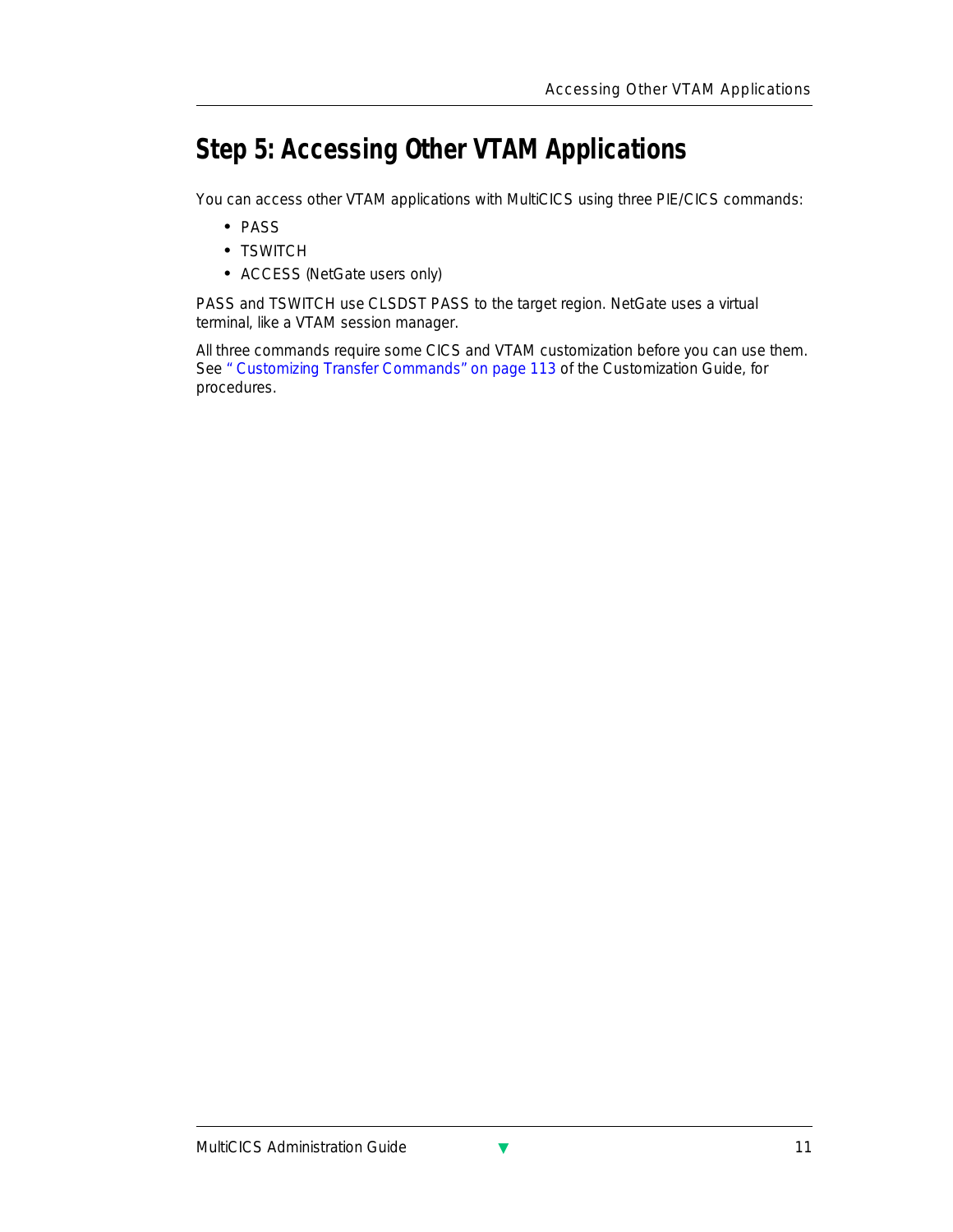### <span id="page-22-0"></span>**Step 5: Accessing Other VTAM Applications**

You can access other VTAM applications with MultiCICS using three PIE/CICS commands:

- **•** PASS
- **•** TSWITCH
- **•** ACCESS (NetGate users only)

PASS and TSWITCH use CLSDST PASS to the target region. NetGate uses a virtual terminal, like a VTAM session manager.

All three commands require some CICS and VTAM customization before you can use them. See " Customizing Transfer Commands" on page 113 of the *Customization Guide*, for procedures.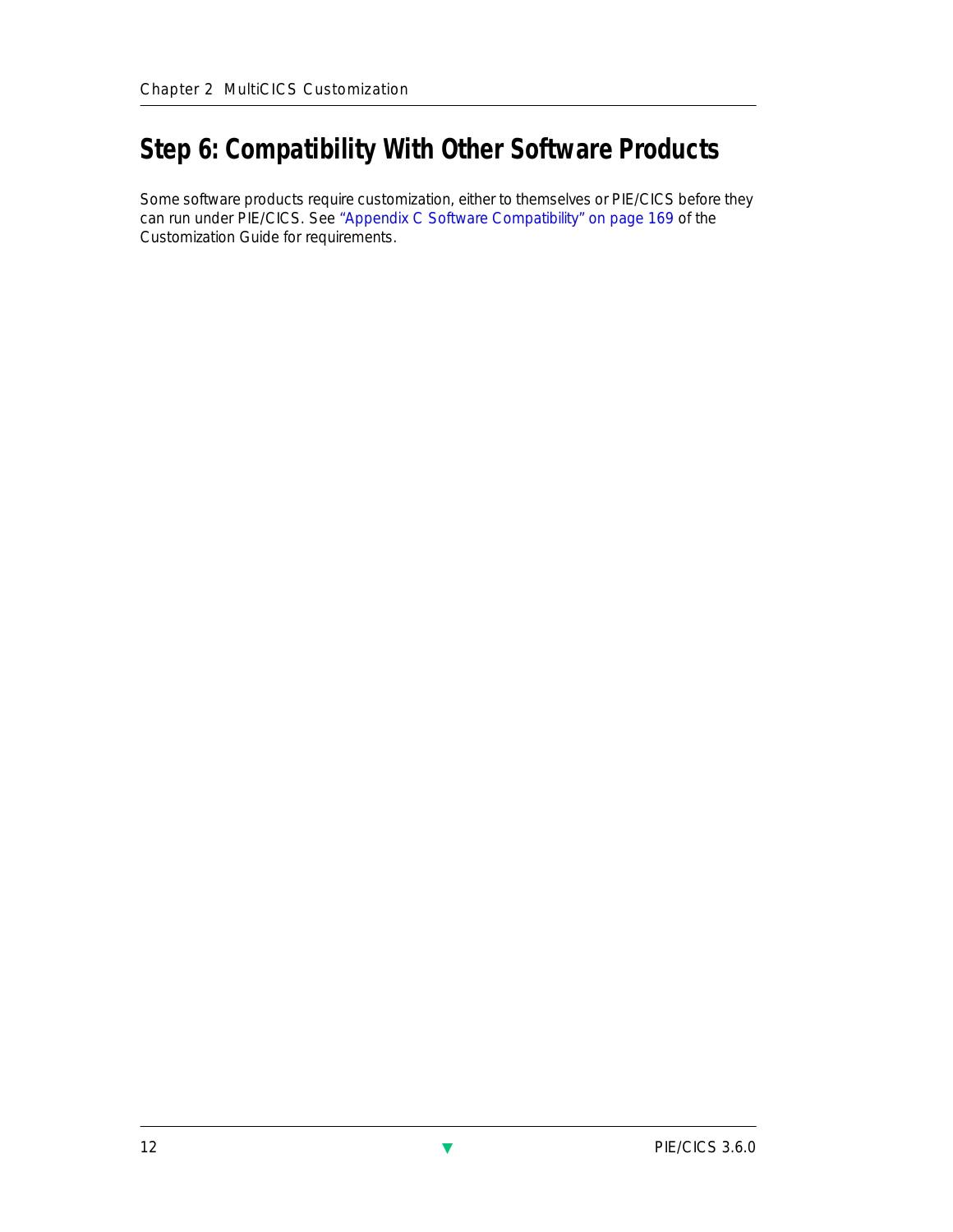### <span id="page-23-0"></span>**Step 6: Compatibility With Other Software Products**

Some software products require customization, either to themselves or PIE/CICS before they can run under PIE/CICS. See "Appendix C Software Compatibility" on page 169 of the *Customization Guide* for requirements.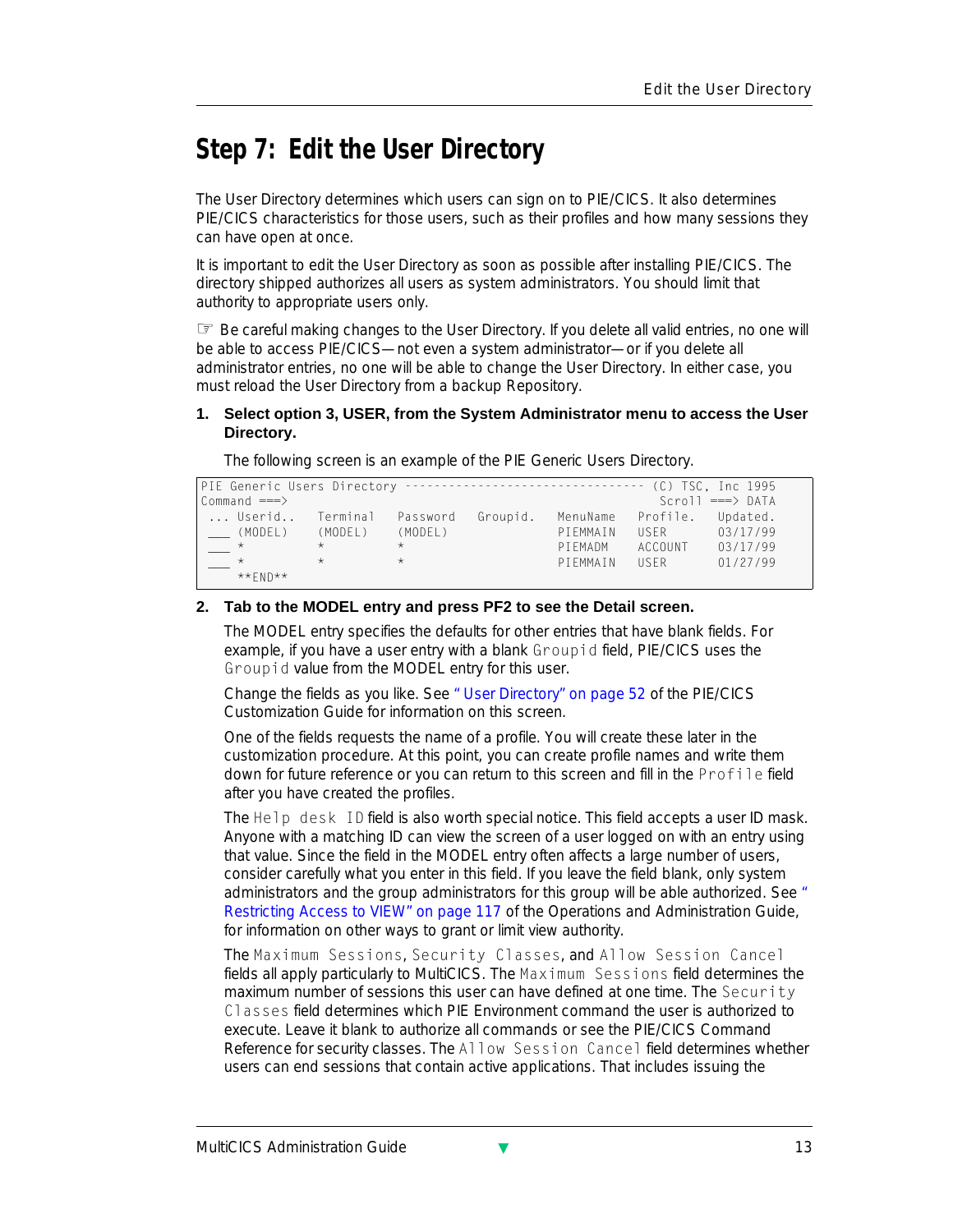# <span id="page-24-0"></span>**Step 7: Edit the User Directory**

The User Directory determines which users can sign on to PIE/CICS. It also determines PIE/CICS characteristics for those users, such as their profiles and how many sessions they can have open at once.

It is important to edit the User Directory as soon as possible after installing PIE/CICS. The directory shipped authorizes all users as system administrators. You should limit that authority to appropriate users only.

☞ Be careful making changes to the User Directory. If you delete all valid entries, no one will be able to access PIE/CICS—not even a system administrator—or if you delete all administrator entries, no one will be able to change the User Directory. In either case, you must reload the User Directory from a backup Repository.

### **1. Select option 3, USER, from the System Administrator menu to access the User Directory.**

The following screen is an example of the PIE Generic Users Directory.

| PIE Generic Users Directory --------------------------------- (C) TSC, Inc 1995 |                            |                          |            |          |          |             |                     |
|---------------------------------------------------------------------------------|----------------------------|--------------------------|------------|----------|----------|-------------|---------------------|
|                                                                                 | Command $\Rightarrow$      |                          |            |          |          |             | $Scroll ==\gt$ DATA |
|                                                                                 |                            | Userid Terminal Password |            | Groupid. | MenuName | Profile.    | Updated.            |
|                                                                                 | (MODEL)                    | (MODEL)                  | (MODEL)    |          | PIFMMAIN | <b>USER</b> | 03/17/99            |
|                                                                                 | $\star$                    | $^\star$                 | $^{\star}$ |          | PIFMADM  | ACCOUNT     | 03/17/99            |
|                                                                                 | $\star$                    | $\star$                  | $\star$    |          | PIFMMAIN | <b>USER</b> | 01/27/99            |
|                                                                                 | $*$ * $\vdash$ N $\cap$ ** |                          |            |          |          |             |                     |

### **2. Tab to the MODEL entry and press PF2 to see the Detail screen.**

The MODEL entry specifies the defaults for other entries that have blank fields. For example, if you have a user entry with a blank Groupid field, PIE/CICS uses the Groupid value from the MODEL entry for this user.

Change the fields as you like. See " User Directory" on page 52 of the *PIE/CICS Customization Guide* for information on this screen.

One of the fields requests the name of a profile. You will create these later in the customization procedure. At this point, you can create profile names and write them down for future reference or you can return to this screen and fill in the Profile field after you have created the profiles.

The Help desk ID field is also worth special notice. This field accepts a user ID mask. Anyone with a matching ID can view the screen of a user logged on with an entry using that value. Since the field in the MODEL entry often affects a large number of users, consider carefully what you enter in this field. If you leave the field blank, only system administrators and the group administrators for this group will be able authorized. See " Restricting Access to VIEW" on page 117 of the *Operations and Administration Guide*, for information on other ways to grant or limit view authority.

The Maximum Sessions, Security Classes, and Allow Session Cancel fields all apply particularly to MultiCICS. The Maximum Sessions field determines the maximum number of sessions this user can have defined at one time. The Security Classes field determines which PIE Environment command the user is authorized to execute. Leave it blank to authorize all commands or see the *PIE/CICS Command Reference* for security classes. The Allow Session Cancel field determines whether users can end sessions that contain active applications. That includes issuing the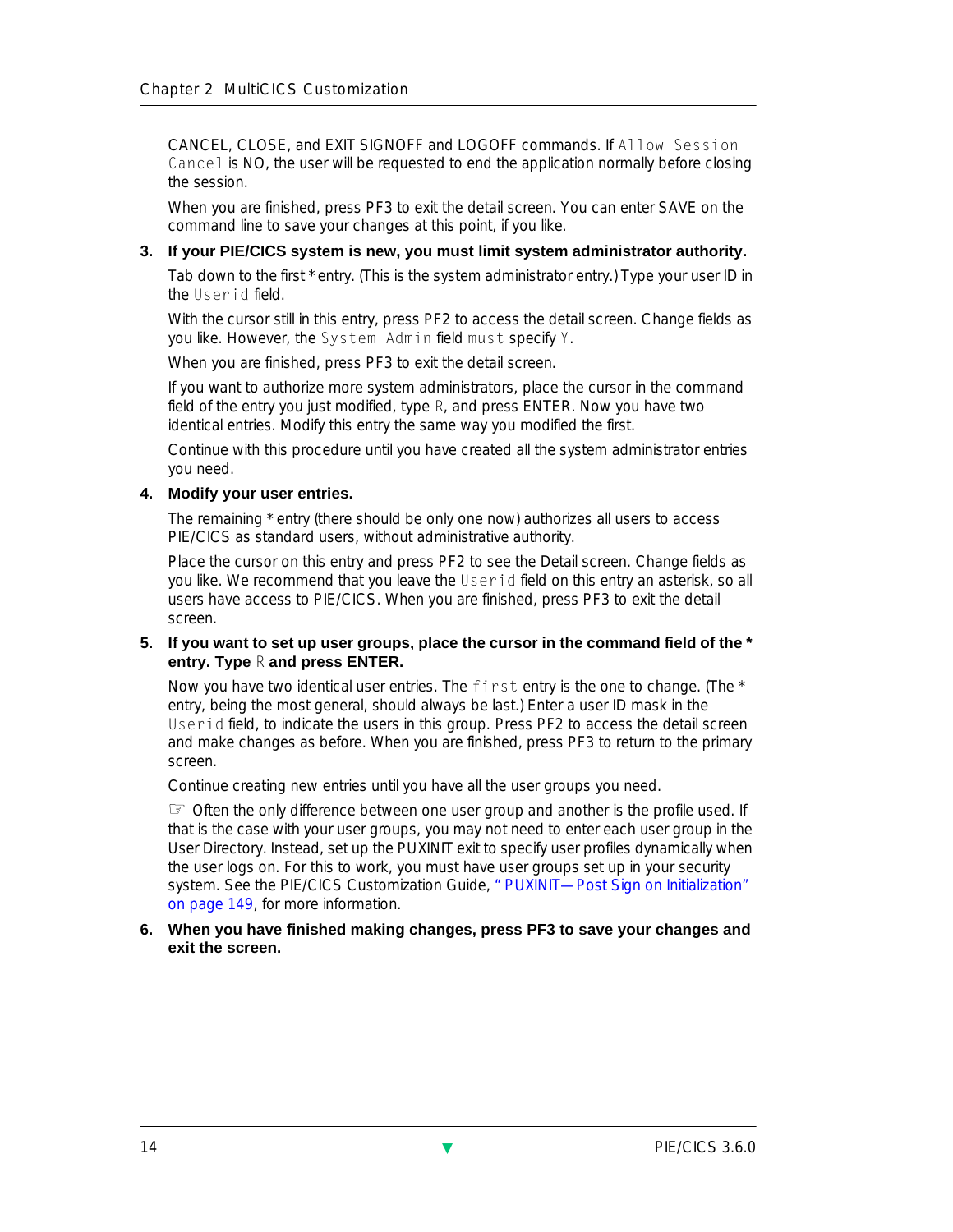CANCEL, CLOSE, and EXIT SIGNOFF and LOGOFF commands. If Allow Session Cancel is NO, the user will be requested to end the application normally before closing the session.

When you are finished, press PF3 to exit the detail screen. You can enter SAVE on the command line to save your changes at this point, if you like.

### **3. If your PIE/CICS system is new, you must limit system administrator authority.**

Tab down to the first \* entry. (This is the system administrator entry.) Type your user ID in the Userid field.

With the cursor still in this entry, press PF2 to access the detail screen. Change fields as you like. However, the System Admin field must specify Y.

When you are finished, press PF3 to exit the detail screen.

If you want to authorize more system administrators, place the cursor in the command field of the entry you just modified, type R, and press ENTER. Now you have two identical entries. Modify this entry the same way you modified the first.

Continue with this procedure until you have created all the system administrator entries you need.

### **4. Modify your user entries.**

The remaining \* entry (there should be only one now) authorizes all users to access PIE/CICS as standard users, without administrative authority.

Place the cursor on this entry and press PF2 to see the Detail screen. Change fields as you like. We recommend that you leave the Userid field on this entry an asterisk, so all users have access to PIE/CICS. When you are finished, press PF3 to exit the detail screen.

#### **5. If you want to set up user groups, place the cursor in the command field of the \* entry. Type** R **and press ENTER.**

Now you have two identical user entries. The first entry is the one to change. (The \* entry, being the most general, should always be last.) Enter a user ID mask in the Userid field, to indicate the users in this group. Press PF2 to access the detail screen and make changes as before. When you are finished, press PF3 to return to the primary screen.

Continue creating new entries until you have all the user groups you need.

☞ Often the only difference between one user group and another is the profile used. If that is the case with your user groups, you may not need to enter each user group in the User Directory. Instead, set up the PUXINIT exit to specify user profiles dynamically when the user logs on. For this to work, you must have user groups set up in your security system. See the *PIE/CICS Customization Guide*, " PUXINIT—Post Sign on Initialization" on page 149, for more information.

### **6. When you have finished making changes, press PF3 to save your changes and exit the screen.**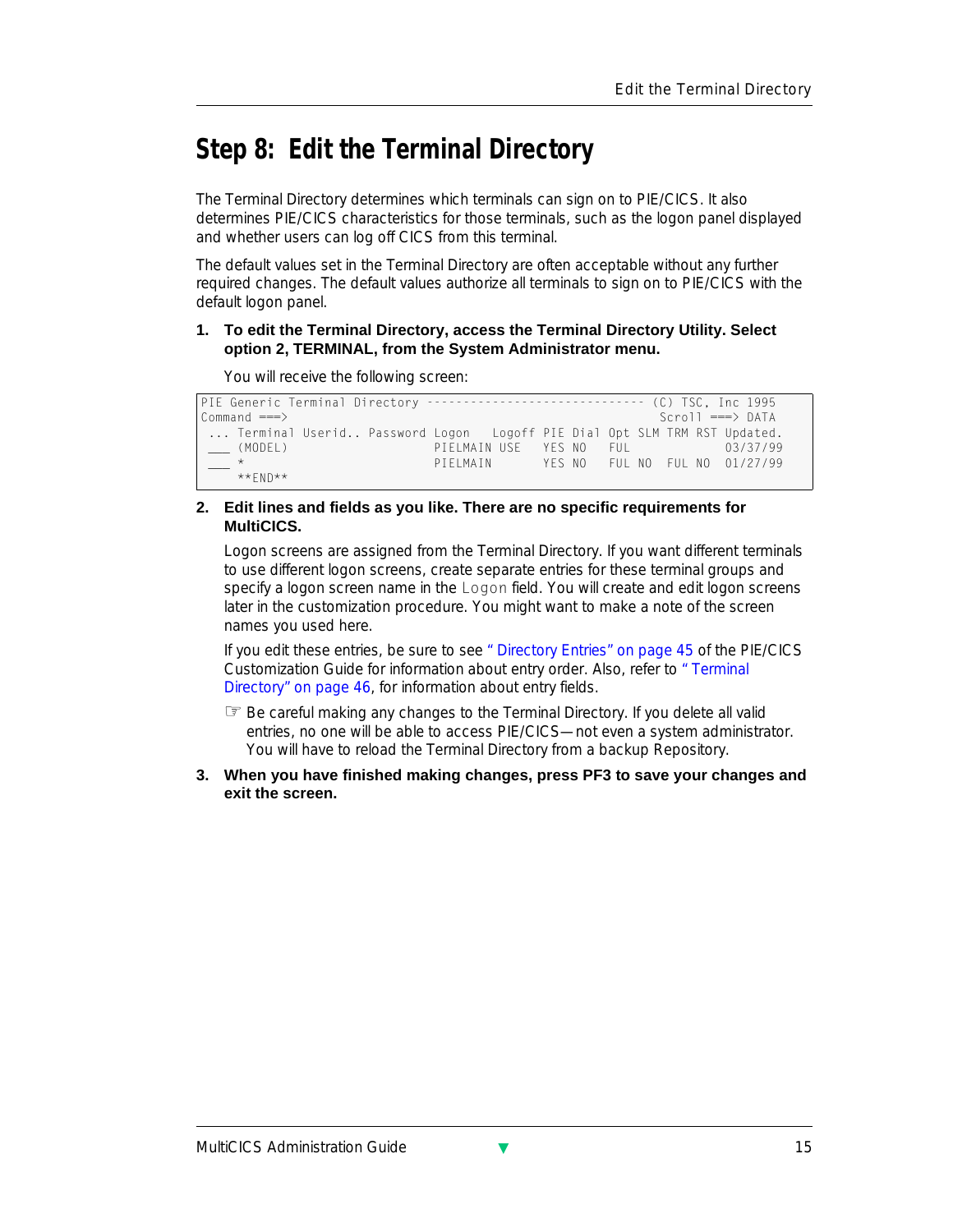### <span id="page-26-0"></span>**Step 8: Edit the Terminal Directory**

The Terminal Directory determines which terminals can sign on to PIE/CICS. It also determines PIE/CICS characteristics for those terminals, such as the logon panel displayed and whether users can log off CICS from this terminal.

The default values set in the Terminal Directory are often acceptable without any further required changes. The default values authorize all terminals to sign on to PIE/CICS with the default logon panel.

#### **1. To edit the Terminal Directory, access the Terminal Directory Utility. Select option 2, TERMINAL, from the System Administrator menu.**

You will receive the following screen:

PIE Generic Terminal Directory -------------------------------- (C) TSC, Inc 1995<br>Command ===> DATA  $Scroll ===$  DATA ... Terminal Userid.. Password Logon Logoff PIE Dial Opt SLM TRM RST Updated.<br>(MODEL) PIELMAIN USE YES NO FUL 03/37/99 PIELMAINUSE YES NO FUL 03/37/99<br>PIFIMAIN YES NO FUL NO FUL NO 01/27/99 YES NO FUL NO FUL NO 01/27/99 \*\*END\*\*

#### **2. Edit lines and fields as you like. There are no specific requirements for MultiCICS.**

Logon screens are assigned from the Terminal Directory. If you want different terminals to use different logon screens, create separate entries for these terminal groups and specify a logon screen name in the Logon field. You will create and edit logon screens later in the customization procedure. You might want to make a note of the screen names you used here.

If you edit these entries, be sure to see " Directory Entries" on page 45 of the *PIE/CICS Customization Guide* for information about entry order. Also, refer to " Terminal Directory" on page 46, for information about entry fields.

- ☞ Be careful making any changes to the Terminal Directory. If you delete all valid entries, no one will be able to access PIE/CICS—not even a system administrator. You will have to reload the Terminal Directory from a backup Repository.
- **3. When you have finished making changes, press PF3 to save your changes and exit the screen.**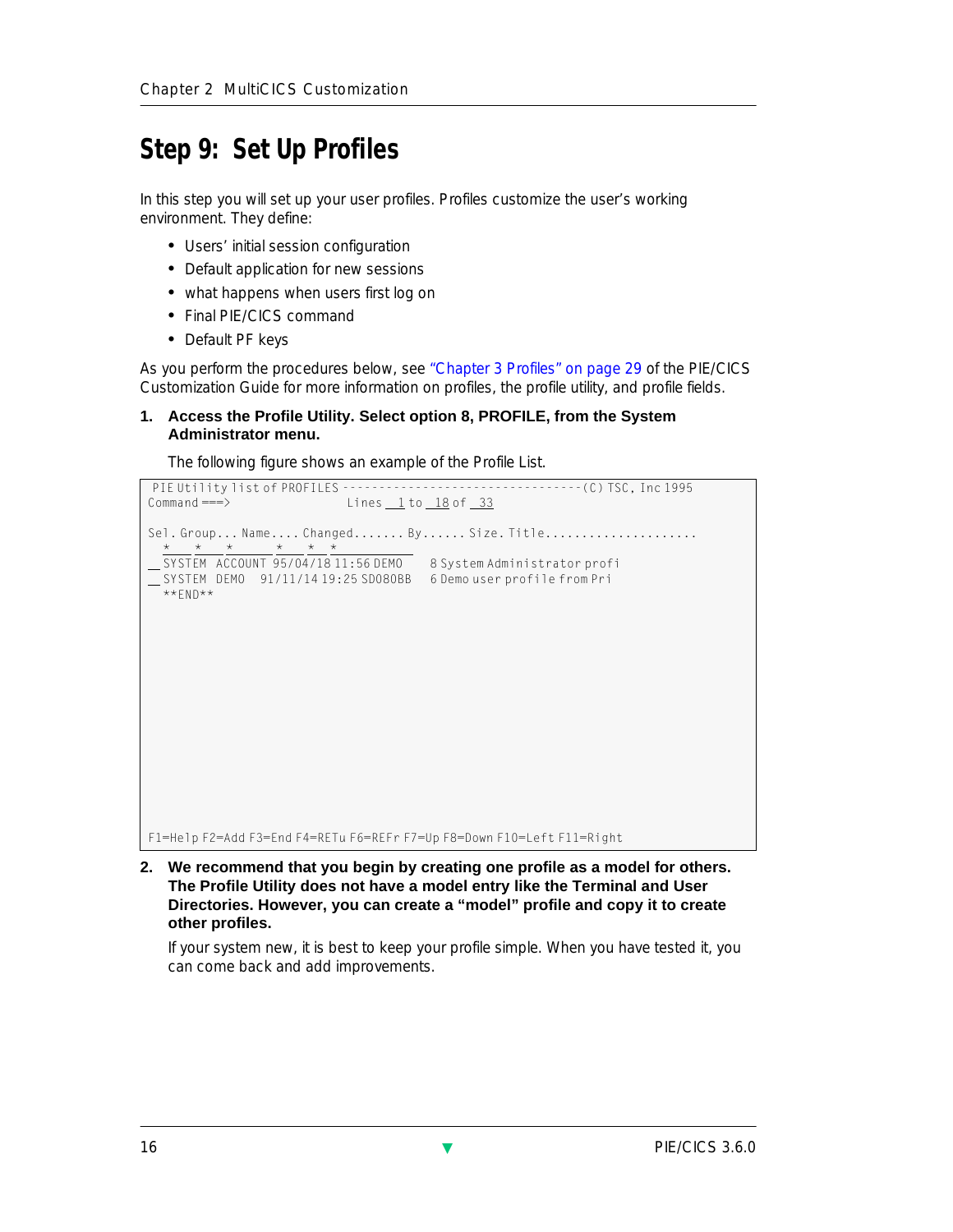# <span id="page-27-0"></span>**Step 9: Set Up Profiles**

In this step you will set up your user profiles. Profiles customize the user's working environment. They define:

- **•** Users' initial session configuration
- **•** Default application for new sessions
- **•** what happens when users first log on
- **•** Final PIE/CICS command
- **•** Default PF keys

As you perform the procedures below, see "Chapter 3 Profiles" on page 29 of the *PIE/CICS Customization Guide* for more information on profiles, the profile utility, and profile fields.

#### **1. Access the Profile Utility. Select option 8, PROFILE, from the System Administrator menu.**

The following figure shows an example of the Profile List.



**2. We recommend that you begin by creating one profile as a model for others. The Profile Utility does not have a model entry like the Terminal and User Directories. However, you can create a "model" profile and copy it to create other profiles.** 

If your system new, it is best to keep your profile simple. When you have tested it, you can come back and add improvements.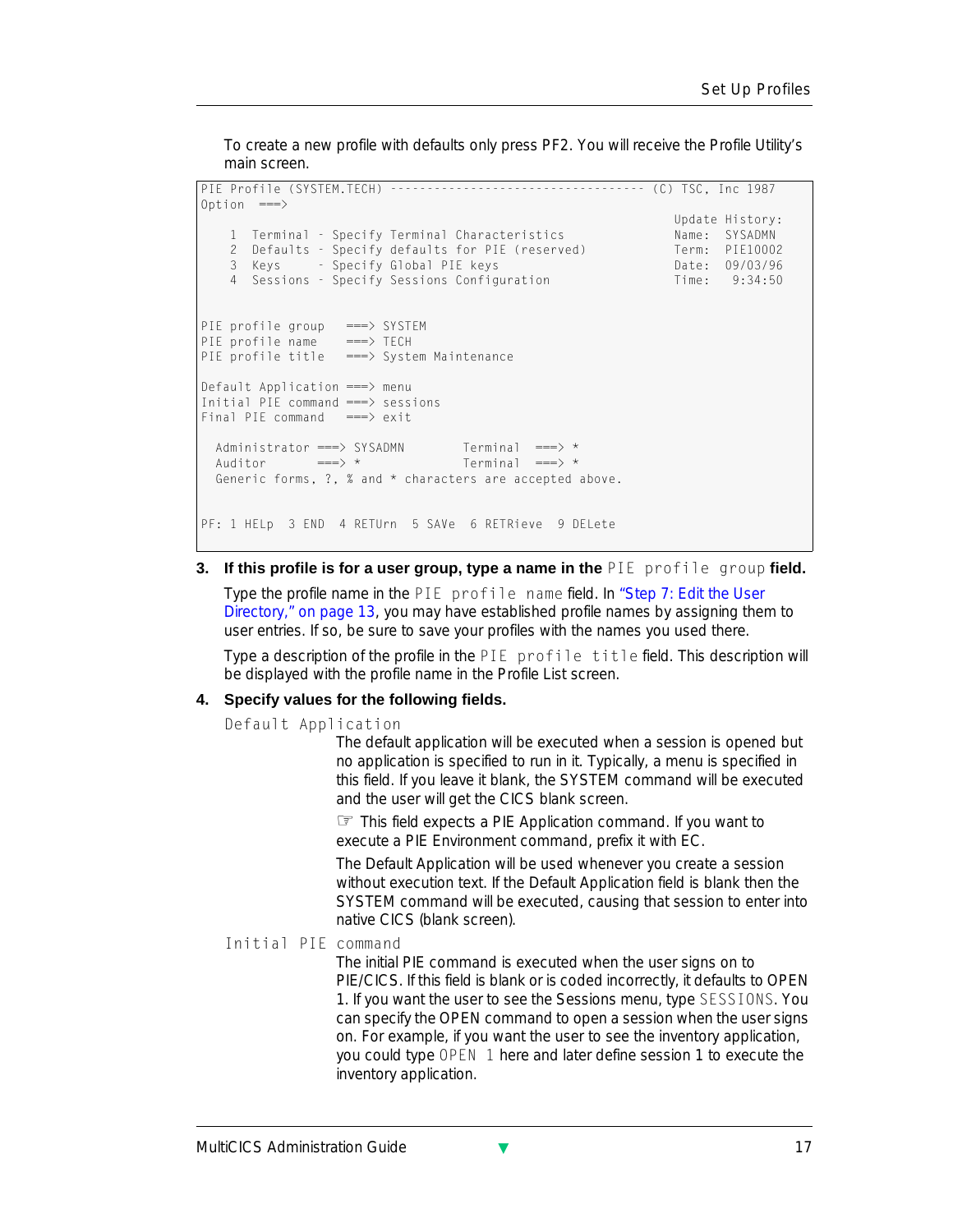PIE Profile (SYSTEM.TECH) ----------------------------------- (C) TSC, Inc 1987 Option ===> Update History: 1 Terminal - Specify Terminal Characteristics Name: SYSADMN 2 Defaults - Specify defaults for PIE (reserved) Term: PIE10002 3 Keys - Specify Global PIE keys Date: 09/03/96 4 Sessions – Specify Sessions Configuration Time: 9:34:50 PIE profile group ===> SYSTEM PIE profile name ===> TECH PIE profile title ===> System Maintenance Default Application  $==$ > menu Initial PIE command ===> sessions Final PIE command ===> exit Administrator ===> SYSADMN Terminal ===> \* Auditor ===> \* Terminal ===> \* Generic forms, ?, % and \* characters are accepted above. PF: 1 HELp 3 END 4 RETUrn 5 SAVe 6 RETRieve 9 DELete

To create a new profile with defaults only press PF2. You will receive the Profile Utility's main screen.

#### **3. If this profile is for a user group, type a name in the** PIE profile group **field.**

Type the profile name in the PIE profile name field. In ["Step 7: Edit the User](#page-24-0)  [Directory," on page 13](#page-24-0), you may have established profile names by assigning them to user entries. If so, be sure to save your profiles with the names you used there.

Type a description of the profile in the PIE profile title field. This description will be displayed with the profile name in the Profile List screen.

#### **4. Specify values for the following fields.**

Default Application

The default application will be executed when a session is opened but no application is specified to run in it. Typically, a menu is specified in this field. If you leave it blank, the SYSTEM command will be executed and the user will get the CICS blank screen.

☞ This field expects a PIE Application command. If you want to execute a PIE Environment command, prefix it with EC.

The Default Application will be used whenever you create a session without execution text. If the Default Application field is blank then the SYSTEM command will be executed, causing that session to enter into native CICS (blank screen).

### Initial PIE command

The initial PIE command is executed when the user signs on to PIE/CICS. If this field is blank or is coded incorrectly, it defaults to OPEN 1. If you want the user to see the Sessions menu, type SESSIONS. You can specify the OPEN command to open a session when the user signs on. For example, if you want the user to see the inventory application, you could type OPEN 1 here and later define session 1 to execute the inventory application.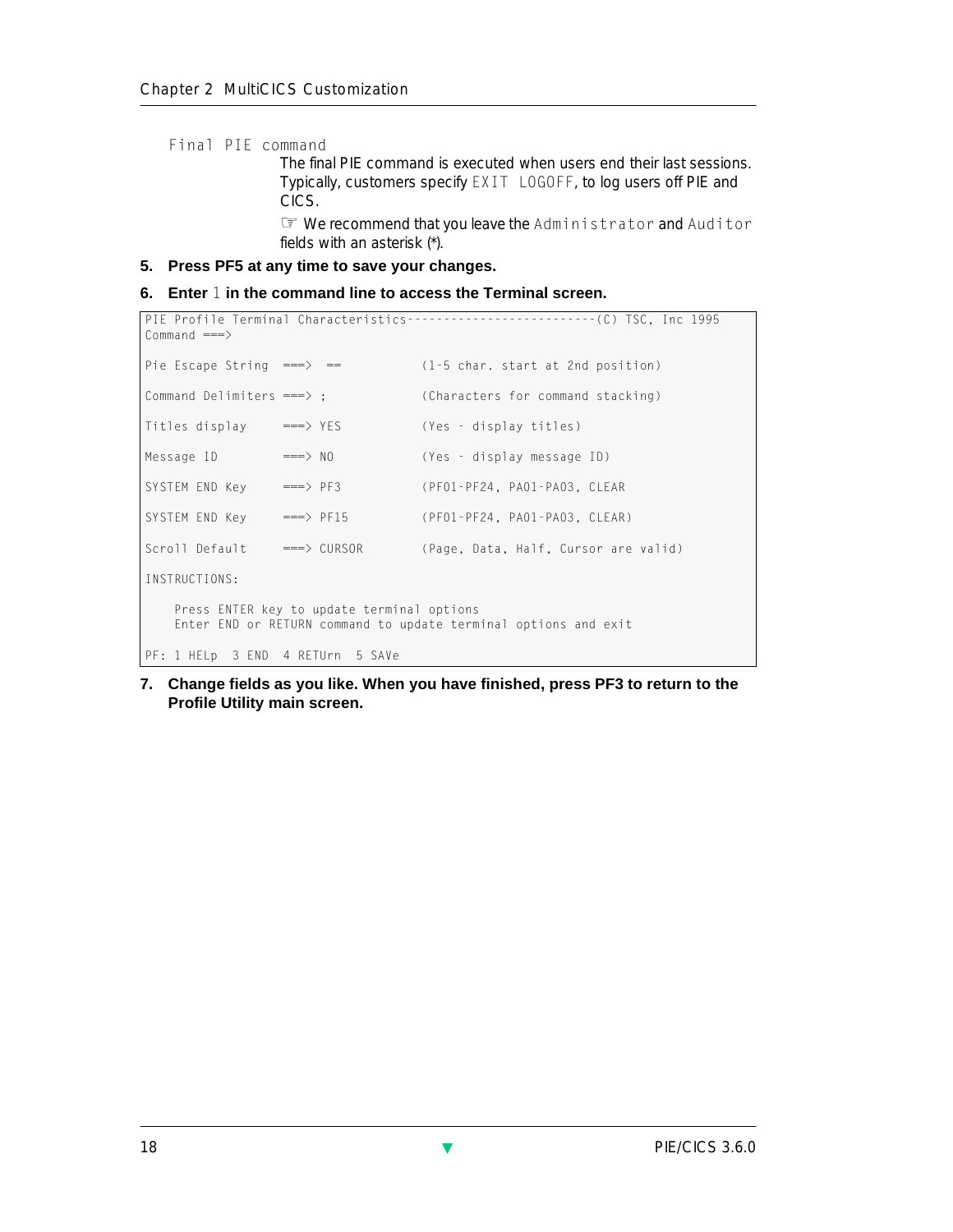Final PIE command

The final PIE command is executed when users end their last sessions. Typically, customers specify EXIT LOGOFF, to log users off PIE and CICS.

☞ We recommend that you leave the Administrator and Auditor fields with an asterisk (\*).

### **5. Press PF5 at any time to save your changes.**

#### **6. Enter** 1 **in the command line to access the Terminal screen.**

```
PIE Profile Terminal Characteristics----------------------------- (C) TSC, Inc 1995
Command ===>
Pie Escape String ==> == (1-5 char. start at 2nd position)
Command Delimiters ===> ; (Characters for command stacking)
Titles display \implies YES (Yes - display titles)
Message ID ===> NO (Yes - display message ID)
SYSTEM END Key ===> PF3 (PF01-PF24, PA01-PA03, CLEAR
SYSTEM END Key ===> PF15 (PF01-PF24, PA01-PA03, CLEAR)
Scroll Default ===> CURSOR (Page, Data, Half, Cursor are valid)
INSTRUCTIONS:
    Press ENTER key to update terminal options
    Enter END or RETURN command to update terminal options and exit
PF: 1 HELp 3 END 4 RETUrn 5 SAVe
```
**7. Change fields as you like. When you have finished, press PF3 to return to the Profile Utility main screen.**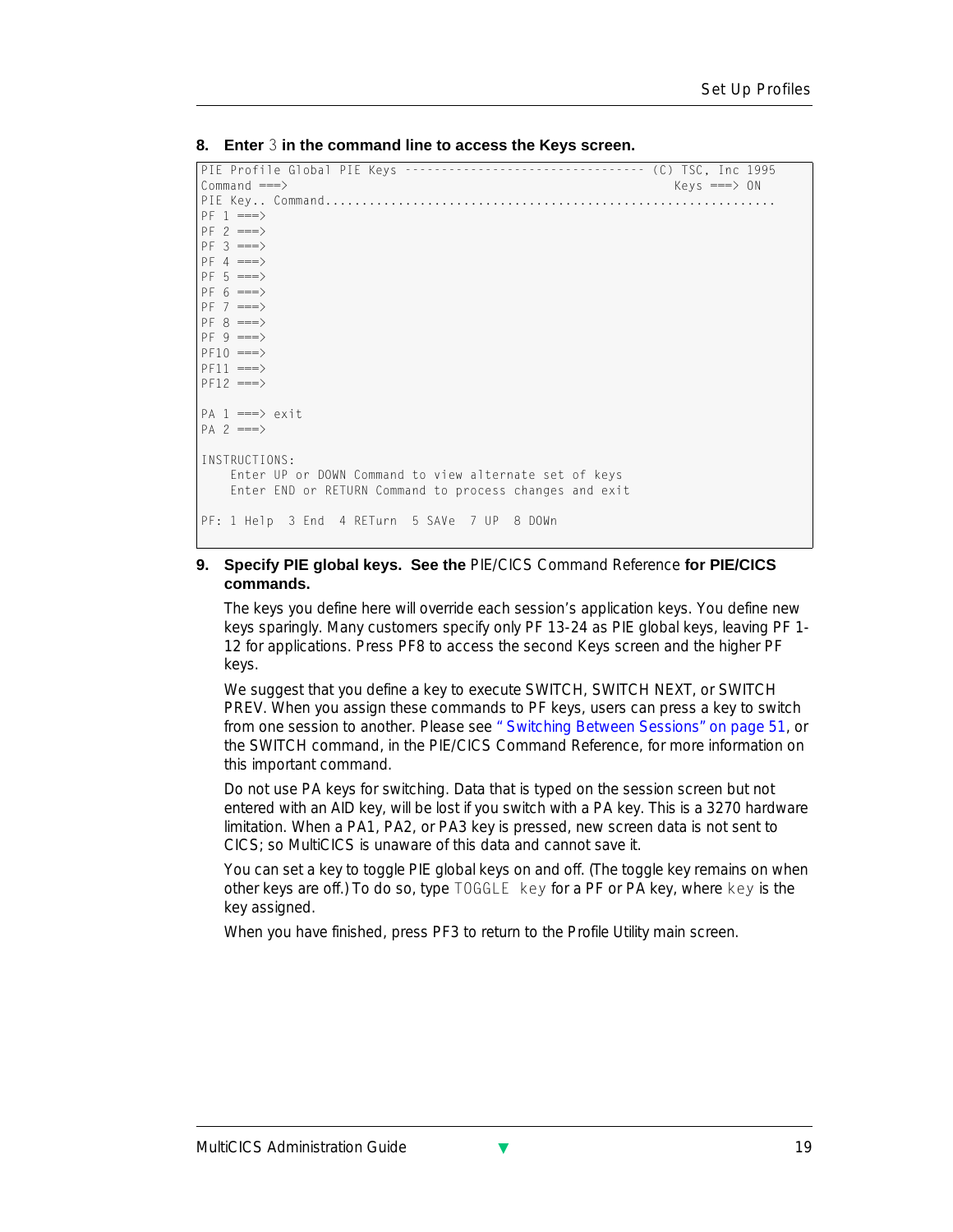```
PIE Profile Global PIE Keys ---------------------------------- (C) TSC, Inc 1995
Command ===> Keys ===> ON
PIE Key.. Command..............................................................
PF 1 ==PF 2 ===>
PF 3 ===>
PF 4 ==PF 5 ==PF 6 ==->PF 7 ===>
PF 8 ==PF 9 ==PF10 ===PF11 ==PF12 ===>
PA 1 ===> exit
PA 2 ===>
INSTRUCTIONS:
    Enter UP or DOWN Command to view alternate set of keys
    Enter END or RETURN Command to process changes and exit
PF: 1 Help 3 End 4 RETurn 5 SAVe 7 UP 8 DOWn
```
**8. Enter** 3 **in the command line to access the Keys screen.**

#### **9. Specify PIE global keys. See the** *PIE/CICS Command Reference* **for PIE/CICS commands.**

The keys you define here will override each session's application keys. You define new keys sparingly. Many customers specify only PF 13-24 as PIE global keys, leaving PF 1- 12 for applications. Press PF8 to access the second Keys screen and the higher PF keys.

We suggest that you define a key to execute SWITCH, SWITCH NEXT, or SWITCH PREV. When you assign these commands to PF keys, users can press a key to switch from one session to another. Please see [" Switching Between Sessions" on page 51](#page-62-3), or the SWITCH command, in the *PIE/CICS Command Reference*, for more information on this important command.

Do not use PA keys for switching. Data that is typed on the session screen but not entered with an AID key, will be lost if you switch with a PA key. This is a 3270 hardware limitation. When a PA1, PA2, or PA3 key is pressed, new screen data is not sent to CICS; so MultiCICS is unaware of this data and cannot save it.

You can set a key to toggle PIE global keys on and off. (The toggle key remains on when other keys are off.) To do so, type TOGGLE key for a PF or PA key, where key is the key assigned.

When you have finished, press PF3 to return to the Profile Utility main screen.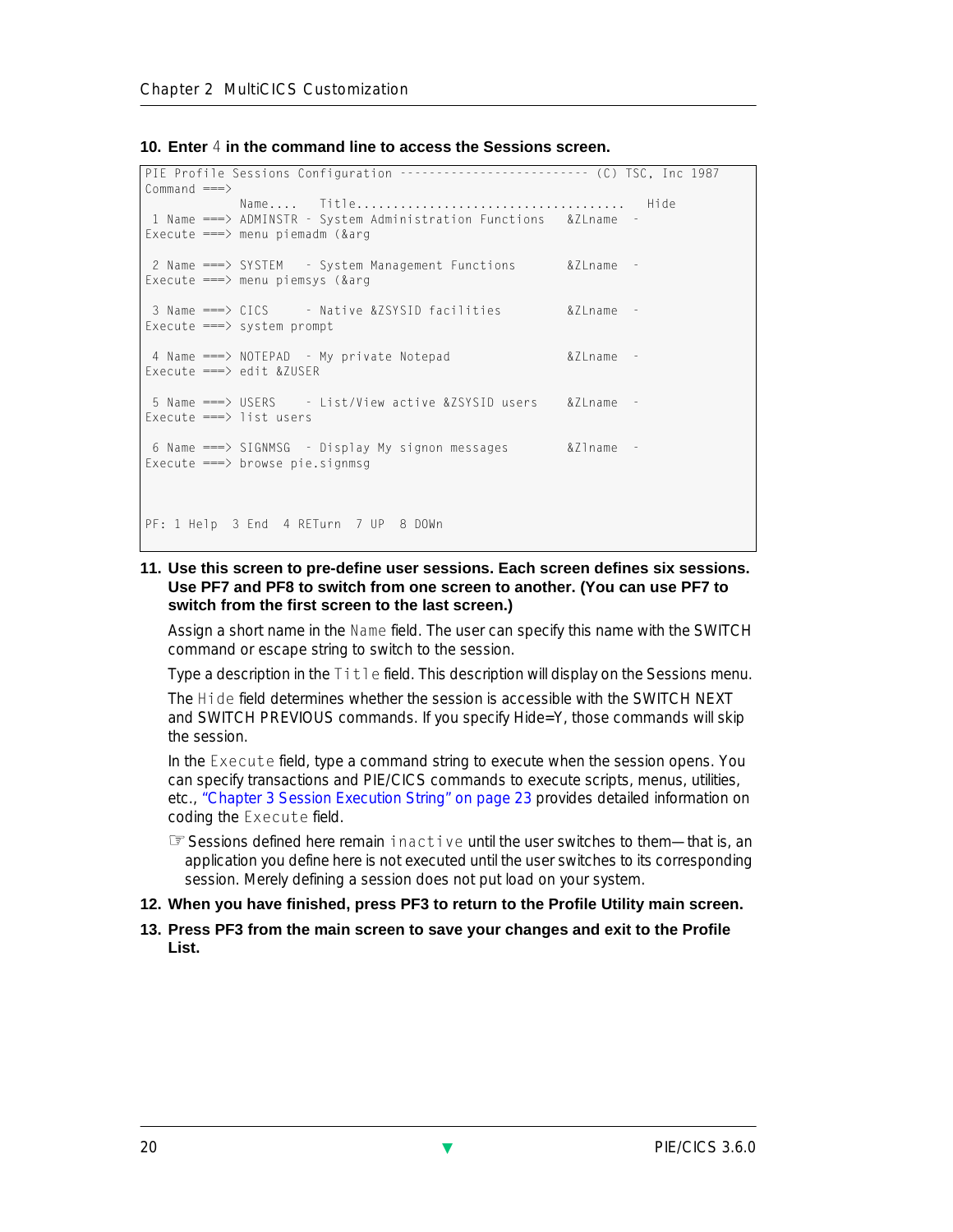**10. Enter** 4 **in the command line to access the Sessions screen.** 

```
PIE Profile Sessions Configuration -------------------------- (C) TSC, Inc 1987
Commoned ===> Name.... Title..................................... Hide
 1 Name ===> ADMINSTR - System Administration Functions &ZLname -
Execute \equiv -\rangle menu piemadm (&arg)
 2 Name ===> SYSTEM - System Management Functions &ZLname -
Execute ==> menu piemsys (&arg
 3 Name ===> CICS - Native &ZSYSID facilities &ZLname -
Execute \equiv -\rangle system prompt
 4 Name ===> NOTEPAD - My private Notepad &ZLname -
Execute ===> edit &ZUSER
 5 Name ===> USERS - List/View active &ZSYSID users &ZLname -
y = -2 list users
 6 Name ===> SIGNMSG - Display My signon messages &Zlname -
Execute ==> browse pie.signmsg
PF: 1 Help 3 End 4 RETurn 7 UP 8 DOWn
```
#### **11. Use this screen to pre-define user sessions. Each screen defines six sessions. Use PF7 and PF8 to switch from one screen to another. (You can use PF7 to switch from the first screen to the last screen.)**

Assign a short name in the Name field. The user can specify this name with the SWITCH command or escape string to switch to the session.

Type a description in the Title field. This description will display on the Sessions menu.

The Hide field determines whether the session is accessible with the SWITCH NEXT and SWITCH PREVIOUS commands. If you specify Hide=Y, those commands will skip the session.

In the Execute field, type a command string to execute when the session opens. You can specify transactions and PIE/CICS commands to execute scripts, menus, utilities, etc., ["Chapter 3 Session Execution String" on page 23](#page-34-2) provides detailed information on coding the Execute field.

- ☞Sessions defined here remain inactive until the user switches to them—that is, an application you define here is not executed until the user switches to its corresponding session. Merely defining a session does not put load on your system.
- **12. When you have finished, press PF3 to return to the Profile Utility main screen.**
- **13. Press PF3 from the main screen to save your changes and exit to the Profile List.**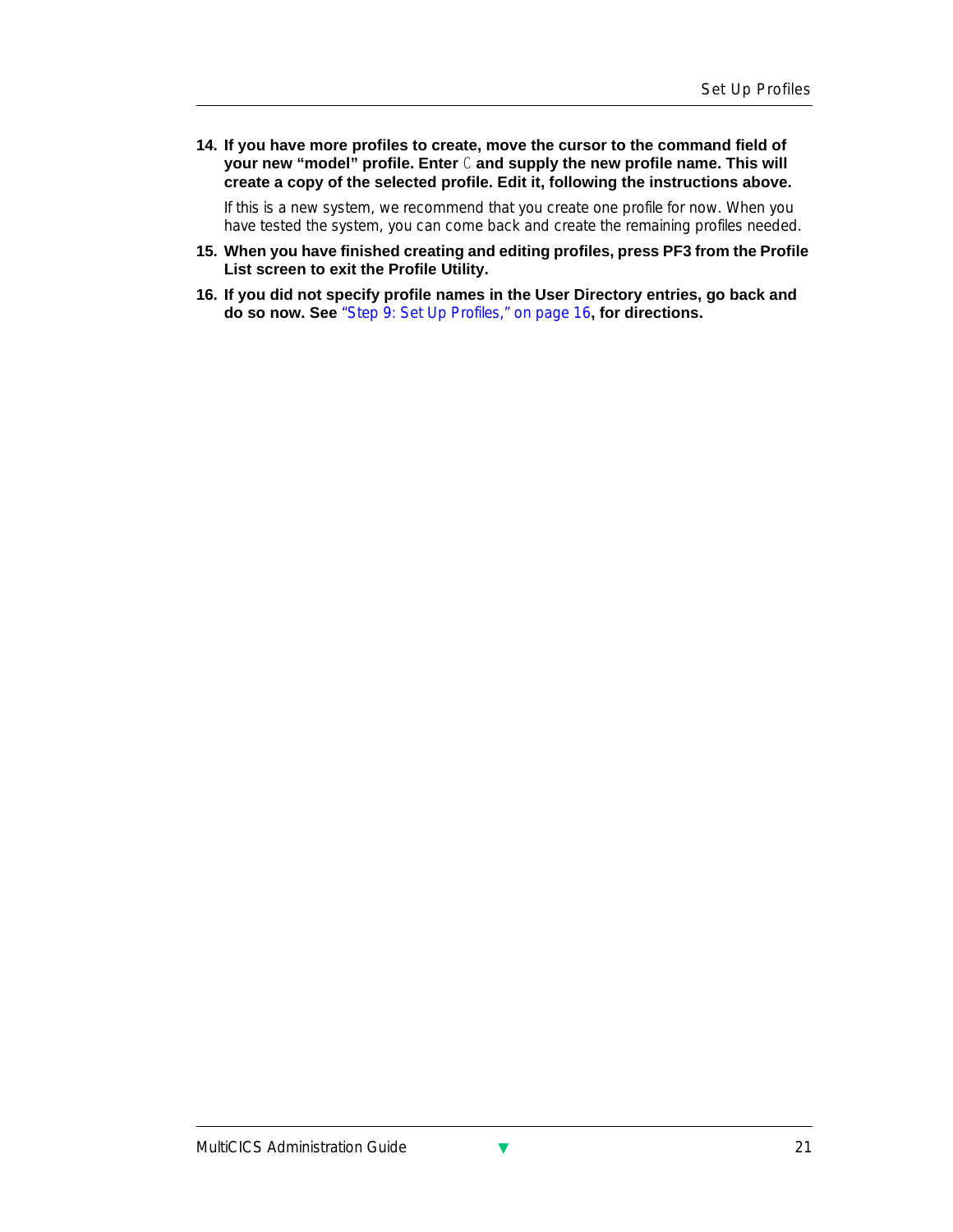**14. If you have more profiles to create, move the cursor to the command field of your new "model" profile. Enter** C **and supply the new profile name. This will create a copy of the selected profile. Edit it, following the instructions above.**

If this is a new system, we recommend that you create one profile for now. When you have tested the system, you can come back and create the remaining profiles needed.

- **15. When you have finished creating and editing profiles, press PF3 from the Profile List screen to exit the Profile Utility.**
- **16. If you did not specify profile names in the User Directory entries, go back and do so now. See** ["Step 9: Set Up Profiles," on page 16](#page-27-0)**, for directions.**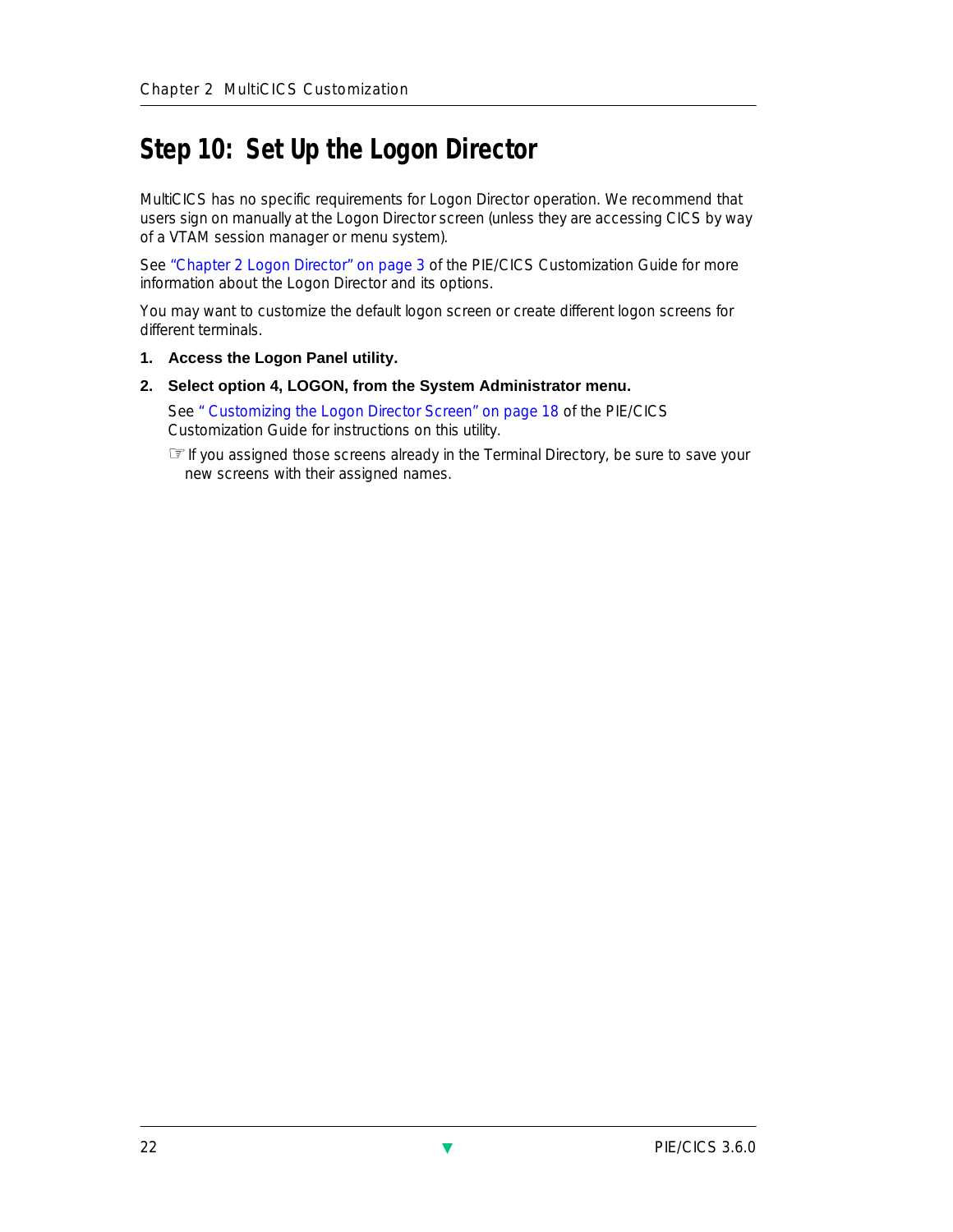### <span id="page-33-0"></span>**Step 10: Set Up the Logon Director**

MultiCICS has no specific requirements for Logon Director operation. We recommend that users sign on manually at the Logon Director screen (unless they are accessing CICS by way of a VTAM session manager or menu system).

See "Chapter 2 Logon Director" on page 3 of the *PIE/CICS Customization Guide* for more information about the Logon Director and its options.

You may want to customize the default logon screen or create different logon screens for different terminals.

- **1. Access the Logon Panel utility.**
- **2. Select option 4, LOGON, from the System Administrator menu.**

See " Customizing the Logon Director Screen" on page 18 of the *PIE/CICS Customization Guide* for instructions on this utility.

☞If you assigned those screens already in the Terminal Directory, be sure to save your new screens with their assigned names.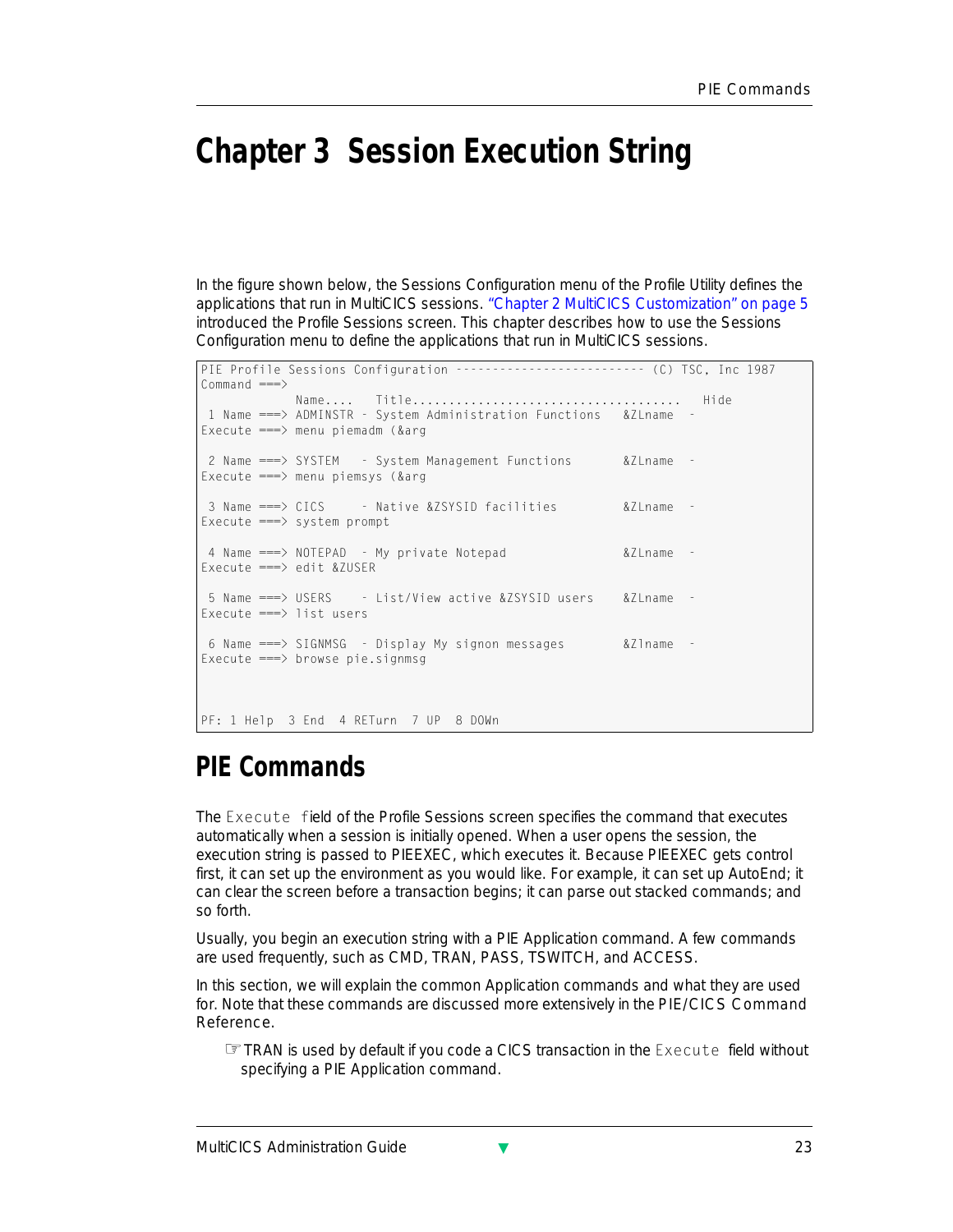# <span id="page-34-2"></span><span id="page-34-0"></span>**Chapter 3 Session Execution String**

In the figure shown below, the Sessions Configuration menu of the Profile Utility defines the applications that run in MultiCICS sessions. ["Chapter 2 MultiCICS Customization" on page 5](#page-16-1) introduced the Profile Sessions screen. This chapter describes how to use the Sessions Configuration menu to define the applications that run in MultiCICS sessions.

```
PIE Profile Sessions Configuration -------------------------- (C) TSC. Inc 1987
Command ===>
            Name.... Title..................................... Hide
 1 Name ===> ADMINSTR - System Administration Functions &ZLname -
Execute ==> menu piemadm (&arg
 2 Name ===> SYSTEM - System Management Functions &ZLname -
Execute ===> menu piemsys (&arg
 3 Name ===> CICS - Native &ZSYSID facilities &ZLname -
Execute \implies system prompt 4 Name ===> NOTEPAD - My private Notepad &ZLname -
Execute ===> edit &ZUSER
 5 Name ===> USERS - List/View active &ZSYSID users &ZLname -
Execute ==> list users
 6 Name ===> SIGNMSG - Display My signon messages &Zlname -
Execute ==> browse pie.signmsg
PF: 1 Help 3 End 4 RETurn 7 UP 8 DOWn
```
### <span id="page-34-1"></span>**PIE Commands**

The Execute field of the Profile Sessions screen specifies the command that executes automatically when a session is initially opened. When a user opens the session, the execution string is passed to PIEEXEC, which executes it. Because PIEEXEC gets control first, it can set up the environment as you would like. For example, it can set up AutoEnd; it can clear the screen before a transaction begins; it can parse out stacked commands; and so forth.

Usually, you begin an execution string with a PIE Application command. A few commands are used frequently, such as CMD, TRAN, PASS, TSWITCH, and ACCESS.

In this section, we will explain the common Application commands and what they are used for. Note that these commands are discussed more extensively in the *PIE/CICS Command Reference*.

☞TRAN is used by default if you code a CICS transaction in the Execute field without specifying a PIE Application command.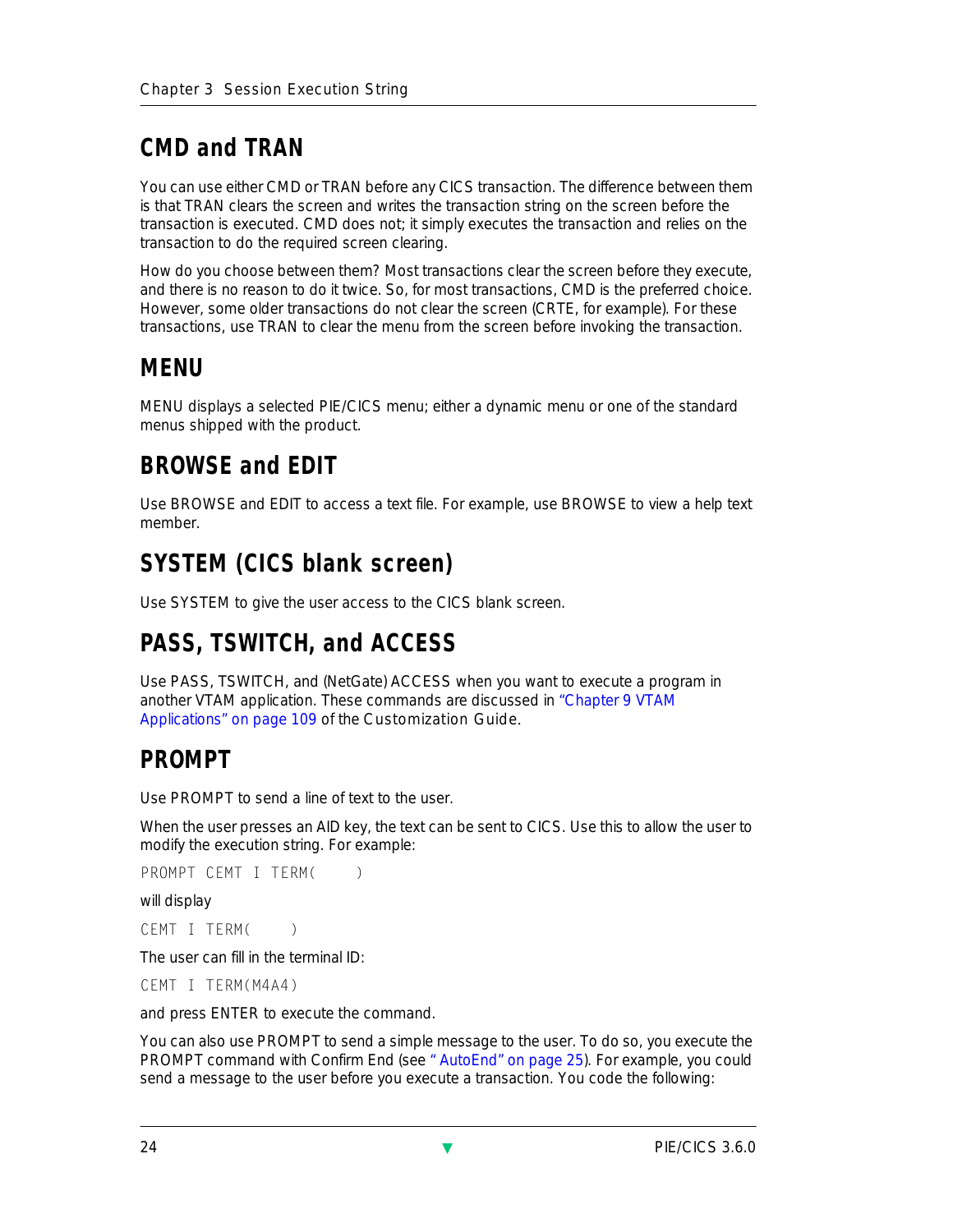## <span id="page-35-0"></span>**CMD and TRAN**

You can use either CMD or TRAN before any CICS transaction. The difference between them is that TRAN clears the screen and writes the transaction string on the screen before the transaction is executed. CMD does not; it simply executes the transaction and relies on the transaction to do the required screen clearing.

How do you choose between them? Most transactions clear the screen before they execute, and there is no reason to do it twice. So, for most transactions, CMD is the preferred choice. However, some older transactions do not clear the screen (CRTE, for example). For these transactions, use TRAN to clear the menu from the screen before invoking the transaction.

### <span id="page-35-1"></span>**MENU**

MENU displays a selected PIE/CICS menu; either a dynamic menu or one of the standard menus shipped with the product.

### <span id="page-35-2"></span>**BROWSE and EDIT**

Use BROWSE and EDIT to access a text file. For example, use BROWSE to view a help text member.

### <span id="page-35-3"></span>**SYSTEM (CICS blank screen)**

Use SYSTEM to give the user access to the CICS blank screen.

### <span id="page-35-4"></span>**PASS, TSWITCH, and ACCESS**

Use PASS, TSWITCH, and (NetGate) ACCESS when you want to execute a program in another VTAM application. These commands are discussed in "Chapter 9 VTAM Applications" on page 109 of the *Customization Guide*.

### <span id="page-35-5"></span>**PROMPT**

Use PROMPT to send a line of text to the user.

When the user presses an AID key, the text can be sent to CICS. Use this to allow the user to modify the execution string. For example:

```
PROMPT CEMT I TERM()
```
will display

CEMT I TERM()

The user can fill in the terminal ID:

CEMT I TERM(M4A4)

and press ENTER to execute the command.

You can also use PROMPT to send a simple message to the user. To do so, you execute the PROMPT command with Confirm End (see [" AutoEnd" on page 25](#page-36-0)). For example, you could send a message to the user before you execute a transaction. You code the following: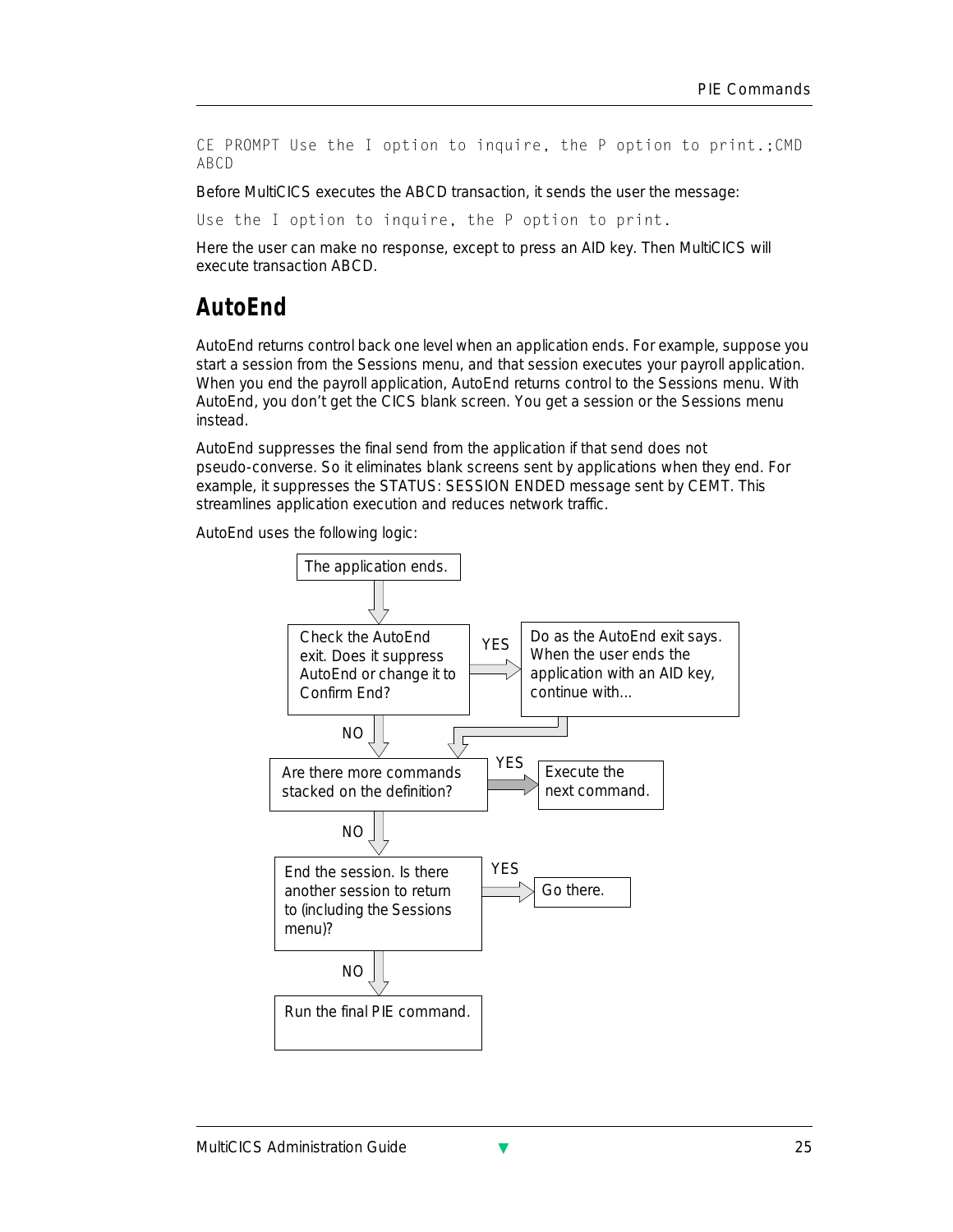CE PROMPT Use the I option to inquire, the P option to print.;CMD ABCD

Before MultiCICS executes the ABCD transaction, it sends the user the message:

Use the I option to inquire, the P option to print.

Here the user can make no response, except to press an AID key. Then MultiCICS will execute transaction ABCD.

### **AutoEnd**

AutoEnd returns control back one level when an application ends. For example, suppose you start a session from the Sessions menu, and that session executes your payroll application. When you end the payroll application, AutoEnd returns control to the Sessions menu. With AutoEnd, you don't get the CICS blank screen. You get a session or the Sessions menu instead.

AutoEnd suppresses the final send from the application if that send does not pseudo-converse. So it eliminates blank screens sent by applications when they end. For example, it suppresses the STATUS: SESSION ENDED message sent by CEMT. This streamlines application execution and reduces network traffic.

AutoEnd uses the following logic:

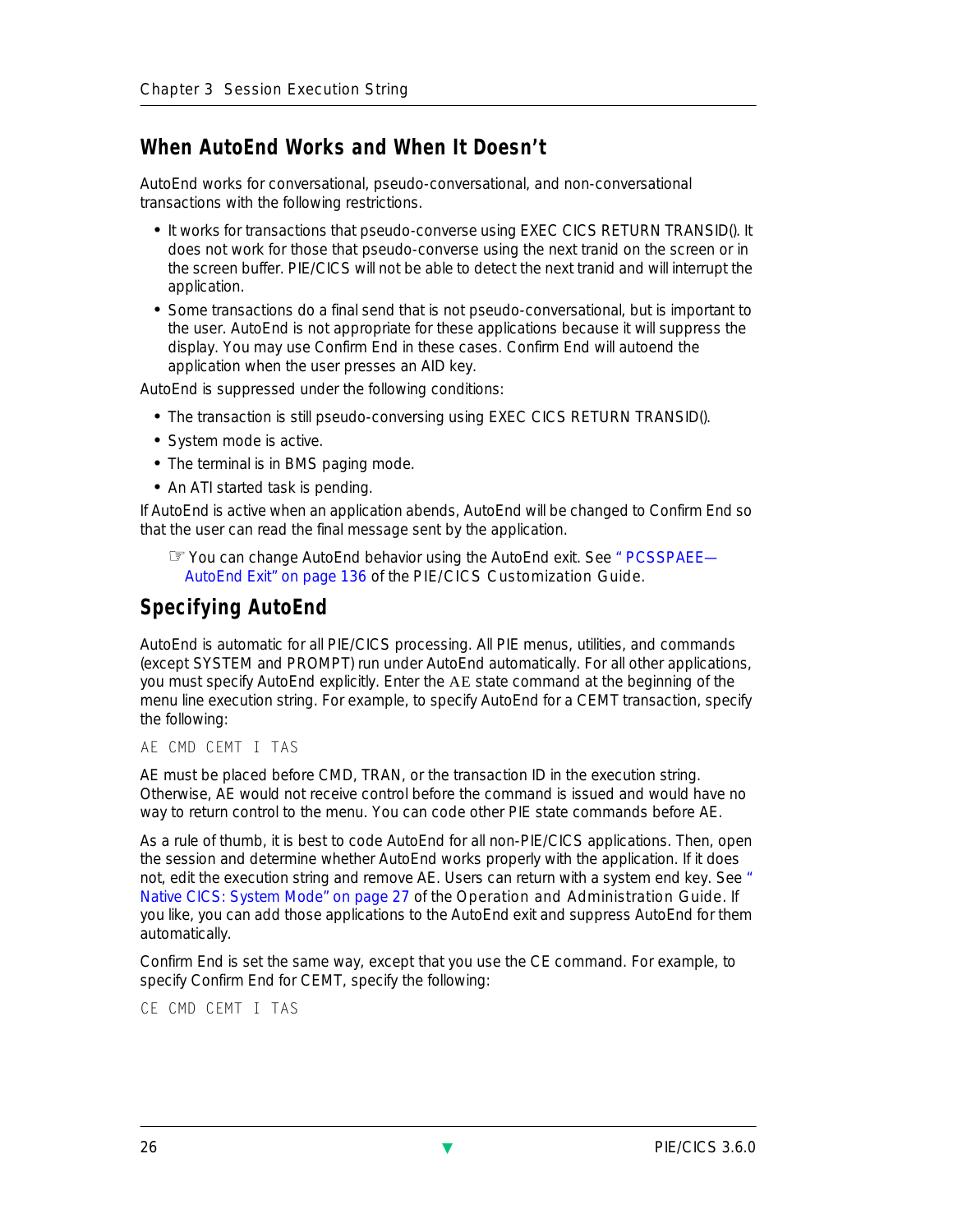### **When AutoEnd Works and When It Doesn't**

AutoEnd works for conversational, pseudo-conversational, and non-conversational transactions with the following restrictions.

- **•** It works for transactions that pseudo-converse using EXEC CICS RETURN TRANSID(). It does not work for those that pseudo-converse using the next tranid on the screen or in the screen buffer. PIE/CICS will not be able to detect the next tranid and will interrupt the application.
- **•** Some transactions do a final send that is not pseudo-conversational, but is important to the user. AutoEnd is not appropriate for these applications because it will suppress the display. You may use Confirm End in these cases. Confirm End will autoend the application when the user presses an AID key.

AutoEnd is suppressed under the following conditions:

- **•** The transaction is still pseudo-conversing using EXEC CICS RETURN TRANSID().
- **•** System mode is active.
- **•** The terminal is in BMS paging mode.
- **•** An ATI started task is pending.

If AutoEnd is active when an application abends, AutoEnd will be changed to Confirm End so that the user can read the final message sent by the application.

☞You can change AutoEnd behavior using the AutoEnd exit. See " PCSSPAEE— AutoEnd Exit" on page 136 of the *PIE/CICS Customization Guide*.

### **Specifying AutoEnd**

AutoEnd is automatic for all PIE/CICS processing. All PIE menus, utilities, and commands (except SYSTEM and PROMPT) run under AutoEnd automatically. For all other applications, you must specify AutoEnd explicitly. Enter the AE state command at the beginning of the menu line execution string. For example, to specify AutoEnd for a CEMT transaction, specify the following:

AE CMD CEMT I TAS

AE must be placed before CMD, TRAN, or the transaction ID in the execution string. Otherwise, AE would not receive control before the command is issued and would have no way to return control to the menu. You can code other PIE state commands before AE.

As a rule of thumb, it is best to code AutoEnd for all non-PIE/CICS applications. Then, open the session and determine whether AutoEnd works properly with the application. If it does not, edit the execution string and remove AE. Users can return with a system end key. See " Native CICS: System Mode" on page 27 of the *Operation and Administration Guide*. If you like, you can add those applications to the AutoEnd exit and suppress AutoEnd for them automatically.

Confirm End is set the same way, except that you use the CE command. For example, to specify Confirm End for CEMT, specify the following:

CE CMD CEMT I TAS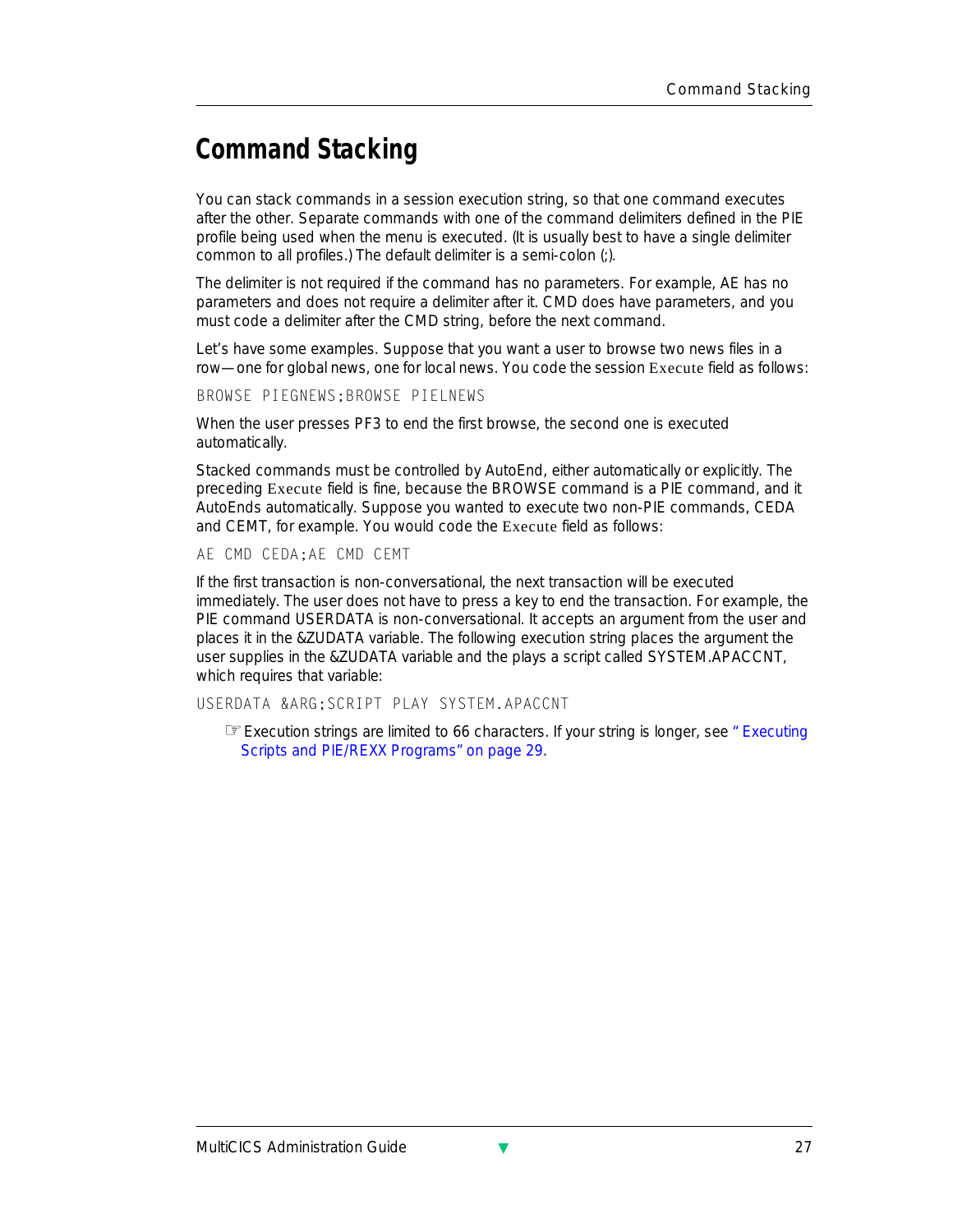# **Command Stacking**

You can stack commands in a session execution string, so that one command executes after the other. Separate commands with one of the command delimiters defined in the PIE profile being used when the menu is executed. (It is usually best to have a single delimiter common to all profiles.) The default delimiter is a semi-colon (;).

The delimiter is not required if the command has no parameters. For example, AE has no parameters and does not require a delimiter after it. CMD does have parameters, and you must code a delimiter after the CMD string, before the next command.

Let's have some examples. Suppose that you want a user to browse two news files in a row—one for global news, one for local news. You code the session Execute field as follows:

BROWSE PIEGNEWS;BROWSE PIELNEWS

When the user presses PF3 to end the first browse, the second one is executed automatically.

Stacked commands must be controlled by AutoEnd, either automatically or explicitly. The preceding Execute field is fine, because the BROWSE command is a PIE command, and it AutoEnds automatically. Suppose you wanted to execute two non-PIE commands, CEDA and CEMT, for example. You would code the Execute field as follows:

AE CMD CEDA;AE CMD CEMT

If the first transaction is non-conversational, the next transaction will be executed immediately. The user does not have to press a key to end the transaction. For example, the PIE command USERDATA is non-conversational. It accepts an argument from the user and places it in the &ZUDATA variable. The following execution string places the argument the user supplies in the &ZUDATA variable and the plays a script called SYSTEM.APACCNT, which requires that variable:

USERDATA &ARG;SCRIPT PLAY SYSTEM.APACCNT

☞Execution strings are limited to 66 characters. If your string is longer, see [" Executing](#page-40-0)  [Scripts and PIE/REXX Programs" on page 29](#page-40-0).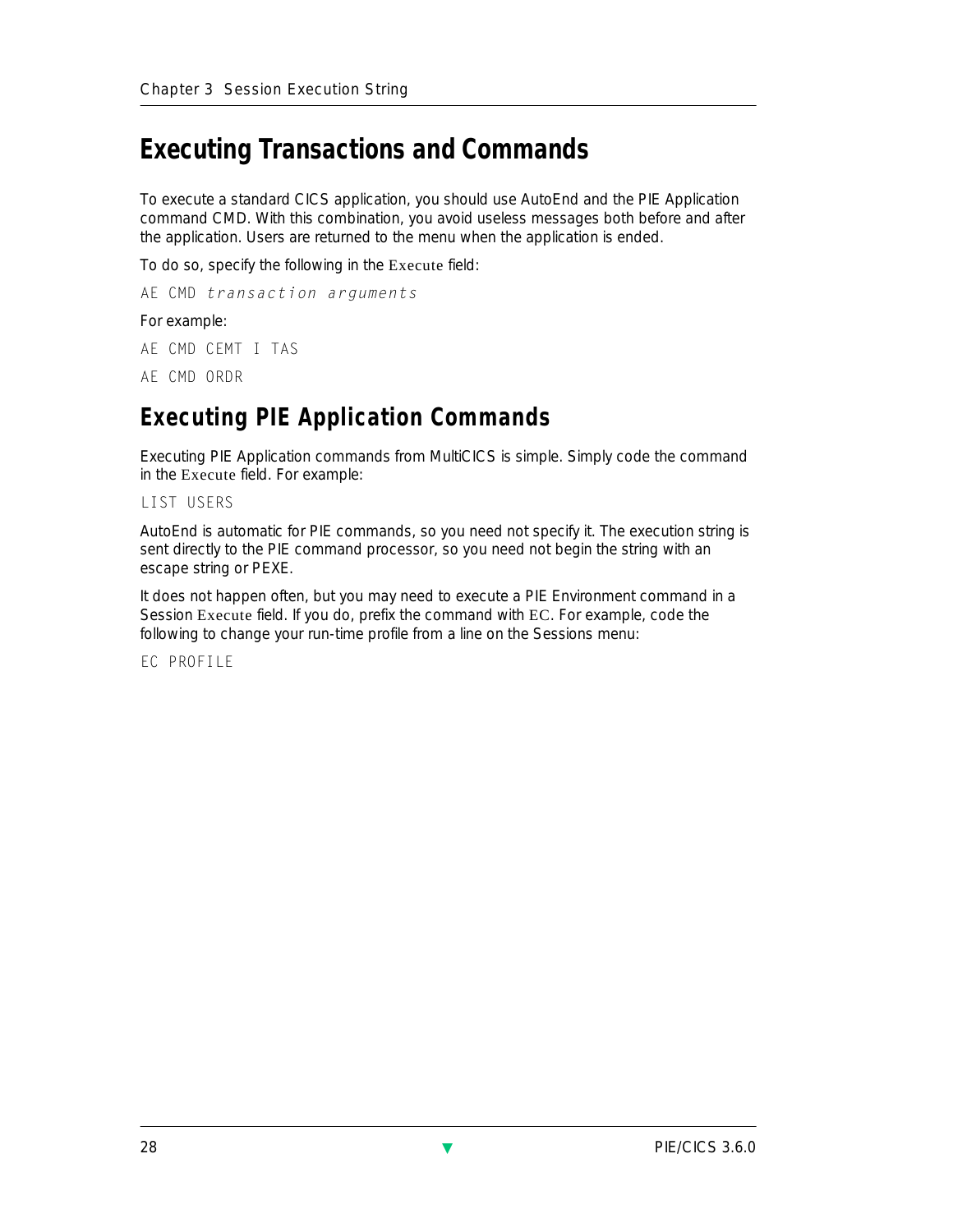# **Executing Transactions and Commands**

To execute a standard CICS application, you should use AutoEnd and the PIE Application command CMD. With this combination, you avoid useless messages both before and after the application. Users are returned to the menu when the application is ended.

To do so, specify the following in the Execute field:

AE CMD *transaction arguments*

For example:

AE CMD CEMT I TAS

AE CMD ORDR

### **Executing PIE Application Commands**

Executing PIE Application commands from MultiCICS is simple. Simply code the command in the Execute field. For example:

LIST USERS

AutoEnd is automatic for PIE commands, so you need not specify it. The execution string is sent directly to the PIE command processor, so you need not begin the string with an escape string or PEXE.

It does not happen often, but you may need to execute a PIE Environment command in a Session Execute field. If you do, prefix the command with EC. For example, code the following to change your run-time profile from a line on the Sessions menu:

EC PROFILE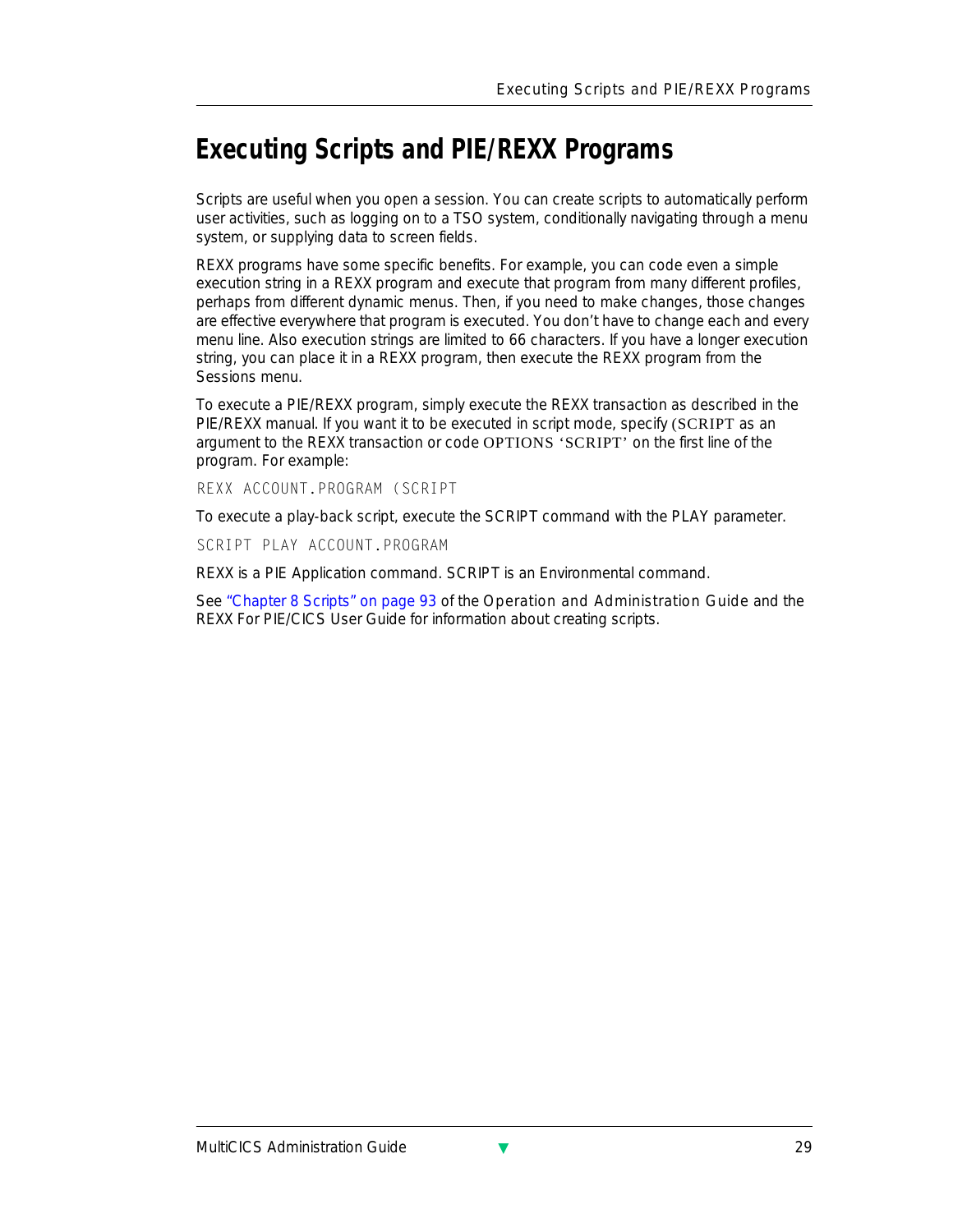# <span id="page-40-0"></span>**Executing Scripts and PIE/REXX Programs**

Scripts are useful when you open a session. You can create scripts to automatically perform user activities, such as logging on to a TSO system, conditionally navigating through a menu system, or supplying data to screen fields.

REXX programs have some specific benefits. For example, you can code even a simple execution string in a REXX program and execute that program from many different profiles, perhaps from different dynamic menus. Then, if you need to make changes, those changes are effective everywhere that program is executed. You don't have to change each and every menu line. Also execution strings are limited to 66 characters. If you have a longer execution string, you can place it in a REXX program, then execute the REXX program from the Sessions menu.

To execute a PIE/REXX program, simply execute the REXX transaction as described in the PIE/REXX manual. If you want it to be executed in script mode, specify (SCRIPT as an argument to the REXX transaction or code OPTIONS 'SCRIPT' on the first line of the program. For example:

REXX ACCOUNT.PROGRAM (SCRIPT

To execute a play-back script, execute the SCRIPT command with the PLAY parameter.

SCRIPT PLAY ACCOUNT.PROGRAM

REXX is a PIE Application command. SCRIPT is an Environmental command.

See "Chapter 8 Scripts" on page 93 of the *Operation and Administration Guide* and the *REXX For PIE/CICS User Guide* for information about creating scripts.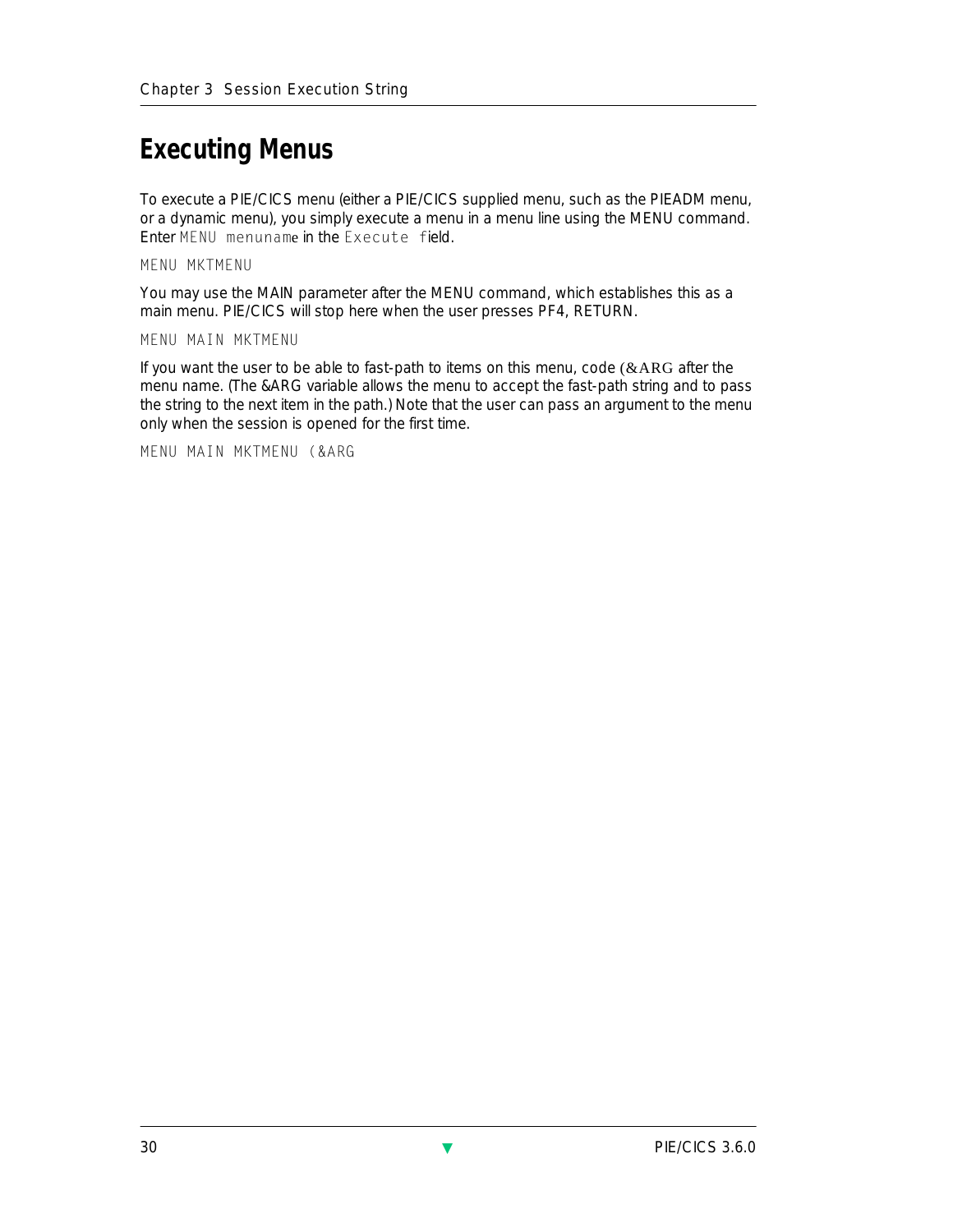# **Executing Menus**

To execute a PIE/CICS menu (either a PIE/CICS supplied menu, such as the PIEADM menu, or a dynamic menu), you simply execute a menu in a menu line using the MENU command. Enter MENU menuname in the Execute field.

MENU MKTMENU

You may use the MAIN parameter after the MENU command, which establishes this as a main menu. PIE/CICS will stop here when the user presses PF4, RETURN.

MENU MAIN MKTMENU

If you want the user to be able to fast-path to items on this menu, code  $(\&$ ARG after the menu name. (The &ARG variable allows the menu to accept the fast-path string and to pass the string to the next item in the path.) Note that the user can pass an argument to the menu only when the session is opened for the first time.

MENU MAIN MKTMENU (&ARG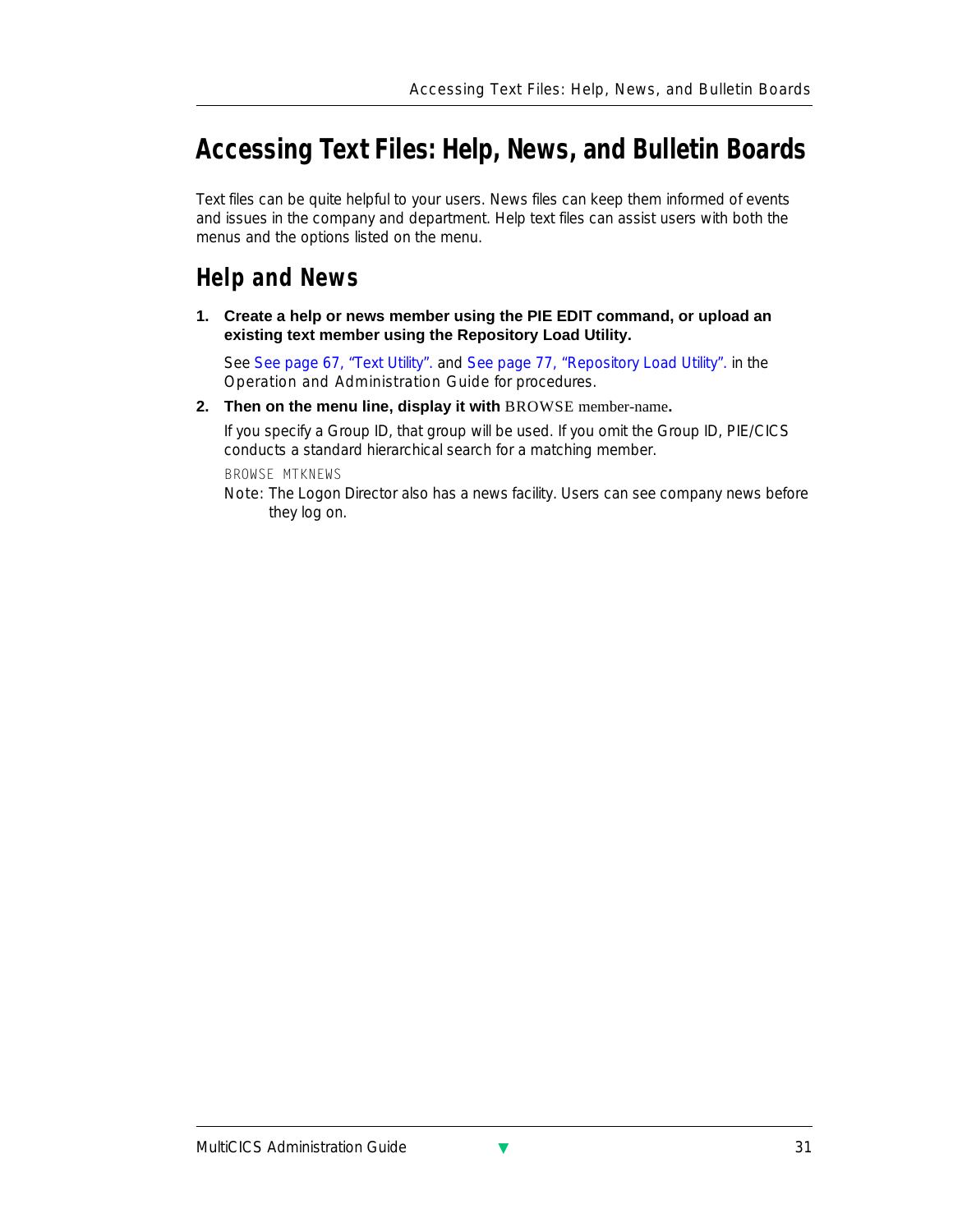# **Accessing Text Files: Help, News, and Bulletin Boards**

Text files can be quite helpful to your users. News files can keep them informed of events and issues in the company and department. Help text files can assist users with both the menus and the options listed on the menu.

### **Help and News**

**1. Create a help or news member using the PIE EDIT command, or upload an existing text member using the Repository Load Utility.**

See See page 67, "Text Utility". and See page 77, "Repository Load Utility". in the *Operation and Administration Guide* for procedures.

**2. Then on the menu line, display it with** BROWSE member-name**.** 

If you specify a Group ID, that group will be used. If you omit the Group ID, PIE/CICS conducts a standard hierarchical search for a matching member.

BROWSE MTKNEWS

Note: The Logon Director also has a news facility. Users can see company news before they log on.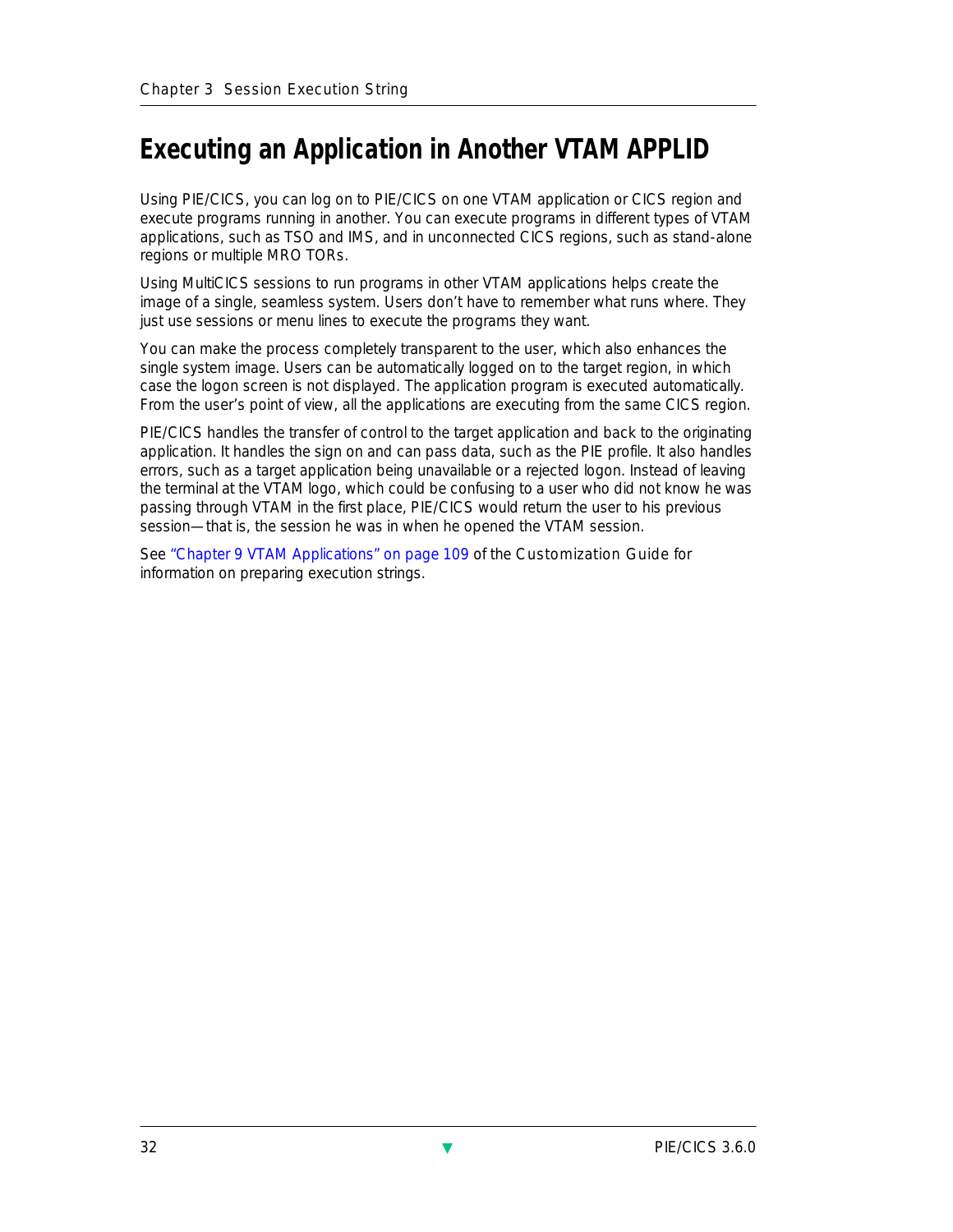# **Executing an Application in Another VTAM APPLID**

Using PIE/CICS, you can log on to PIE/CICS on one VTAM application or CICS region and execute programs running in another. You can execute programs in different types of VTAM applications, such as TSO and IMS, and in unconnected CICS regions, such as stand-alone regions or multiple MRO TORs.

Using MultiCICS sessions to run programs in other VTAM applications helps create the image of a single, seamless system. Users don't have to remember what runs where. They just use sessions or menu lines to execute the programs they want.

You can make the process completely transparent to the user, which also enhances the single system image. Users can be automatically logged on to the target region, in which case the logon screen is not displayed. The application program is executed automatically. From the user's point of view, all the applications are executing from the same CICS region.

PIE/CICS handles the transfer of control to the target application and back to the originating application. It handles the sign on and can pass data, such as the PIE profile. It also handles errors, such as a target application being unavailable or a rejected logon. Instead of leaving the terminal at the VTAM logo, which could be confusing to a user who did not know he was passing through VTAM in the first place, PIE/CICS would return the user to his previous session—that is, the session he was in when he opened the VTAM session.

See "Chapter 9 VTAM Applications" on page 109 of the *Customization Guide* for information on preparing execution strings.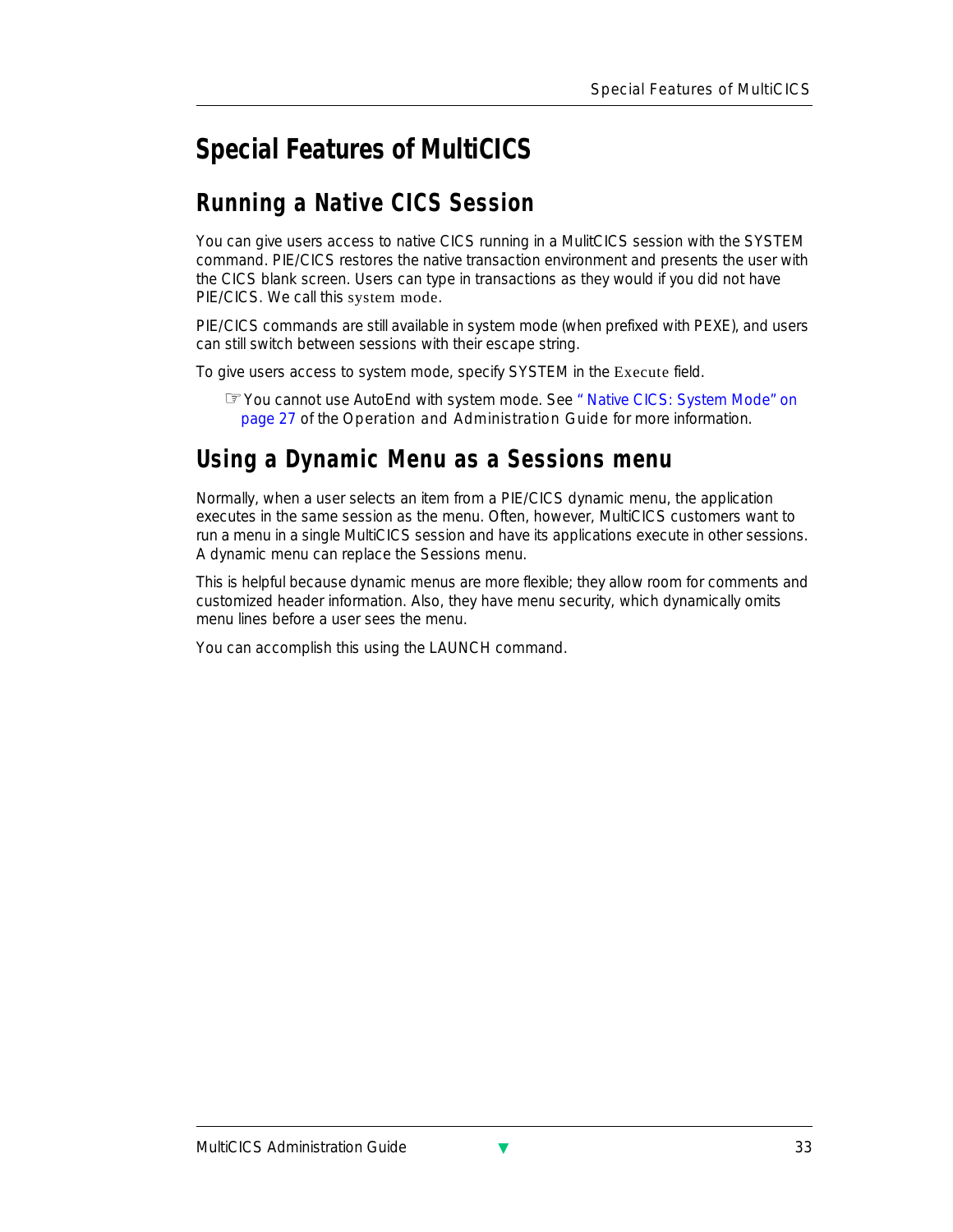# **Special Features of MultiCICS**

## **Running a Native CICS Session**

You can give users access to native CICS running in a MulitCICS session with the SYSTEM command. PIE/CICS restores the native transaction environment and presents the user with the CICS blank screen. Users can type in transactions as they would if you did not have PIE/CICS. We call this system mode.

PIE/CICS commands are still available in system mode (when prefixed with PEXE), and users can still switch between sessions with their escape string.

To give users access to system mode, specify SYSTEM in the Execute field.

☞You cannot use AutoEnd with system mode. See " Native CICS: System Mode" on page 27 of the *Operation and Administration Guide* for more information.

### **Using a Dynamic Menu as a Sessions menu**

Normally, when a user selects an item from a PIE/CICS dynamic menu, the application executes in the same session as the menu. Often, however, MultiCICS customers want to run a menu in a single MultiCICS session and have its applications execute in other sessions. A dynamic menu can replace the Sessions menu.

This is helpful because dynamic menus are more flexible; they allow room for comments and customized header information. Also, they have menu security, which dynamically omits menu lines before a user sees the menu.

You can accomplish this using the LAUNCH command.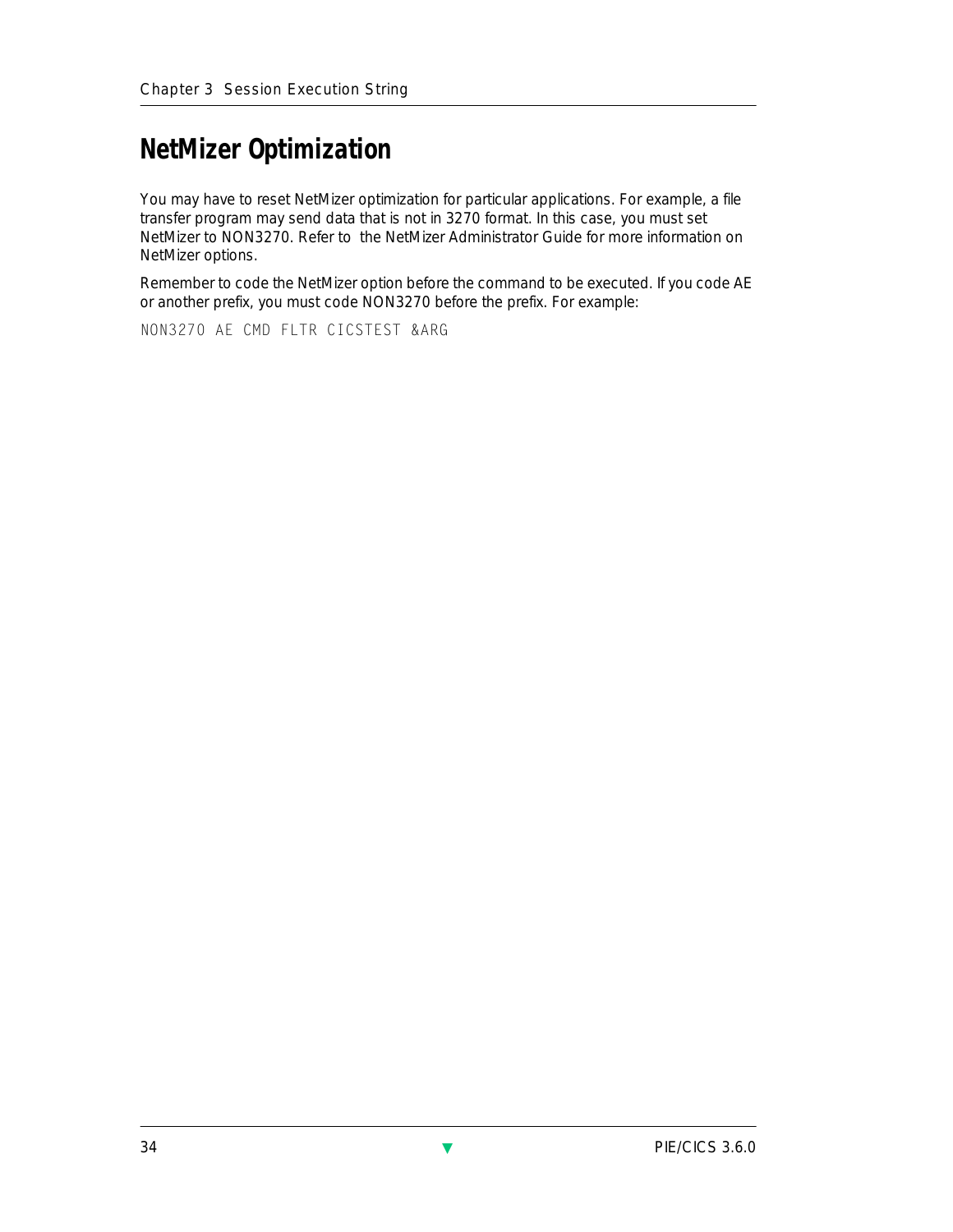# **NetMizer Optimization**

You may have to reset NetMizer optimization for particular applications. For example, a file transfer program may send data that is not in 3270 format. In this case, you must set NetMizer to NON3270. Refer to the *NetMizer Administrator Guide* for more information on NetMizer options.

Remember to code the NetMizer option before the command to be executed. If you code AE or another prefix, you must code NON3270 before the prefix. For example:

NON3270 AE CMD FLTR CICSTEST &ARG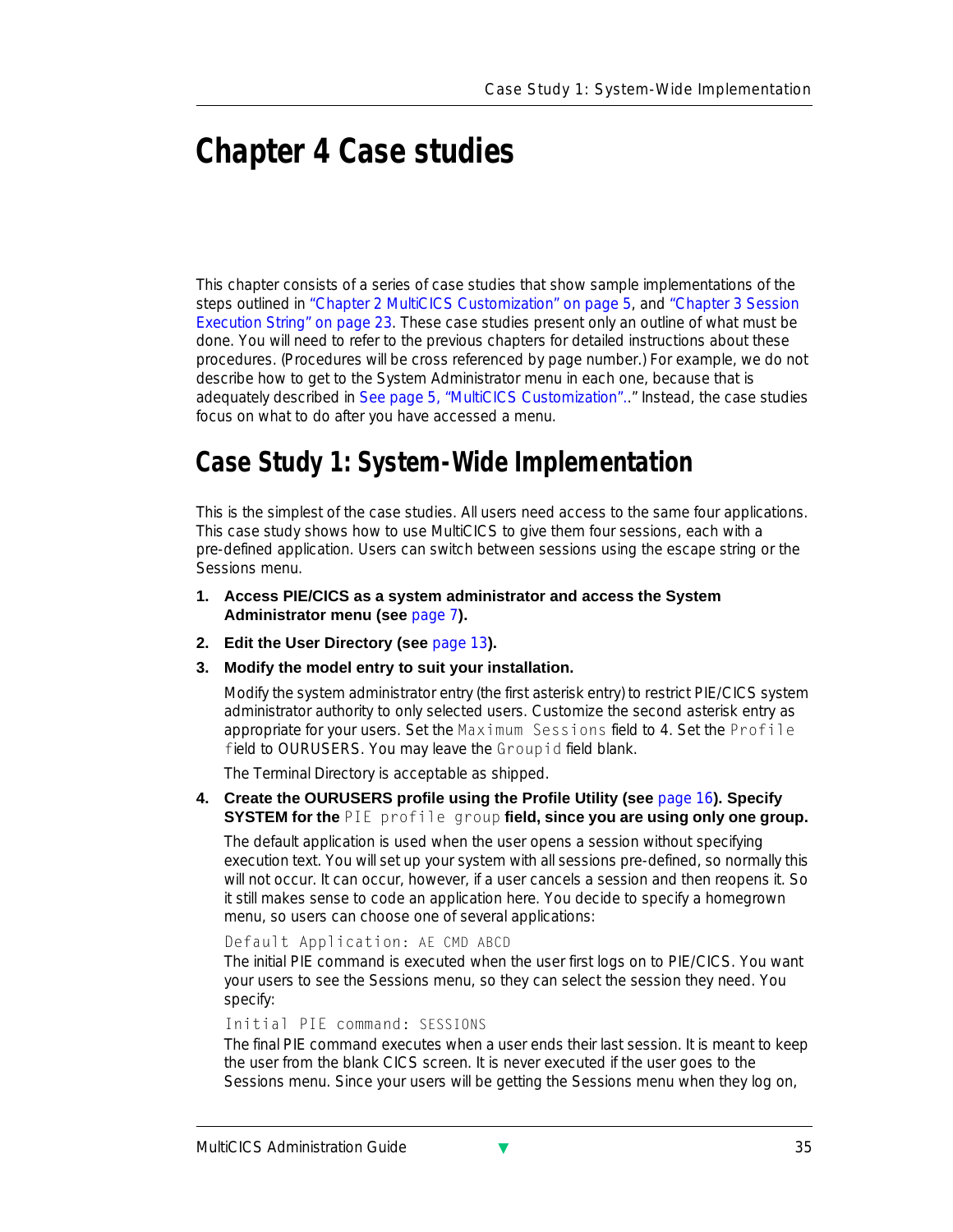# **Chapter 4 Case studies**

This chapter consists of a series of case studies that show sample implementations of the steps outlined in ["Chapter 2 MultiCICS Customization" on page 5,](#page-16-0) and ["Chapter 3 Session](#page-34-0)  [Execution String" on page 23.](#page-34-0) These case studies present only an outline of what must be done. You will need to refer to the previous chapters for detailed instructions about these procedures. (Procedures will be cross referenced by page number.) For example, we do not describe how to get to the System Administrator menu in each one, because that is adequately described in [See page 5, "MultiCICS Customization".](#page-16-0)." Instead, the case studies focus on what to do after you have accessed a menu.

# <span id="page-46-0"></span>**Case Study 1: System-Wide Implementation**

This is the simplest of the case studies. All users need access to the same four applications. This case study shows how to use MultiCICS to give them four sessions, each with a pre-defined application. Users can switch between sessions using the escape string or the Sessions menu.

- **1. Access PIE/CICS as a system administrator and access the System Administrator menu (see** [page 7](#page-18-0)**).**
- **2. Edit the User Directory (see** [page 13](#page-24-0)**).**
- **3. Modify the model entry to suit your installation.**

Modify the system administrator entry (the first asterisk entry) to restrict PIE/CICS system administrator authority to only selected users. Customize the second asterisk entry as appropriate for your users. Set the Maximum Sessions field to 4. Set the Profile field to OURUSERS. You may leave the Groupid field blank.

The Terminal Directory is acceptable as shipped.

#### **4. Create the OURUSERS profile using the Profile Utility (see** [page 16](#page-27-0)**). Specify SYSTEM for the** PIE profile group **field, since you are using only one group.**

The default application is used when the user opens a session without specifying execution text. You will set up your system with all sessions pre-defined, so normally this will not occur. It can occur, however, if a user cancels a session and then reopens it. So it still makes sense to code an application here. You decide to specify a homegrown menu, so users can choose one of several applications:

Default Application: AE CMD ABCD

The initial PIE command is executed when the user first logs on to PIE/CICS. You want your users to see the Sessions menu, so they can select the session they need. You specify:

Initial PIE command: SESSIONS

The final PIE command executes when a user ends their last session. It is meant to keep the user from the blank CICS screen. It is never executed if the user goes to the Sessions menu. Since your users will be getting the Sessions menu when they log on,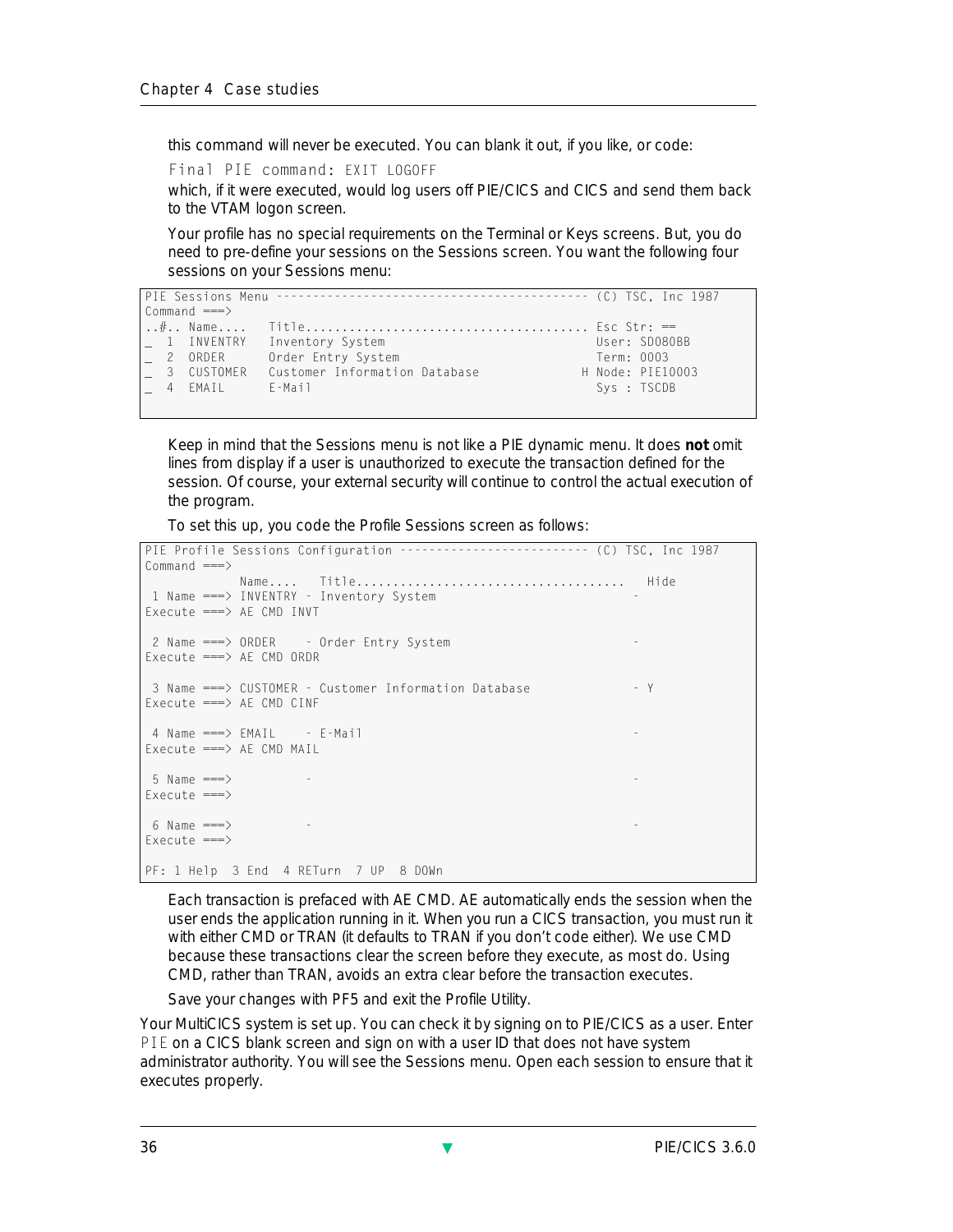this command will never be executed. You can blank it out, if you like, or code:

Final PIE command: EXIT LOGOFF

which, if it were executed, would log users off PIE/CICS and CICS and send them back to the VTAM logon screen.

Your profile has no special requirements on the Terminal or Keys screens. But, you do need to pre-define your sessions on the Sessions screen. You want the following four sessions on your Sessions menu:

```
PIE Sessions Menu ------------------------------------------- (C) TSC, Inc 1987
Commoned ===>..#.. Name.... Title....................................... Esc Str: ==
_ 1 INVENTRY Inventory System User: SD080BB
_ 2 ORDER Order Entry System Term: 0003
_ 3 CUSTOMER Customer Information Database H Node: PIE10003
 _ 4 EMAIL E-Mail Sys : TSCDB
```
Keep in mind that the Sessions menu is not like a PIE dynamic menu. It does **not** omit lines from display if a user is unauthorized to execute the transaction defined for the session. Of course, your external security will continue to control the actual execution of the program.

To set this up, you code the Profile Sessions screen as follows:

```
PIE Profile Sessions Configuration -------------------------- (C) TSC, Inc 1987
\text{Command} \implies \text{Name} \dots Name.... Title..................................... Hide
1 Name ===> INVENTRY - Inventory System
Execute ===> AE CMD INVT
2 Name === > ORDER - Order Entry System
Execute ===> AE CMD ORDR
3 Name ==> CUSTOMER - Customer Information Database - Y
Execute ===> AE CMD CINF
4 Name ==> EMAIL - E-Mail
Execute ===> AE CMD MAIL
5 Name \RightarrowFxecute ===>6 Name \equiv =\gtExecute \equiv -\ranglePF: 1 Help 3 End 4 RETurn 7 UP 8 DOWn
```
Each transaction is prefaced with AE CMD. AE automatically ends the session when the user ends the application running in it. When you run a CICS transaction, you must run it with either CMD or TRAN (it defaults to TRAN if you don't code either). We use CMD because these transactions clear the screen before they execute, as most do. Using CMD, rather than TRAN, avoids an extra clear before the transaction executes.

Save your changes with PF5 and exit the Profile Utility.

Your MultiCICS system is set up. You can check it by signing on to PIE/CICS as a user. Enter PIE on a CICS blank screen and sign on with a user ID that does not have system administrator authority. You will see the Sessions menu. Open each session to ensure that it executes properly.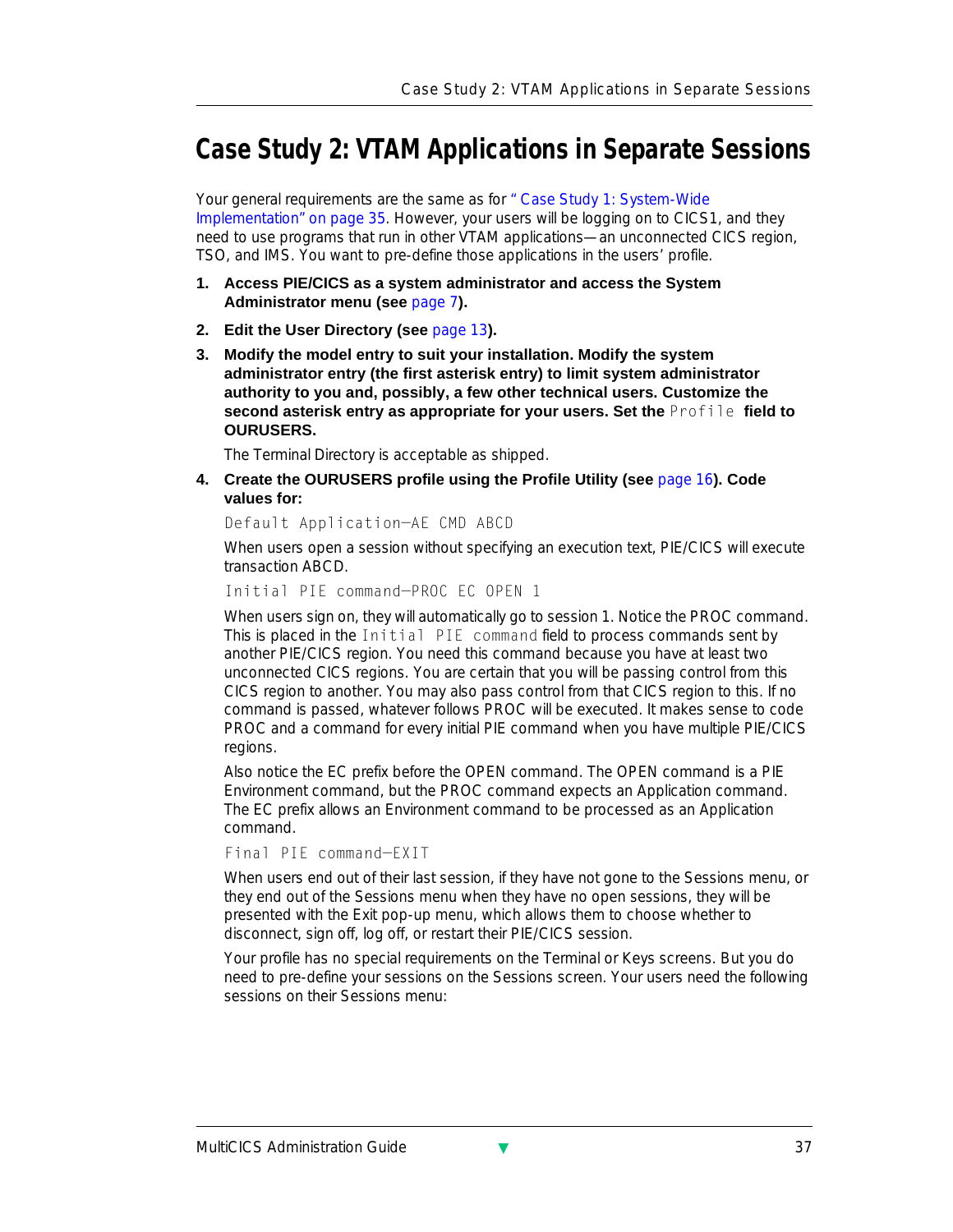# **Case Study 2: VTAM Applications in Separate Sessions**

Your general requirements are the same as for " Case Study 1: System-Wide [Implementation" on page 35.](#page-46-0) However, your users will be logging on to CICS1, and they need to use programs that run in other VTAM applications—an unconnected CICS region, TSO, and IMS. You want to pre-define those applications in the users' profile.

- **1. Access PIE/CICS as a system administrator and access the System Administrator menu (see** [page 7](#page-18-0)**).**
- **2. Edit the User Directory (see** [page 13](#page-24-0)**).**
- **3. Modify the model entry to suit your installation. Modify the system administrator entry (the first asterisk entry) to limit system administrator authority to you and, possibly, a few other technical users. Customize the second asterisk entry as appropriate for your users. Set the** Profile **field to OURUSERS.**

The Terminal Directory is acceptable as shipped.

**4. Create the OURUSERS profile using the Profile Utility (see** [page 16](#page-27-0)**). Code values for:**

Default Application—AE CMD ABCD

When users open a session without specifying an execution text, PIE/CICS will execute transaction ABCD.

Initial PIE command—PROC EC OPEN 1

When users sign on, they will automatically go to session 1. Notice the PROC command. This is placed in the Initial PIE command field to process commands sent by another PIE/CICS region. You need this command because you have at least two unconnected CICS regions. You are certain that you will be passing control from this CICS region to another. You may also pass control from that CICS region to this. If no command is passed, whatever follows PROC will be executed. It makes sense to code PROC and a command for every initial PIE command when you have multiple PIE/CICS regions.

Also notice the EC prefix before the OPEN command. The OPEN command is a PIE Environment command, but the PROC command expects an Application command. The EC prefix allows an Environment command to be processed as an Application command.

Final PIE command—EXIT

When users end out of their last session, if they have not gone to the Sessions menu, or they end out of the Sessions menu when they have no open sessions, they will be presented with the Exit pop-up menu, which allows them to choose whether to disconnect, sign off, log off, or restart their PIE/CICS session.

Your profile has no special requirements on the Terminal or Keys screens. But you do need to pre-define your sessions on the Sessions screen. Your users need the following sessions on their Sessions menu: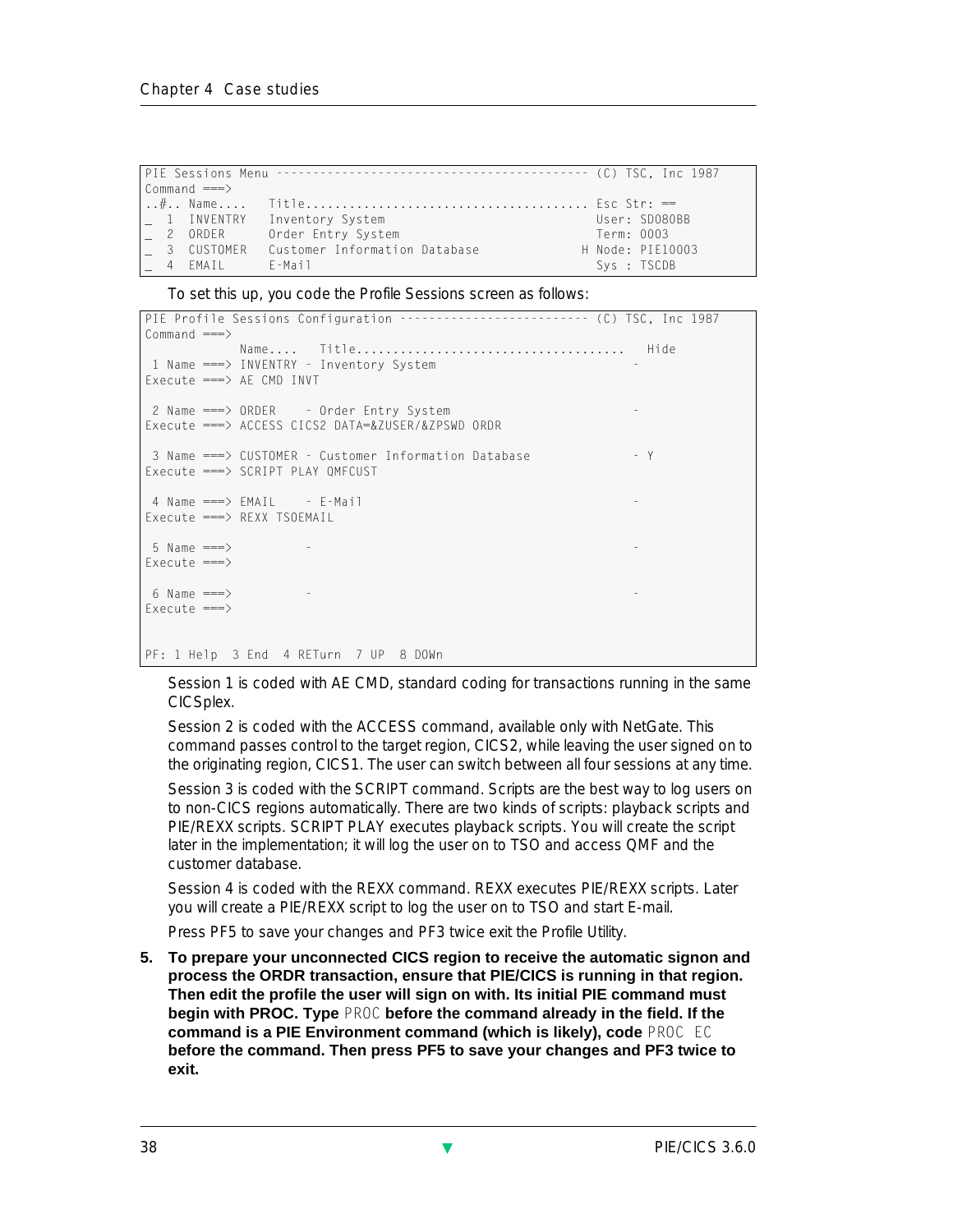|  | Command $\Rightarrow$ |                                          |            |                  |
|--|-----------------------|------------------------------------------|------------|------------------|
|  |                       |                                          |            |                  |
|  |                       | 1 INVENTRY Inventory System              |            | User: SD080BB    |
|  |                       | 2 ORDER Order Entry System               | Term: 0003 |                  |
|  |                       | 3 CUSTOMER Customer Information Database |            | H Node: PIF10003 |
|  | 4 FMATI               | F-Mail                                   |            | Sys : TSCDB      |

To set this up, you code the Profile Sessions screen as follows:

| PIE Profile Sessions Configuration ------------------------- (C) TSC, Inc 1987                                             |  |  |  |
|----------------------------------------------------------------------------------------------------------------------------|--|--|--|
| Command $\Rightarrow$<br>1 Name ===> INVENTRY - Inventory System<br>$Execute ==> AE$ CMD INVT                              |  |  |  |
| 2 Name ===> ORDER - Order Entry System<br>Execute ===> ACCESS CICS2 DATA=&ZUSER/&ZPSWD ORDR                                |  |  |  |
| $- Y$<br>3 Name ===> CUSTOMER - Customer Information Database<br>$Execute \n\equiv \Rightarrow \text{SCRIPT PLAY OMFCUST}$ |  |  |  |
| 4 Name ===> EMAIL - E-Mail<br>$Execute ==> REXX TSOEMAIL$                                                                  |  |  |  |
| $5$ Name $\Rightarrow$<br>$Fxecute ===$                                                                                    |  |  |  |
| 6 Name $\Rightarrow$<br>$\sim$<br>$Execute == $                                                                            |  |  |  |
| PF: 1 Help 3 End 4 RETurn 7 UP 8 DOWn                                                                                      |  |  |  |

Session 1 is coded with AE CMD, standard coding for transactions running in the same CICSplex.

Session 2 is coded with the ACCESS command, available only with NetGate. This command passes control to the target region, CICS2, while leaving the user signed on to the originating region, CICS1. The user can switch between all four sessions at any time.

Session 3 is coded with the SCRIPT command. Scripts are the best way to log users on to non-CICS regions automatically. There are two kinds of scripts: playback scripts and PIE/REXX scripts. SCRIPT PLAY executes playback scripts. You will create the script later in the implementation; it will log the user on to TSO and access QMF and the customer database.

Session 4 is coded with the REXX command. REXX executes PIE/REXX scripts. Later you will create a PIE/REXX script to log the user on to TSO and start E-mail.

Press PF5 to save your changes and PF3 twice exit the Profile Utility.

**5. To prepare your unconnected CICS region to receive the automatic signon and process the ORDR transaction, ensure that PIE/CICS is running in that region. Then edit the profile the user will sign on with. Its initial PIE command must begin with PROC. Type** PROC **before the command already in the field. If the command is a PIE Environment command (which is likely), code** PROC EC **before the command. Then press PF5 to save your changes and PF3 twice to exit.**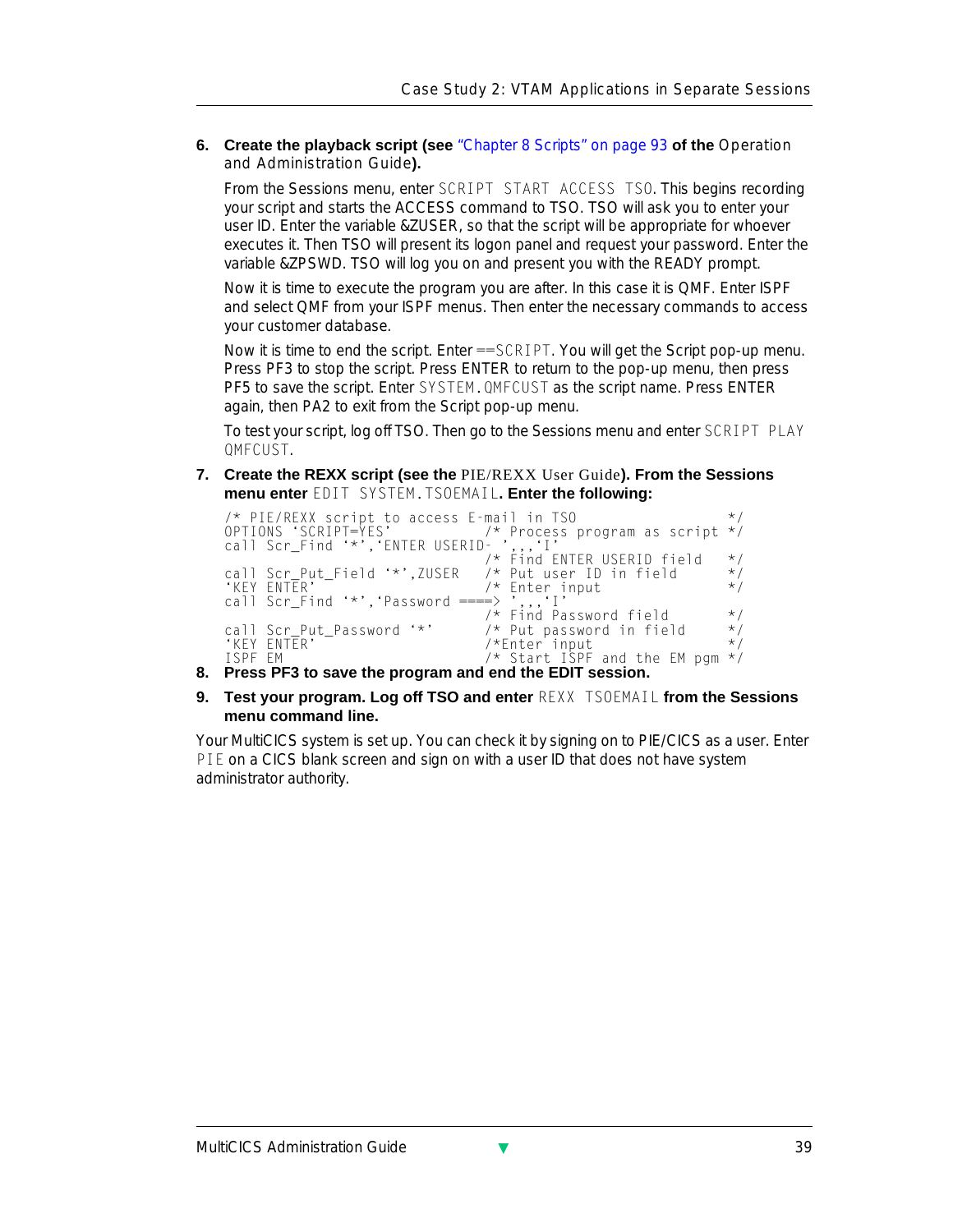**6. Create the playback script (see** "Chapter 8 Scripts" on page 93 **of the** *Operation and Administration Guide***).** 

From the Sessions menu, enter SCRIPT START ACCESS TSO. This begins recording your script and starts the ACCESS command to TSO. TSO will ask you to enter your user ID. Enter the variable &ZUSER, so that the script will be appropriate for whoever executes it. Then TSO will present its logon panel and request your password. Enter the variable &ZPSWD. TSO will log you on and present you with the READY prompt.

Now it is time to execute the program you are after. In this case it is QMF. Enter ISPF and select QMF from your ISPF menus. Then enter the necessary commands to access your customer database.

Now it is time to end the script. Enter ==SCRIPT. You will get the Script pop-up menu. Press PF3 to stop the script. Press ENTER to return to the pop-up menu, then press PF5 to save the script. Enter SYSTEM.QMFCUST as the script name. Press ENTER again, then PA2 to exit from the Script pop-up menu.

To test your script, log off TSO. Then go to the Sessions menu and enter SCRIPT PLAY QMFCUST.

**7. Create the REXX script (see the** PIE/REXX User Guide**). From the Sessions menu enter** EDIT SYSTEM.TSOEMAIL**. Enter the following:**

/\* PIE/REXX script to access E-mail in TSO  $*$ /<br>OPTIONS 'SCRIPT=YES' /\* Process program as script \*/ OPTIONS 'SCRIPT=YES' /\* Process program as script \*/ call Scr\_Find '\*','ENTER USERID- ',,,'I' /\* Find ENTER USERID field \*/ call Scr\_Put\_Field '\*',ZUSER /\* Put user ID in field \*/  $/*$  Enter input call Scr\_Find '\*', 'Password ====> ' ==> ',,,'l'<br>/\* Find Password field \*/<br>/\* Put password in field \*/ call Scr\_Put\_Password '\*' /\* Put password in field \*/<br>'KEY ENTER' /\*Enter input \*/<br>ISPF EM /\* Start ISPF and the EM pam \*/ /\*Enter input  $1$ <sup>\*</sup> Start ISPF and the FM pgm  $*/$ 

- **8. Press PF3 to save the program and end the EDIT session.**
- **9. Test your program. Log off TSO and enter** REXX TSOEMAIL **from the Sessions menu command line.**

Your MultiCICS system is set up. You can check it by signing on to PIE/CICS as a user. Enter PIE on a CICS blank screen and sign on with a user ID that does not have system administrator authority.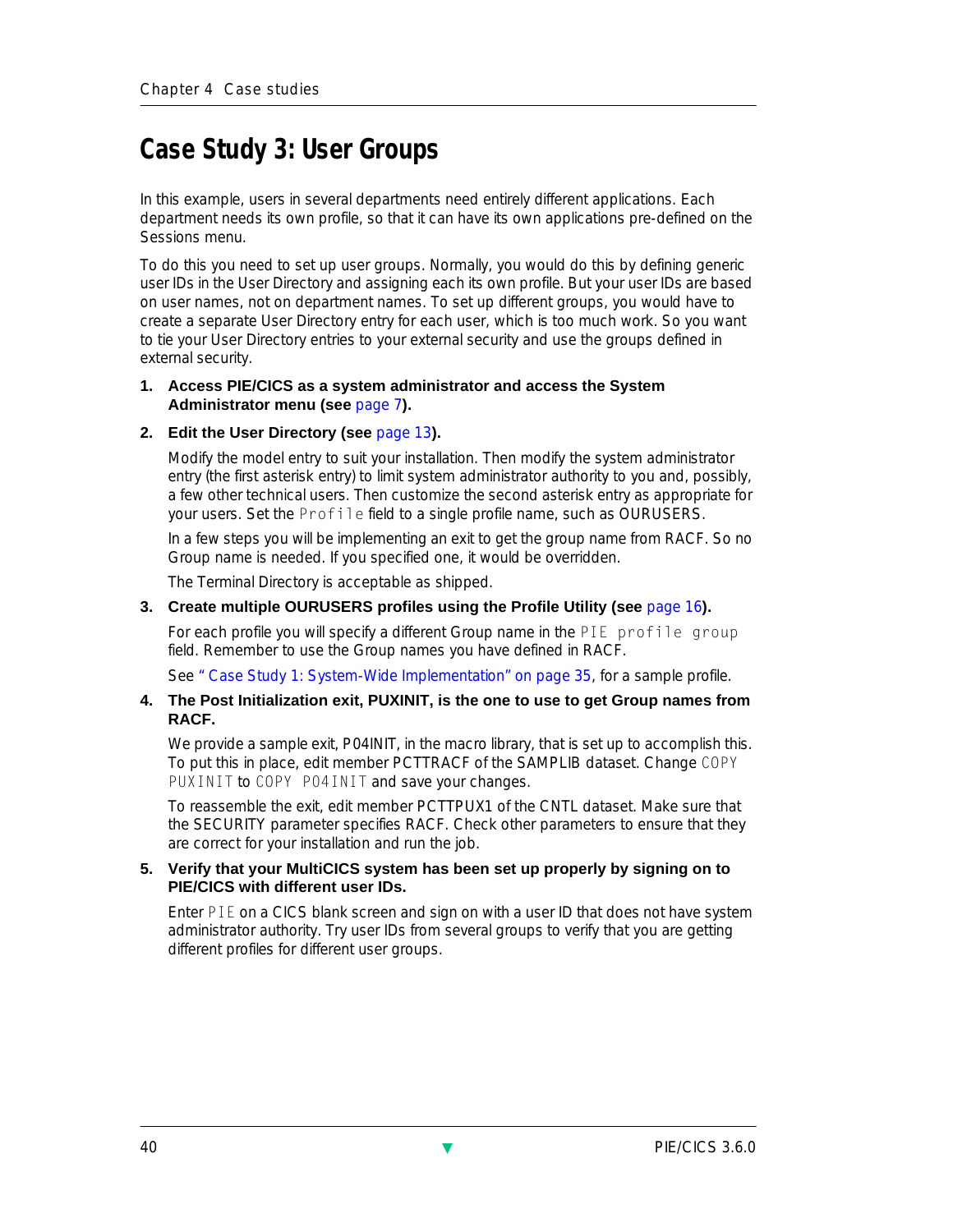# **Case Study 3: User Groups**

In this example, users in several departments need entirely different applications. Each department needs its own profile, so that it can have its own applications pre-defined on the Sessions menu.

To do this you need to set up user groups. Normally, you would do this by defining generic user IDs in the User Directory and assigning each its own profile. But your user IDs are based on user names, not on department names. To set up different groups, you would have to create a separate User Directory entry for each user, which is too much work. So you want to tie your User Directory entries to your external security and use the groups defined in external security.

### **1. Access PIE/CICS as a system administrator and access the System Administrator menu (see** [page 7](#page-18-0)**).**

### **2. Edit the User Directory (see** [page 13](#page-24-0)**).**

Modify the model entry to suit your installation. Then modify the system administrator entry (the first asterisk entry) to limit system administrator authority to you and, possibly, a few other technical users. Then customize the second asterisk entry as appropriate for your users. Set the Profile field to a single profile name, such as OURUSERS.

In a few steps you will be implementing an exit to get the group name from RACF. So no Group name is needed. If you specified one, it would be overridden.

The Terminal Directory is acceptable as shipped.

### **3. Create multiple OURUSERS profiles using the Profile Utility (see** [page 16](#page-27-0)**).**

For each profile you will specify a different Group name in the PIE profile group field. Remember to use the Group names you have defined in RACF.

See [" Case Study 1: System-Wide Implementation" on page 35](#page-46-0), for a sample profile.

#### **4. The Post Initialization exit, PUXINIT, is the one to use to get Group names from RACF.**

We provide a sample exit, P04INIT, in the macro library, that is set up to accomplish this. To put this in place, edit member PCTTRACF of the SAMPLIB dataset. Change COPY PUXINIT to COPY P04INIT and save your changes.

To reassemble the exit, edit member PCTTPUX1 of the CNTL dataset. Make sure that the SECURITY parameter specifies RACF. Check other parameters to ensure that they are correct for your installation and run the job.

### **5. Verify that your MultiCICS system has been set up properly by signing on to PIE/CICS with different user IDs.**

Enter PIE on a CICS blank screen and sign on with a user ID that does not have system administrator authority. Try user IDs from several groups to verify that you are getting different profiles for different user groups.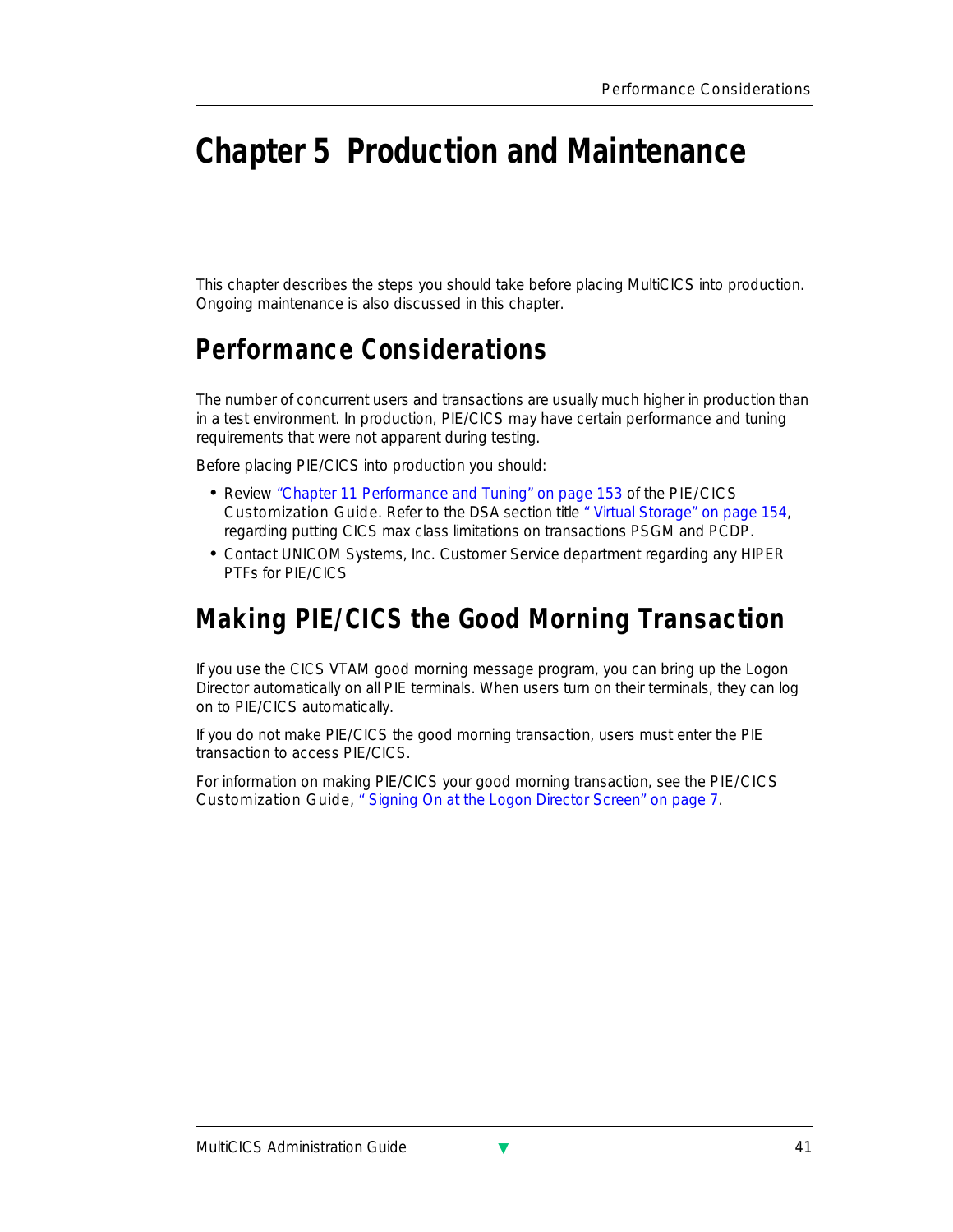# **Chapter 5 Production and Maintenance**

This chapter describes the steps you should take before placing MultiCICS into production. Ongoing maintenance is also discussed in this chapter.

# **Performance Considerations**

The number of concurrent users and transactions are usually much higher in production than in a test environment. In production, PIE/CICS may have certain performance and tuning requirements that were not apparent during testing.

Before placing PIE/CICS into production you should:

- **•** Review "Chapter 11 Performance and Tuning" on page 153 of the *PIE/CICS Customization Guide*. Refer to the DSA section title " Virtual Storage" on page 154, regarding putting CICS max class limitations on transactions PSGM and PCDP.
- **•** Contact UNICOM Systems, Inc. Customer Service department regarding any HIPER PTFs for PIE/CICS

# **Making PIE/CICS the Good Morning Transaction**

If you use the CICS VTAM good morning message program, you can bring up the Logon Director automatically on all PIE terminals. When users turn on their terminals, they can log on to PIE/CICS automatically.

If you do not make PIE/CICS the good morning transaction, users must enter the PIE transaction to access PIE/CICS.

For information on making PIE/CICS your good morning transaction, see the *PIE/CICS Customization Guide,* " Signing On at the Logon Director Screen" on page 7.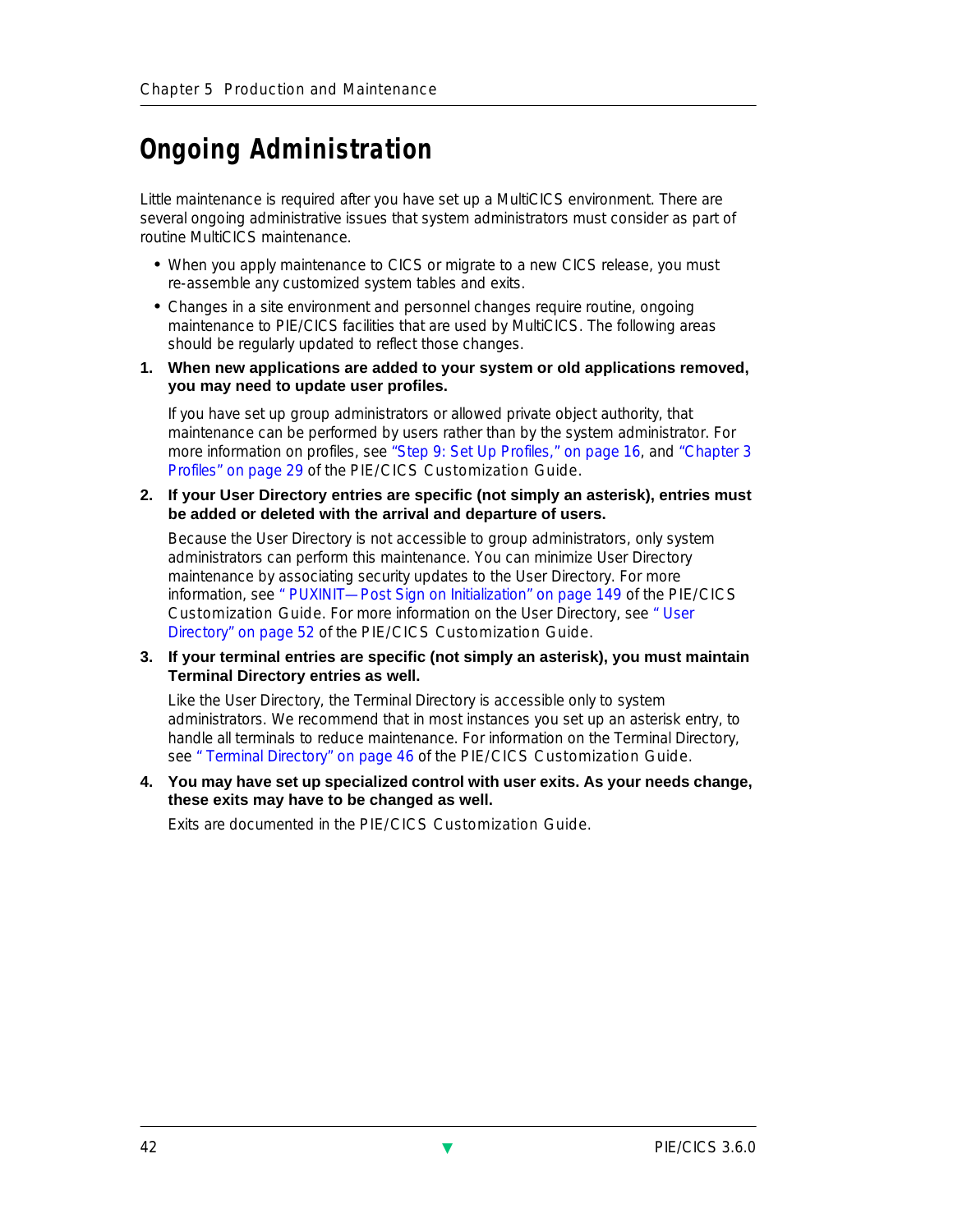# **Ongoing Administration**

Little maintenance is required after you have set up a MultiCICS environment. There are several ongoing administrative issues that system administrators must consider as part of routine MultiCICS maintenance.

- **•** When you apply maintenance to CICS or migrate to a new CICS release, you must re-assemble any customized system tables and exits.
- **•** Changes in a site environment and personnel changes require routine, ongoing maintenance to PIE/CICS facilities that are used by MultiCICS. The following areas should be regularly updated to reflect those changes.
- **1. When new applications are added to your system or old applications removed, you may need to update user profiles.**

If you have set up group administrators or allowed private object authority, that maintenance can be performed by users rather than by the system administrator. For more information on profiles, see ["Step 9: Set Up Profiles," on page 16,](#page-27-0) and "Chapter 3 Profiles" on page 29 of the *PIE/CICS Customization Guide*.

**2. If your User Directory entries are specific (not simply an asterisk), entries must be added or deleted with the arrival and departure of users.** 

Because the User Directory is not accessible to group administrators, only system administrators can perform this maintenance. You can minimize User Directory maintenance by associating security updates to the User Directory. For more information, see " PUXINIT—Post Sign on Initialization" on page 149 of the *PIE/CICS Customization Guide*. For more information on the User Directory, see " User Directory" on page 52 of the *PIE/CICS Customization Guide*.

#### **3. If your terminal entries are specific (not simply an asterisk), you must maintain Terminal Directory entries as well.**

Like the User Directory, the Terminal Directory is accessible only to system administrators. We recommend that in most instances you set up an asterisk entry, to handle all terminals to reduce maintenance. For information on the Terminal Directory, see " Terminal Directory" on page 46 of the *PIE/CICS Customization Guide*.

**4. You may have set up specialized control with user exits. As your needs change, these exits may have to be changed as well.** 

Exits are documented in the *PIE/CICS Customization Guide*.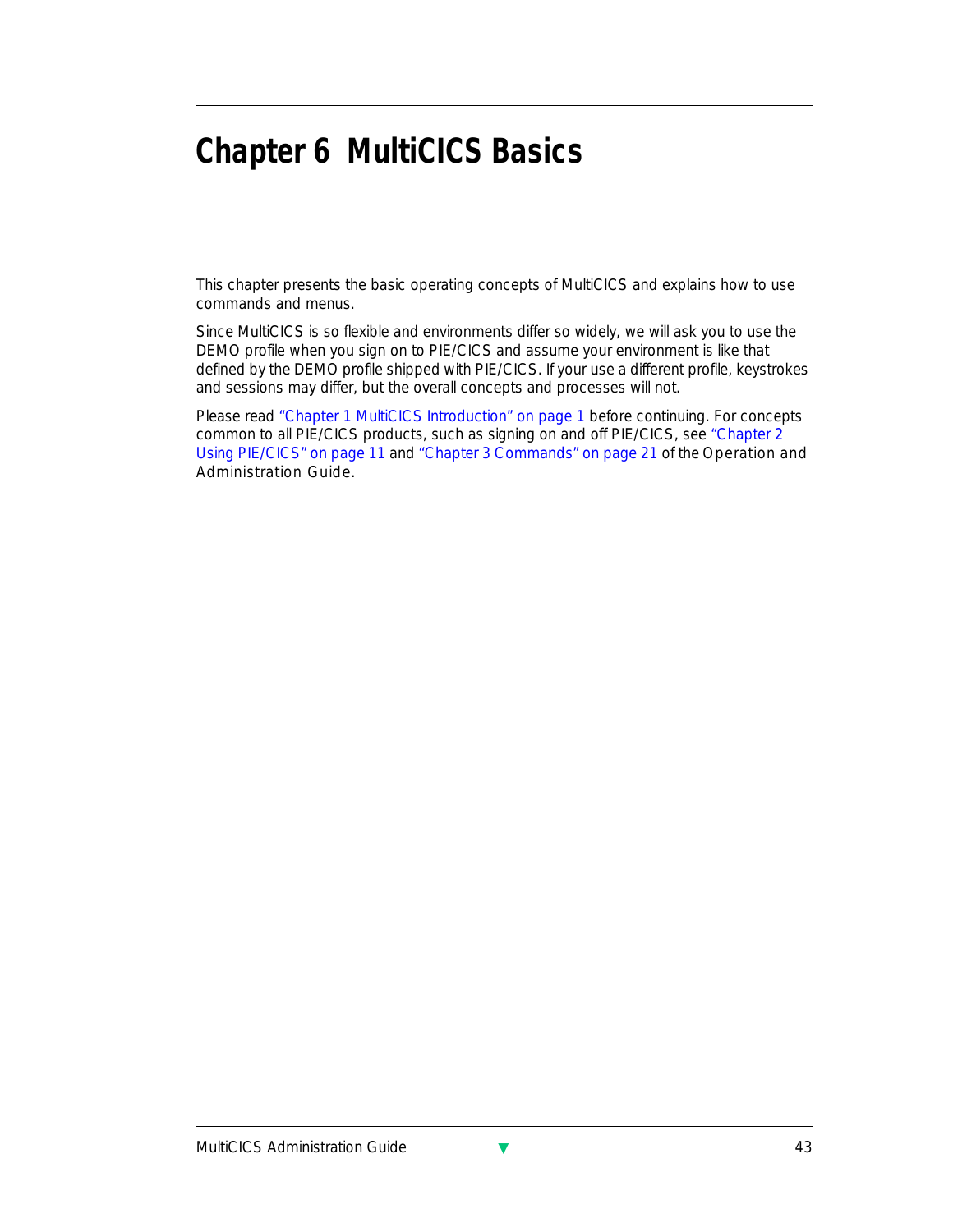# **Chapter 6 MultiCICS Basics**

This chapter presents the basic operating concepts of MultiCICS and explains how to use commands and menus.

Since MultiCICS is so flexible and environments differ so widely, we will ask you to use the DEMO profile when you sign on to PIE/CICS and assume your environment is like that defined by the DEMO profile shipped with PIE/CICS. If your use a different profile, keystrokes and sessions may differ, but the overall concepts and processes will not.

Please read ["Chapter 1 MultiCICS Introduction" on page 1](#page-12-0) before continuing. For concepts common to all PIE/CICS products, such as signing on and off PIE/CICS, see "Chapter 2 Using PIE/CICS" on page 11 and "Chapter 3 Commands" on page 21 of the *Operation and Administration Guide*.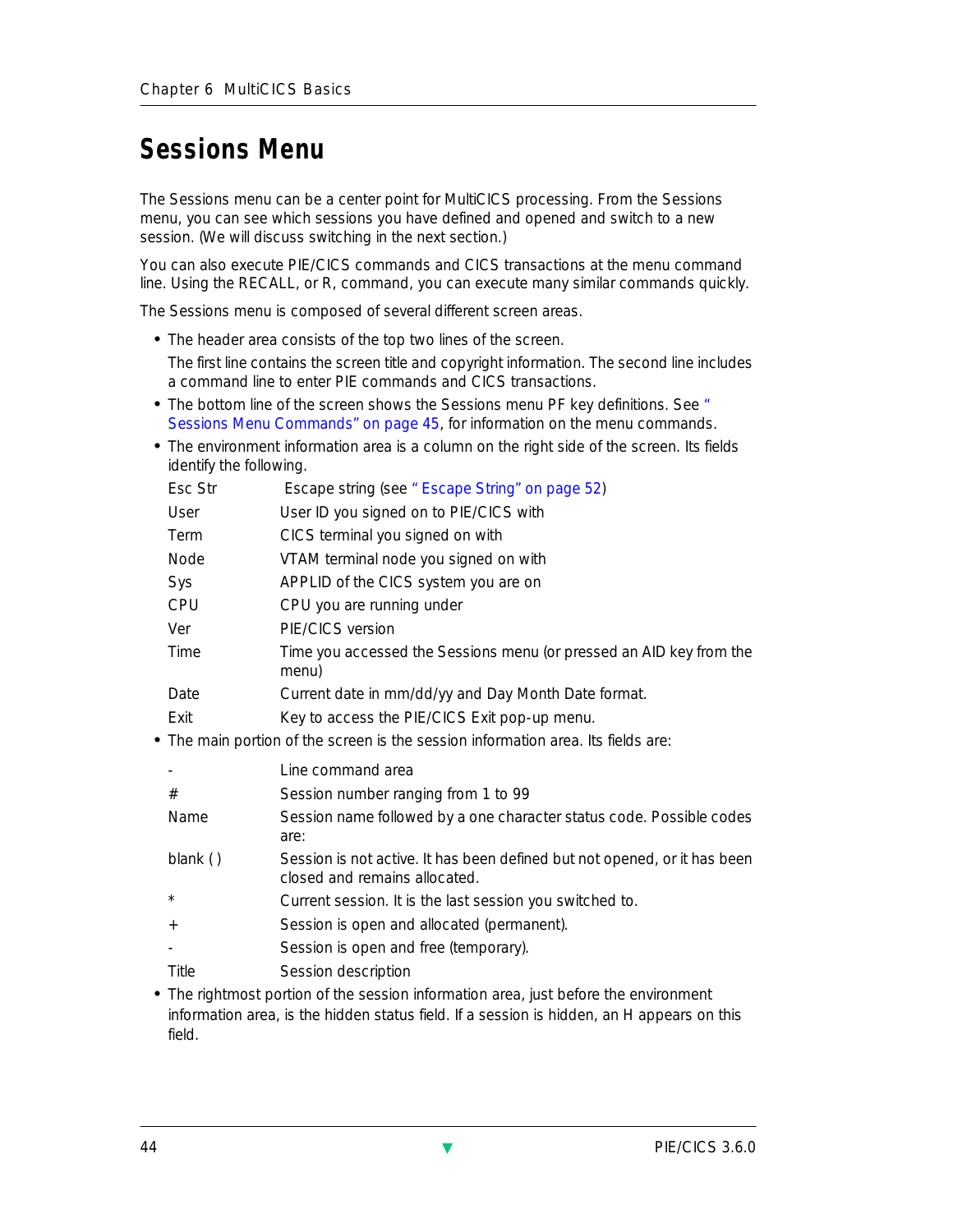# **Sessions Menu**

The Sessions menu can be a center point for MultiCICS processing. From the Sessions menu, you can see which sessions you have defined and opened and switch to a new session. (We will discuss switching in the next section.)

You can also execute PIE/CICS commands and CICS transactions at the menu command line. Using the RECALL, or R, command, you can execute many similar commands quickly.

The Sessions menu is composed of several different screen areas.

- **•** The header area consists of the top two lines of the screen. The first line contains the screen title and copyright information. The second line includes a command line to enter PIE commands and CICS transactions.
- **•** The bottom line of the screen shows the Sessions menu PF key definitions. See ["](#page-56-0) [Sessions Menu Commands" on page 45,](#page-56-0) for information on the menu commands.
- **•** The environment information area is a column on the right side of the screen. Its fields identify the following.

| Esc Str    | Escape string (see " Escape String" on page 52)                                                            |
|------------|------------------------------------------------------------------------------------------------------------|
| User       | User ID you signed on to PIE/CICS with                                                                     |
| Term       | CICS terminal you signed on with                                                                           |
| Node       | VTAM terminal node you signed on with                                                                      |
| Sys        | APPLID of the CICS system you are on                                                                       |
| <b>CPU</b> | CPU you are running under                                                                                  |
| Ver        | PIE/CICS version                                                                                           |
| Time       | Time you accessed the Sessions menu (or pressed an AID key from the<br>menu)                               |
| Date       | Current date in mm/dd/yy and Day Month Date format.                                                        |
| Exit       | Key to access the PIE/CICS Exit pop-up menu.                                                               |
|            | • The main portion of the screen is the session information area. Its fields are:                          |
|            | Line command area                                                                                          |
| #          | Session number ranging from 1 to 99                                                                        |
| Name       | Session name followed by a one character status code. Possible codes<br>are:                               |
| blank $()$ | Session is not active. It has been defined but not opened, or it has been<br>closed and remains allocated. |
| $^{\star}$ | Current session. It is the last session you switched to.                                                   |
| $^+$       | Session is open and allocated (permanent).                                                                 |

- Session is open and free (temporary).
- Title Session description
- **•** The rightmost portion of the session information area, just before the environment information area, is the hidden status field. If a session is hidden, an H appears on this field.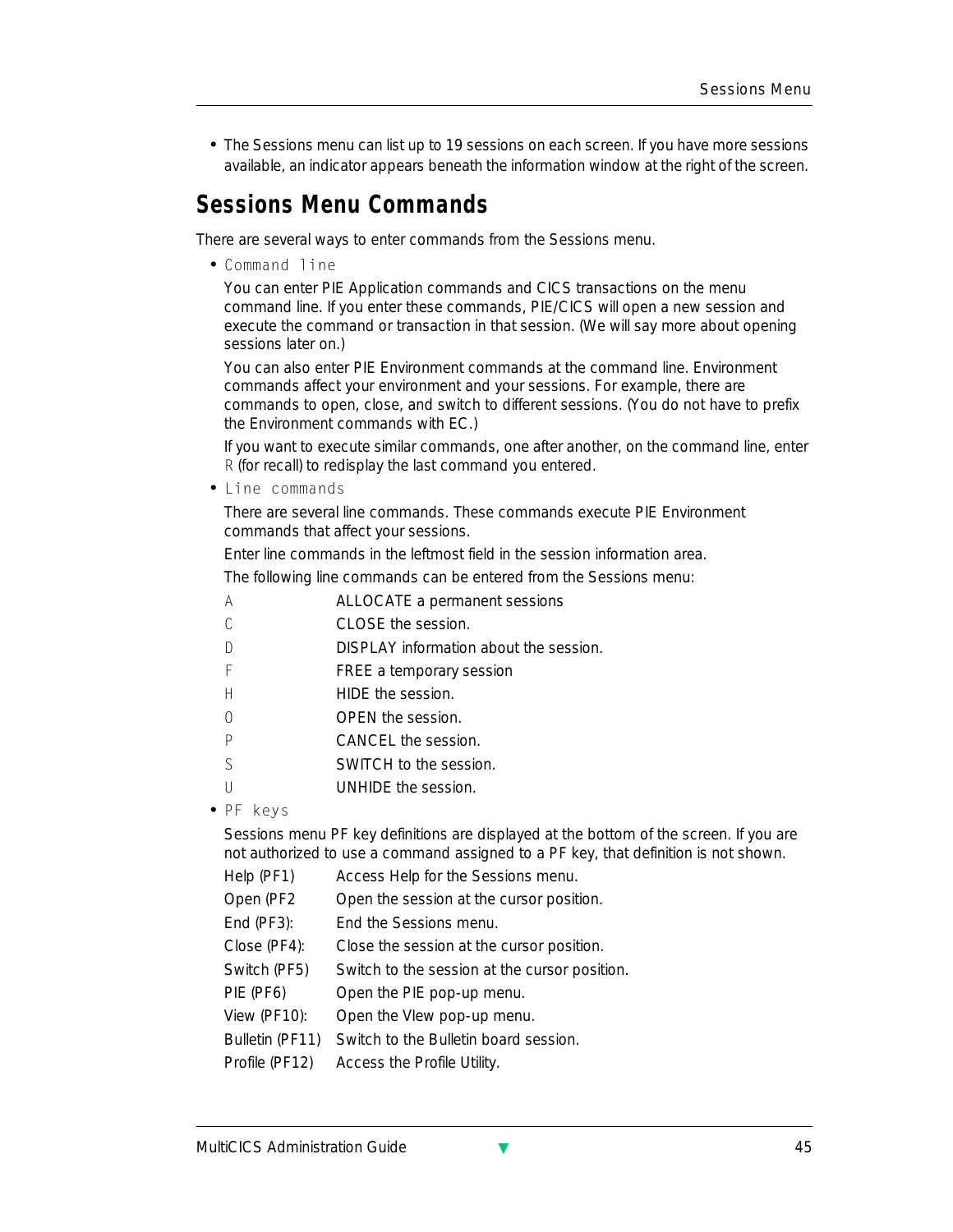**•** The Sessions menu can list up to 19 sessions on each screen. If you have more sessions available, an indicator appears beneath the information window at the right of the screen.

### <span id="page-56-0"></span>**Sessions Menu Commands**

There are several ways to enter commands from the Sessions menu.

**•** Command line

You can enter PIE Application commands and CICS transactions on the menu command line. If you enter these commands, PIE/CICS will open a new session and execute the command or transaction in that session. (We will say more about opening sessions later on.)

You can also enter PIE Environment commands at the command line. Environment commands affect your environment and your sessions. For example, there are commands to open, close, and switch to different sessions. (You do not have to prefix the Environment commands with EC.)

If you want to execute similar commands, one after another, on the command line, enter R (for recall) to redisplay the last command you entered.

**•** Line commands

There are several line commands. These commands execute PIE Environment commands that affect your sessions.

Enter line commands in the leftmost field in the session information area.

The following line commands can be entered from the Sessions menu:

- A ALLOCATE a permanent sessions
- C<sub>c</sub> CLOSE the session.
- D DISPLAY information about the session.
- F FREE a temporary session
- H HIDE the session.
- 0 OPEN the session.
- P CANCEL the session.
- SWITCH to the session.
- U UNHIDE the session.
- **•** PF keys

Sessions menu PF key definitions are displayed at the bottom of the screen. If you are not authorized to use a command assigned to a PF key, that definition is not shown.

- Help (PF1) Access Help for the Sessions menu.
- Open (PF2 Open the session at the cursor position.
- End (PF3): End the Sessions menu.
- Close (PF4): Close the session at the cursor position.
- Switch (PF5) Switch to the session at the cursor position.
- PIE (PF6) Open the PIE pop-up menu.
- View (PF10): Open the VIew pop-up menu.
- Bulletin (PF11) Switch to the Bulletin board session.
- Profile (PF12) Access the Profile Utility.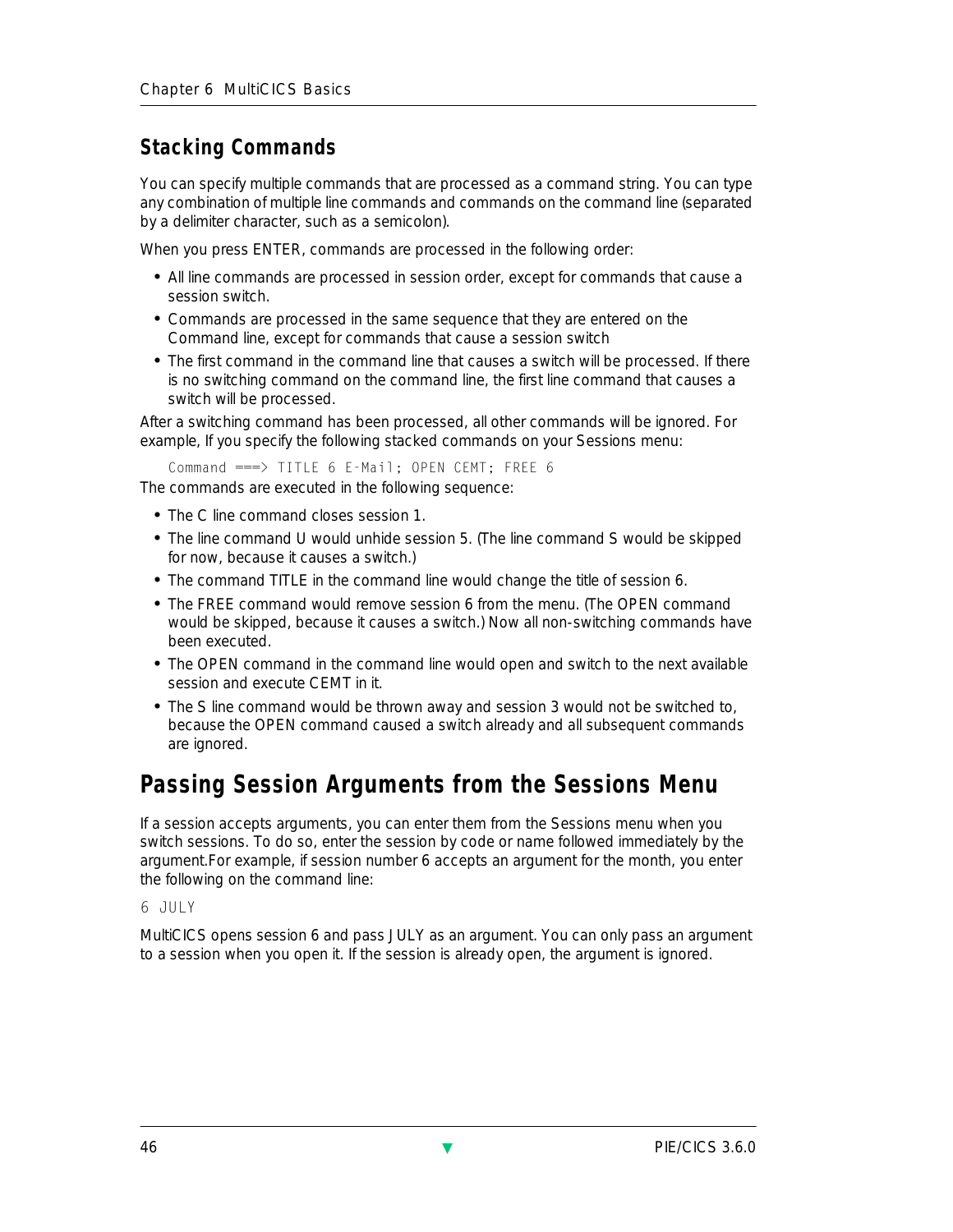### **Stacking Commands**

You can specify multiple commands that are processed as a command string. You can type any combination of multiple line commands and commands on the command line (separated by a delimiter character, such as a semicolon).

When you press ENTER, commands are processed in the following order:

- **•** All line commands are processed in session order, except for commands that cause a session switch.
- **•** Commands are processed in the same sequence that they are entered on the Command line, except for commands that cause a session switch
- **•** The first command in the command line that causes a switch will be processed. If there is no switching command on the command line, the first line command that causes a switch will be processed.

After a switching command has been processed, all other commands will be ignored. For example, If you specify the following stacked commands on your Sessions menu:

```
Command ===> TITLE 6 E-Mail; OPEN CEMT; FREE 6
The commands are executed in the following sequence:
```
- **•** The C line command closes session 1.
- **•** The line command U would unhide session 5. (The line command S would be skipped for now, because it causes a switch.)
- **•** The command TITLE in the command line would change the title of session 6.
- **•** The FREE command would remove session 6 from the menu. (The OPEN command would be skipped, because it causes a switch.) Now all non-switching commands have been executed.
- **•** The OPEN command in the command line would open and switch to the next available session and execute CEMT in it.
- **•** The S line command would be thrown away and session 3 would not be switched to, because the OPEN command caused a switch already and all subsequent commands are ignored.

### **Passing Session Arguments from the Sessions Menu**

If a session accepts arguments, you can enter them from the Sessions menu when you switch sessions. To do so, enter the session by code or name followed immediately by the argument.For example, if session number 6 accepts an argument for the month, you enter the following on the command line:

6 JULY

MultiCICS opens session 6 and pass JULY as an argument. You can only pass an argument to a session when you open it. If the session is already open, the argument is ignored.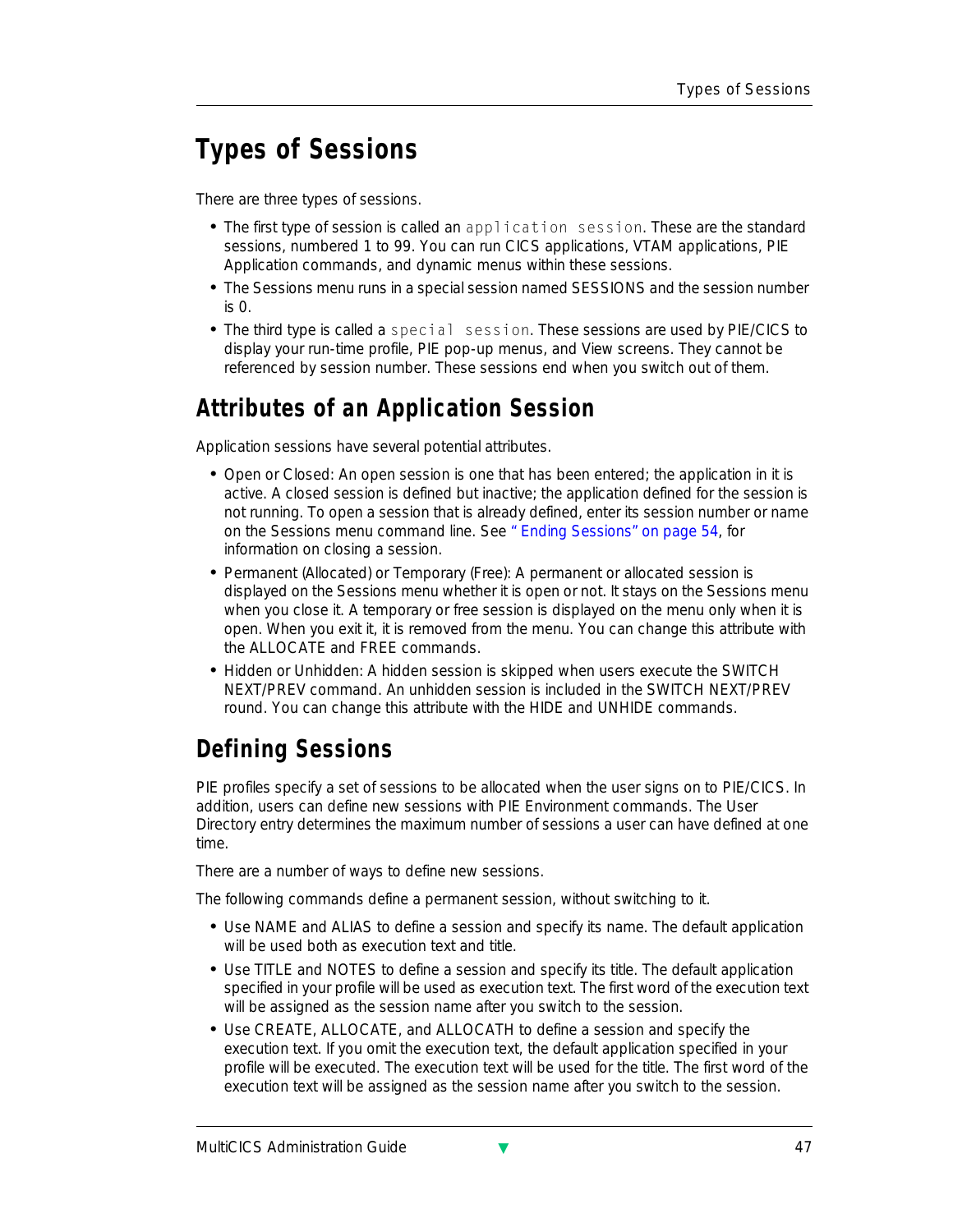# **Types of Sessions**

There are three types of sessions.

- **•** The first type of session is called an application session. These are the standard sessions, numbered 1 to 99. You can run CICS applications, VTAM applications, PIE Application commands, and dynamic menus within these sessions.
- **•** The Sessions menu runs in a special session named SESSIONS and the session number is 0.
- **•** The third type is called a special session. These sessions are used by PIE/CICS to display your run-time profile, PIE pop-up menus, and View screens. They cannot be referenced by session number. These sessions end when you switch out of them.

## **Attributes of an Application Session**

Application sessions have several potential attributes.

- **•** Open or Closed: An open session is one that has been entered; the application in it is active. A closed session is defined but inactive; the application defined for the session is not running. To open a session that is already defined, enter its session number or name on the Sessions menu command line. See [" Ending Sessions" on page 54,](#page-65-0) for information on closing a session.
- **•** Permanent (Allocated) or Temporary (Free): A permanent or allocated session is displayed on the Sessions menu whether it is open or not. It stays on the Sessions menu when you close it. A temporary or free session is displayed on the menu only when it is open. When you exit it, it is removed from the menu. You can change this attribute with the ALLOCATE and FREE commands.
- **•** Hidden or Unhidden: A hidden session is skipped when users execute the SWITCH NEXT/PREV command. An unhidden session is included in the SWITCH NEXT/PREV round. You can change this attribute with the HIDE and UNHIDE commands.

# **Defining Sessions**

PIE profiles specify a set of sessions to be allocated when the user signs on to PIE/CICS. In addition, users can define new sessions with PIE Environment commands. The User Directory entry determines the maximum number of sessions a user can have defined at one time.

There are a number of ways to define new sessions.

The following commands define a permanent session, without switching to it.

- **•** Use NAME and ALIAS to define a session and specify its name. The default application will be used both as execution text and title.
- **•** Use TITLE and NOTES to define a session and specify its title. The default application specified in your profile will be used as execution text. The first word of the execution text will be assigned as the session name after you switch to the session.
- **•** Use CREATE, ALLOCATE, and ALLOCATH to define a session and specify the execution text. If you omit the execution text, the default application specified in your profile will be executed. The execution text will be used for the title. The first word of the execution text will be assigned as the session name after you switch to the session.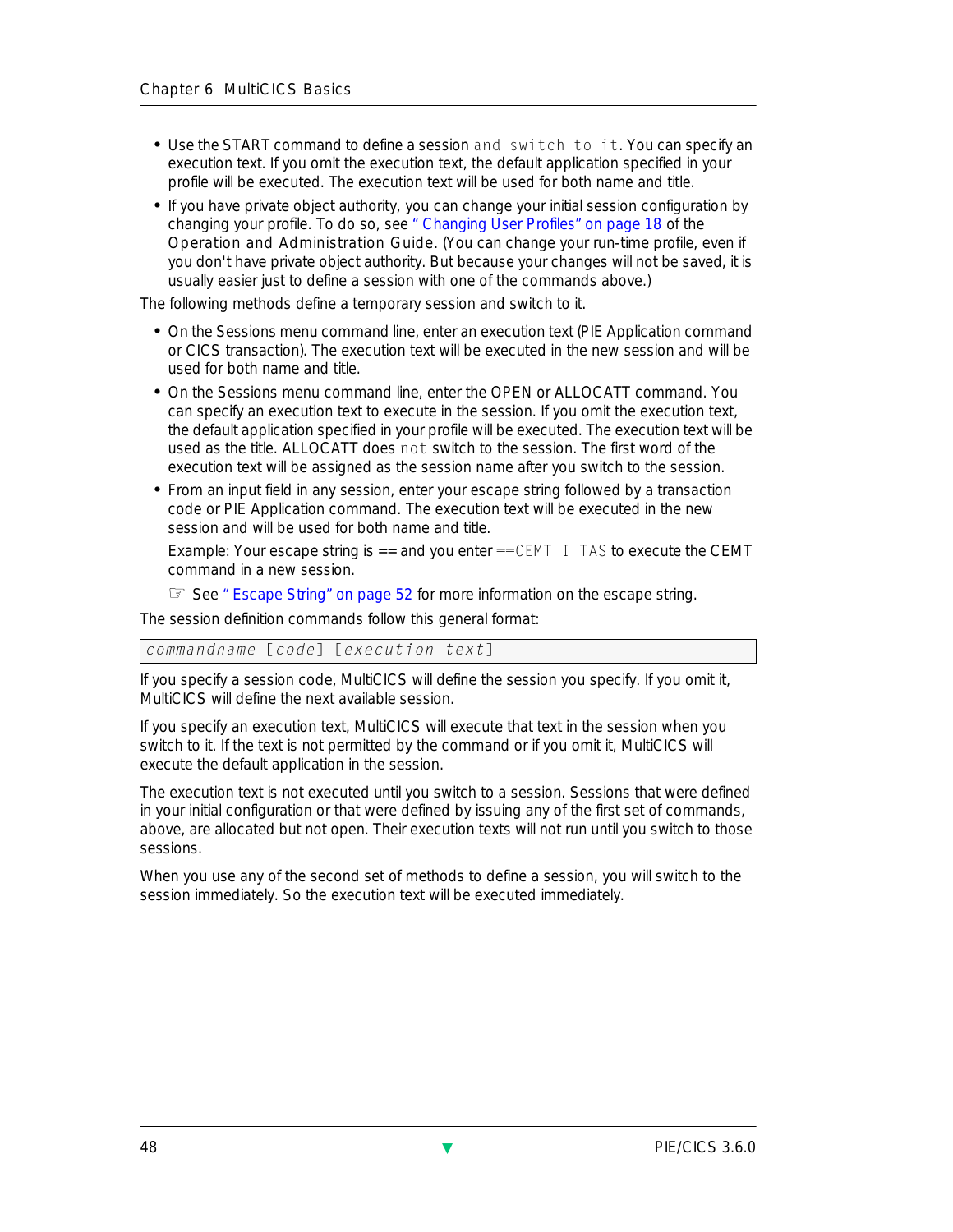- **•** Use the START command to define a session and switch to it. You can specify an execution text. If you omit the execution text, the default application specified in your profile will be executed. The execution text will be used for both name and title.
- **•** If you have private object authority, you can change your initial session configuration by changing your profile. To do so, see " Changing User Profiles" on page 18 of the *Operation and Administration Guide*. (You can change your run-time profile, even if you don't have private object authority. But because your changes will not be saved, it is usually easier just to define a session with one of the commands above.)

The following methods define a temporary session and switch to it.

- **•** On the Sessions menu command line, enter an execution text (PIE Application command or CICS transaction). The execution text will be executed in the new session and will be used for both name and title.
- **•** On the Sessions menu command line, enter the OPEN or ALLOCATT command. You can specify an execution text to execute in the session. If you omit the execution text, the default application specified in your profile will be executed. The execution text will be used as the title. ALLOCATT does not switch to the session. The first word of the execution text will be assigned as the session name after you switch to the session.
- **•** From an input field in any session, enter your escape string followed by a transaction code or PIE Application command. The execution text will be executed in the new session and will be used for both name and title.

Example: Your escape string is  $==$  and you enter  $==$  CEMT I TAS to execute the CEMT command in a new session.

☞ See [" Escape String" on page 52](#page-63-0) for more information on the escape string.

The session definition commands follow this general format:

*commandname* [*code*] [*execution text*]

If you specify a session code, MultiCICS will define the session you specify. If you omit it, MultiCICS will define the next available session.

If you specify an execution text, MultiCICS will execute that text in the session when you switch to it. If the text is not permitted by the command or if you omit it, MultiCICS will execute the default application in the session.

The execution text is not executed until you switch to a session. Sessions that were defined in your initial configuration or that were defined by issuing any of the first set of commands, above, are allocated but not open. Their execution texts will not run until you switch to those sessions.

When you use any of the second set of methods to define a session, you will switch to the session immediately. So the execution text will be executed immediately.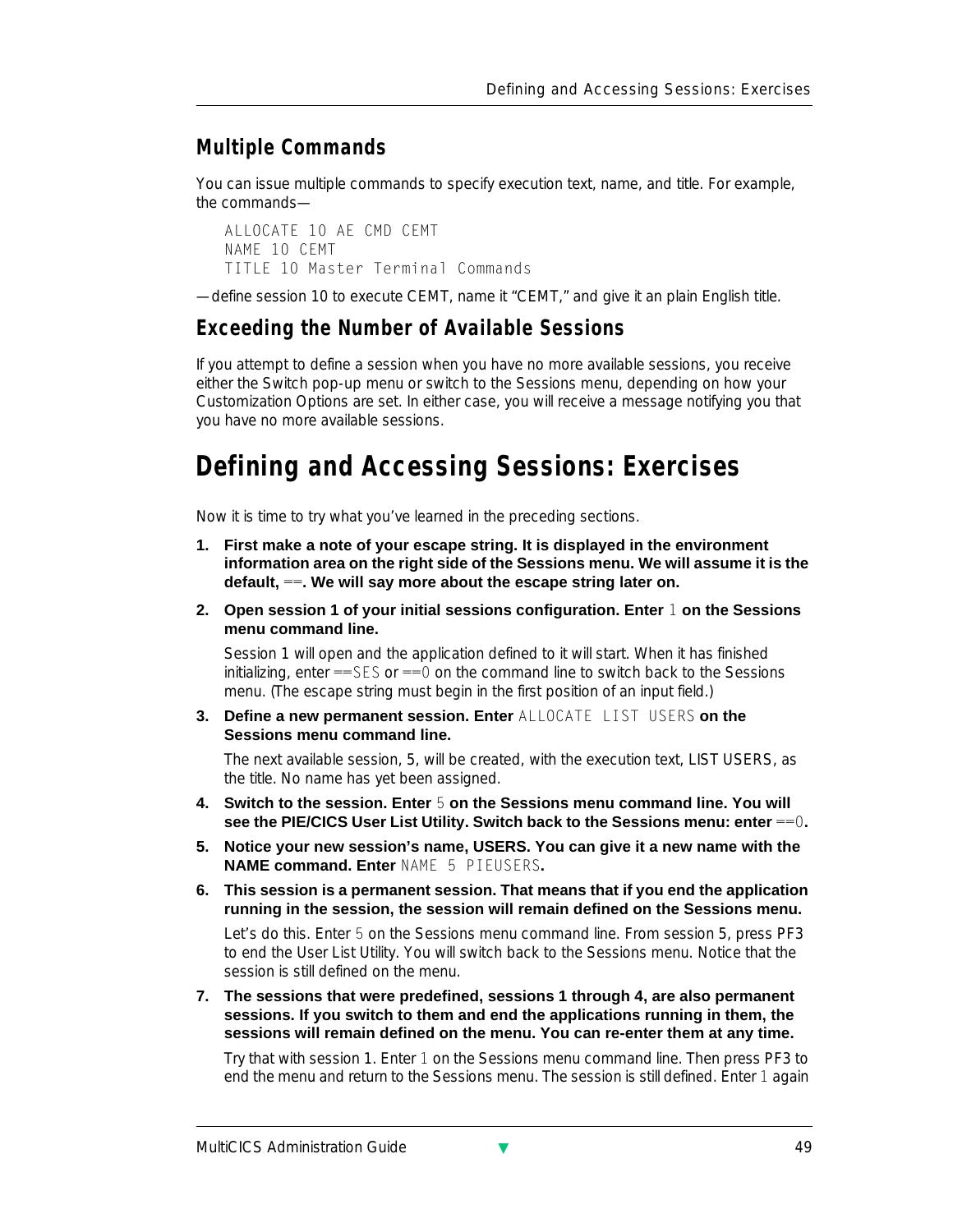### **Multiple Commands**

You can issue multiple commands to specify execution text, name, and title. For example, the commands—

ALLOCATE 10 AE CMD CEMT NAME 10 CEMT TITLE 10 Master Terminal Commands

—define session 10 to execute CEMT, name it "CEMT," and give it an plain English title.

### **Exceeding the Number of Available Sessions**

If you attempt to define a session when you have no more available sessions, you receive either the Switch pop-up menu or switch to the Sessions menu, depending on how your Customization Options are set. In either case, you will receive a message notifying you that you have no more available sessions.

# <span id="page-60-0"></span>**Defining and Accessing Sessions: Exercises**

Now it is time to try what you've learned in the preceding sections.

- **1. First make a note of your escape string. It is displayed in the environment information area on the right side of the Sessions menu. We will assume it is the default,** ==**. We will say more about the escape string later on.**
- **2. Open session 1 of your initial sessions configuration. Enter** 1 **on the Sessions menu command line.**

Session 1 will open and the application defined to it will start. When it has finished initializing, enter ==SES or ==0 on the command line to switch back to the Sessions menu. (The escape string must begin in the first position of an input field.)

**3. Define a new permanent session. Enter** ALLOCATE LIST USERS **on the Sessions menu command line.** 

The next available session, 5, will be created, with the execution text, LIST USERS, as the title. No name has yet been assigned.

- **4. Switch to the session. Enter** 5 **on the Sessions menu command line. You will see the PIE/CICS User List Utility. Switch back to the Sessions menu: enter** ==0**.**
- **5. Notice your new session's name, USERS. You can give it a new name with the NAME command. Enter** NAME 5 PIEUSERS**.**
- **6. This session is a permanent session. That means that if you end the application running in the session, the session will remain defined on the Sessions menu.**

Let's do this. Enter 5 on the Sessions menu command line. From session 5, press PF3 to end the User List Utility. You will switch back to the Sessions menu. Notice that the session is still defined on the menu.

**7. The sessions that were predefined, sessions 1 through 4, are also permanent sessions. If you switch to them and end the applications running in them, the sessions will remain defined on the menu. You can re-enter them at any time.** 

Try that with session 1. Enter 1 on the Sessions menu command line. Then press PF3 to end the menu and return to the Sessions menu. The session is still defined. Enter 1 again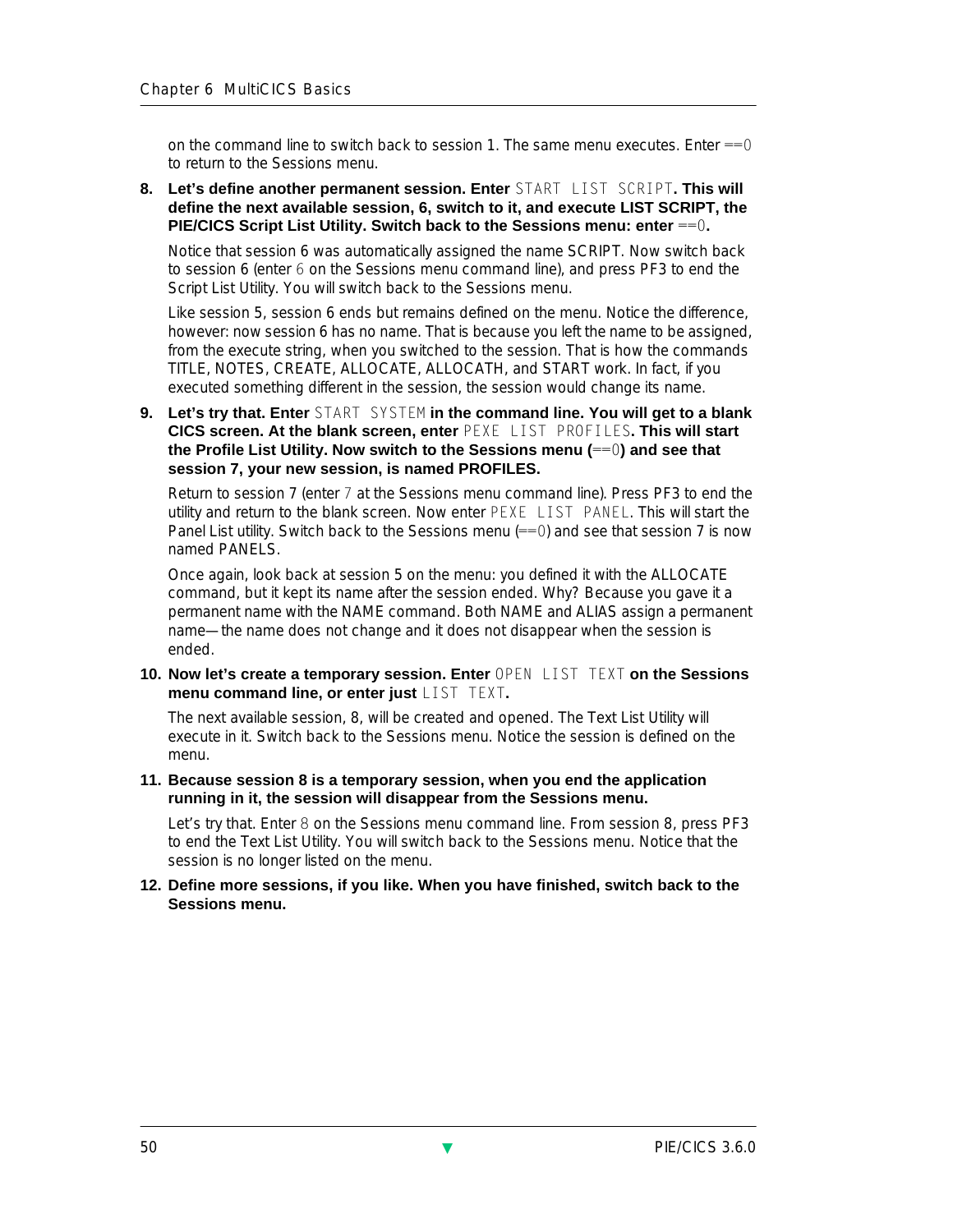on the command line to switch back to session 1. The same menu executes. Enter  $==0$ to return to the Sessions menu.

**8. Let's define another permanent session. Enter** START LIST SCRIPT**. This will define the next available session, 6, switch to it, and execute LIST SCRIPT, the PIE/CICS Script List Utility. Switch back to the Sessions menu: enter** ==0**.**

Notice that session 6 was automatically assigned the name SCRIPT. Now switch back to session 6 (enter 6 on the Sessions menu command line), and press PF3 to end the Script List Utility. You will switch back to the Sessions menu.

Like session 5, session 6 ends but remains defined on the menu. Notice the difference, however: now session 6 has no name. That is because you left the name to be assigned, from the execute string, when you switched to the session. That is how the commands TITLE, NOTES, CREATE, ALLOCATE, ALLOCATH, and START work. In fact, if you executed something different in the session, the session would change its name.

**9. Let's try that. Enter** START SYSTEM **in the command line. You will get to a blank CICS screen. At the blank screen, enter** PEXE LIST PROFILES**. This will start the Profile List Utility. Now switch to the Sessions menu (**==0**) and see that session 7, your new session, is named PROFILES.** 

Return to session 7 (enter 7 at the Sessions menu command line). Press PF3 to end the utility and return to the blank screen. Now enter PEXE LIST PANEL. This will start the Panel List utility. Switch back to the Sessions menu  $(==0)$  and see that session 7 is now named PANELS.

Once again, look back at session 5 on the menu: you defined it with the ALLOCATE command, but it kept its name after the session ended. Why? Because you gave it a permanent name with the NAME command. Both NAME and ALIAS assign a permanent name—the name does not change and it does not disappear when the session is ended.

**10. Now let's create a temporary session. Enter** OPEN LIST TEXT **on the Sessions menu command line, or enter just** LIST TEXT**.** 

The next available session, 8, will be created and opened. The Text List Utility will execute in it. Switch back to the Sessions menu. Notice the session is defined on the menu.

**11. Because session 8 is a temporary session, when you end the application running in it, the session will disappear from the Sessions menu.** 

Let's try that. Enter 8 on the Sessions menu command line. From session 8, press PF3 to end the Text List Utility. You will switch back to the Sessions menu. Notice that the session is no longer listed on the menu.

**12. Define more sessions, if you like. When you have finished, switch back to the Sessions menu.**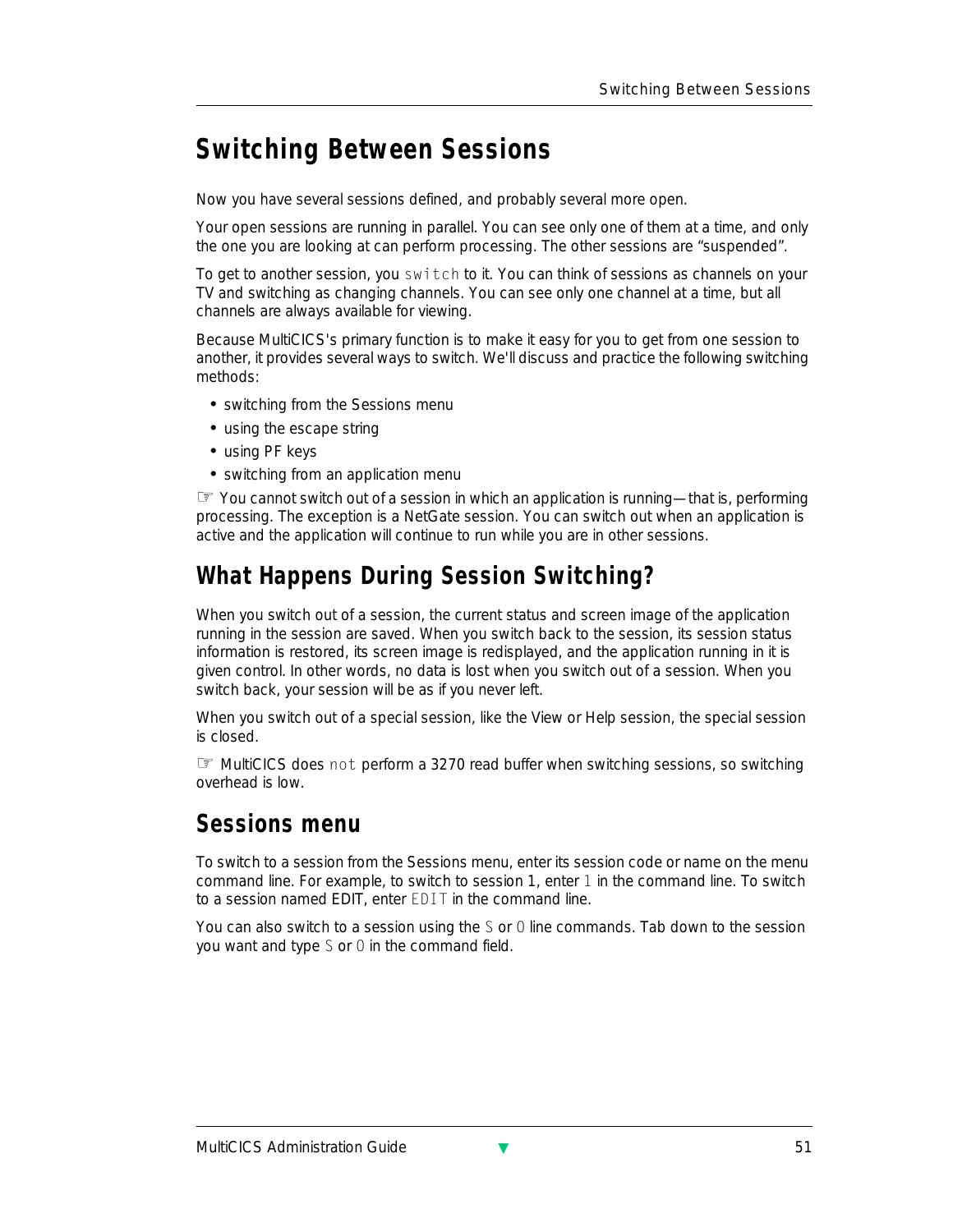# **Switching Between Sessions**

Now you have several sessions defined, and probably several more open.

Your open sessions are running in parallel. You can see only one of them at a time, and only the one you are looking at can perform processing. The other sessions are "suspended".

To get to another session, you switch to it. You can think of sessions as channels on your TV and switching as changing channels. You can see only one channel at a time, but all channels are always available for viewing.

Because MultiCICS's primary function is to make it easy for you to get from one session to another, it provides several ways to switch. We'll discuss and practice the following switching methods:

- **•** switching from the Sessions menu
- **•** using the escape string
- **•** using PF keys
- **•** switching from an application menu

☞ You cannot switch out of a session in which an application is running—that is, performing processing. The exception is a NetGate session. You can switch out when an application is active and the application will continue to run while you are in other sessions.

## **What Happens During Session Switching?**

When you switch out of a session, the current status and screen image of the application running in the session are saved. When you switch back to the session, its session status information is restored, its screen image is redisplayed, and the application running in it is given control. In other words, no data is lost when you switch out of a session. When you switch back, your session will be as if you never left.

When you switch out of a special session, like the View or Help session, the special session is closed.

☞ MultiCICS does not perform a 3270 read buffer when switching sessions, so switching overhead is low.

### **Sessions menu**

To switch to a session from the Sessions menu, enter its session code or name on the menu command line. For example, to switch to session 1, enter 1 in the command line. To switch to a session named EDIT, enter EDIT in the command line.

You can also switch to a session using the S or O line commands. Tab down to the session you want and type S or O in the command field.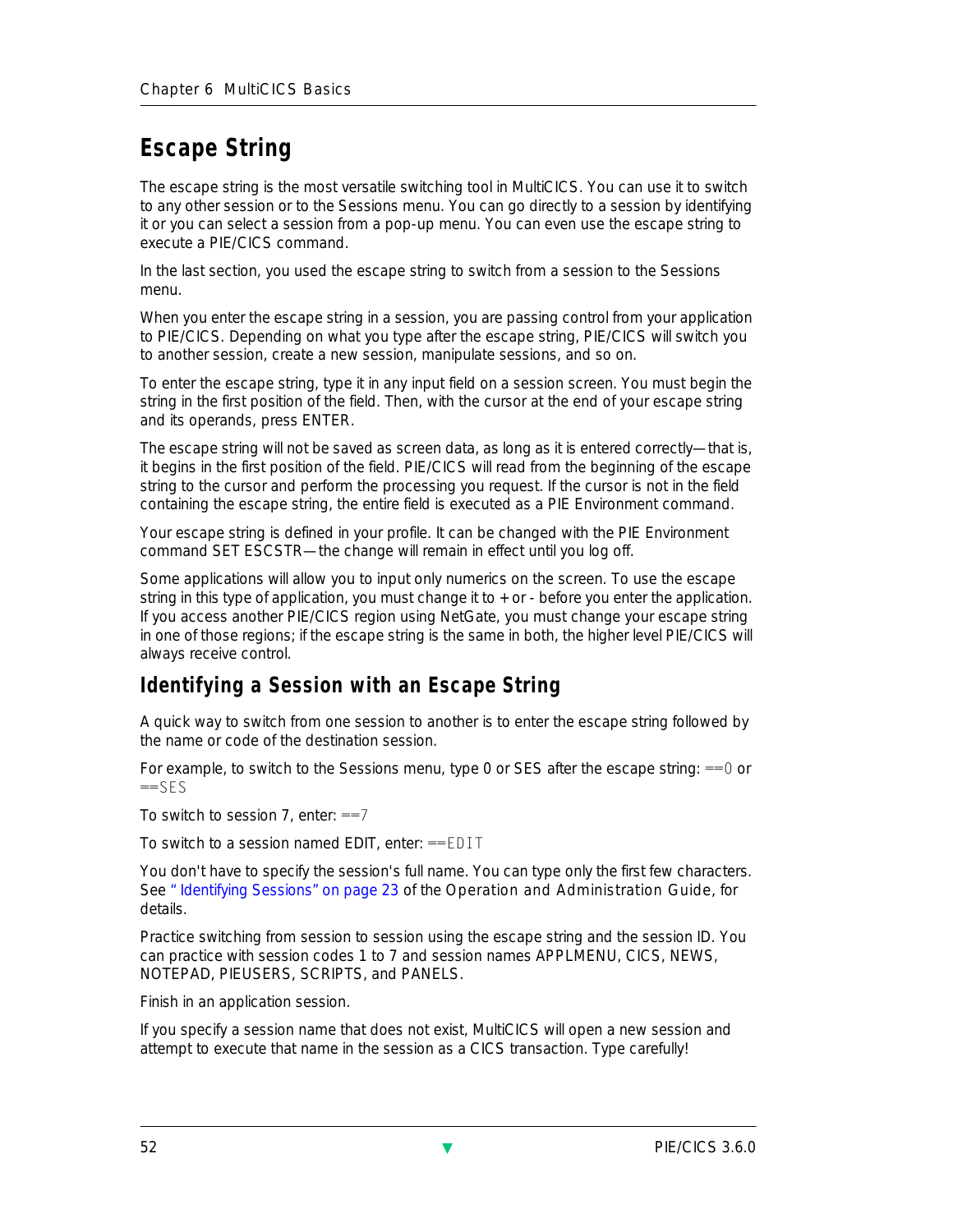# <span id="page-63-0"></span>**Escape String**

The escape string is the most versatile switching tool in MultiCICS. You can use it to switch to any other session or to the Sessions menu. You can go directly to a session by identifying it or you can select a session from a pop-up menu. You can even use the escape string to execute a PIE/CICS command.

In the last section, you used the escape string to switch from a session to the Sessions menu.

When you enter the escape string in a session, you are passing control from your application to PIE/CICS. Depending on what you type after the escape string, PIE/CICS will switch you to another session, create a new session, manipulate sessions, and so on.

To enter the escape string, type it in any input field on a session screen. You must begin the string in the first position of the field. Then, with the cursor at the end of your escape string and its operands, press ENTER.

The escape string will not be saved as screen data, as long as it is entered correctly—that is, it begins in the first position of the field. PIE/CICS will read from the beginning of the escape string to the cursor and perform the processing you request. If the cursor is not in the field containing the escape string, the entire field is executed as a PIE Environment command.

Your escape string is defined in your profile. It can be changed with the PIE Environment command SET ESCSTR—the change will remain in effect until you log off.

Some applications will allow you to input only numerics on the screen. To use the escape string in this type of application, you must change it to  $+$  or  $-$  before you enter the application. If you access another PIE/CICS region using NetGate, you must change your escape string in one of those regions; if the escape string is the same in both, the higher level PIE/CICS will always receive control.

### **Identifying a Session with an Escape String**

A quick way to switch from one session to another is to enter the escape string followed by the name or code of the destination session.

For example, to switch to the Sessions menu, type 0 or SES after the escape string: ==0 or  $=$ SES

To switch to session 7, enter:  $==7$ 

To switch to a session named EDIT, enter: ==EDIT

You don't have to specify the session's full name. You can type only the first few characters. See " Identifying Sessions" on page 23 of the *Operation and Administration Guide*, for details.

Practice switching from session to session using the escape string and the session ID. You can practice with session codes 1 to 7 and session names APPLMENU, CICS, NEWS, NOTEPAD, PIEUSERS, SCRIPTS, and PANELS.

Finish in an application session.

If you specify a session name that does not exist, MultiCICS will open a new session and attempt to execute that name in the session as a CICS transaction. Type carefully!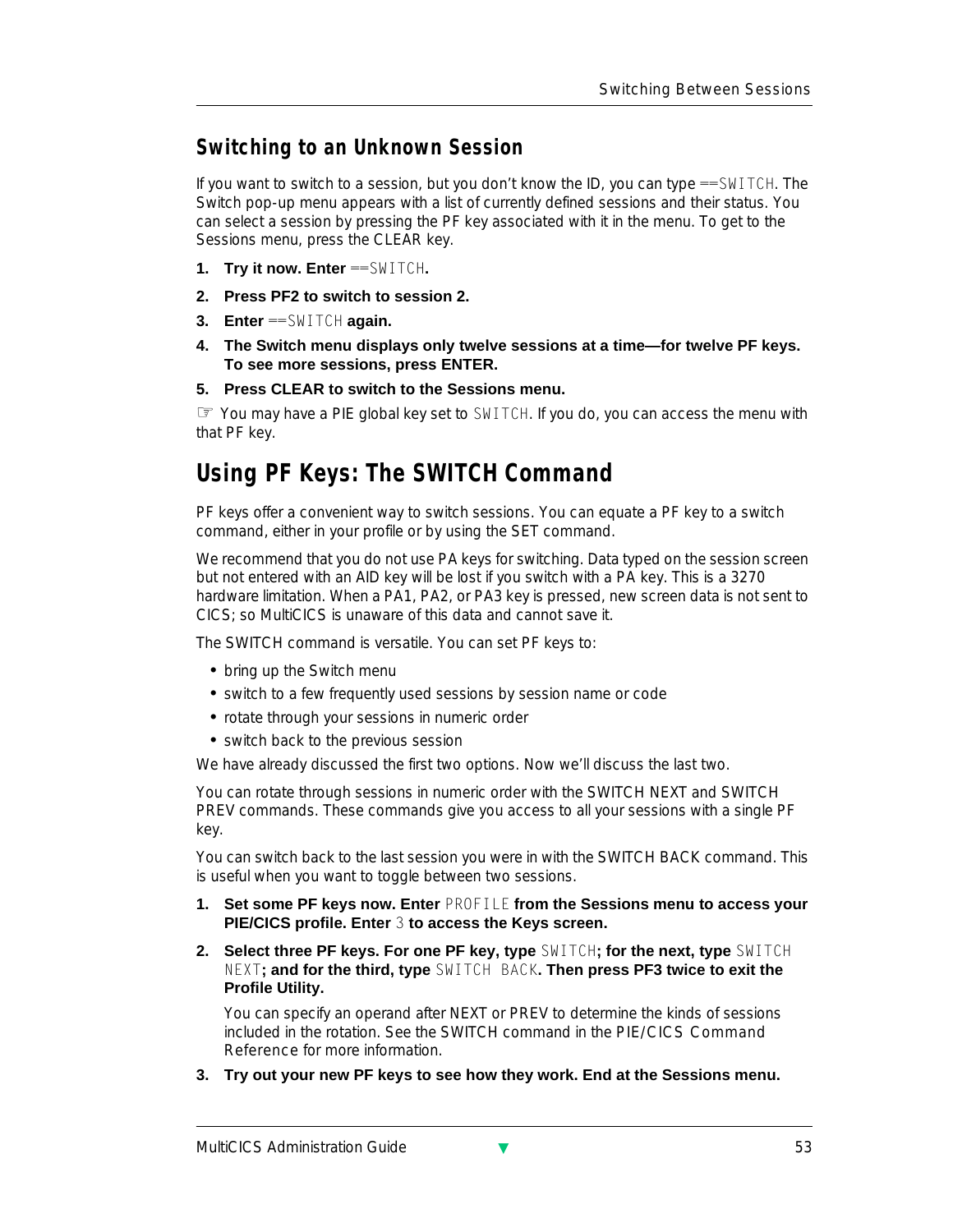### **Switching to an Unknown Session**

If you want to switch to a session, but you don't know the ID, you can type ==SWITCH. The Switch pop-up menu appears with a list of currently defined sessions and their status. You can select a session by pressing the PF key associated with it in the menu. To get to the Sessions menu, press the CLEAR key.

- **1.** Try it now. Enter ==SWITCH.
- **2. Press PF2 to switch to session 2.**
- **3. Enter** ==SWITCH **again.**
- **4. The Switch menu displays only twelve sessions at a time—for twelve PF keys. To see more sessions, press ENTER.**
- **5. Press CLEAR to switch to the Sessions menu.**

☞ You may have a PIE global key set to SWITCH. If you do, you can access the menu with that PF key.

## **Using PF Keys: The SWITCH Command**

PF keys offer a convenient way to switch sessions. You can equate a PF key to a switch command, either in your profile or by using the SET command.

We recommend that you do not use PA keys for switching. Data typed on the session screen but not entered with an AID key will be lost if you switch with a PA key. This is a 3270 hardware limitation. When a PA1, PA2, or PA3 key is pressed, new screen data is not sent to CICS; so MultiCICS is unaware of this data and cannot save it.

The SWITCH command is versatile. You can set PF keys to:

- **•** bring up the Switch menu
- **•** switch to a few frequently used sessions by session name or code
- **•** rotate through your sessions in numeric order
- **•** switch back to the previous session

We have already discussed the first two options. Now we'll discuss the last two.

You can rotate through sessions in numeric order with the SWITCH NEXT and SWITCH PREV commands. These commands give you access to all your sessions with a single PF key.

You can switch back to the last session you were in with the SWITCH BACK command. This is useful when you want to toggle between two sessions.

- **1. Set some PF keys now. Enter** PROFILE **from the Sessions menu to access your PIE/CICS profile. Enter** 3 **to access the Keys screen.**
- **2. Select three PF keys. For one PF key, type** SWITCH**; for the next, type** SWITCH NEXT**; and for the third, type** SWITCH BACK**. Then press PF3 twice to exit the Profile Utility.**

You can specify an operand after NEXT or PREV to determine the kinds of sessions included in the rotation. See the SWITCH command in the *PIE/CICS Command Reference* for more information.

**3. Try out your new PF keys to see how they work. End at the Sessions menu.**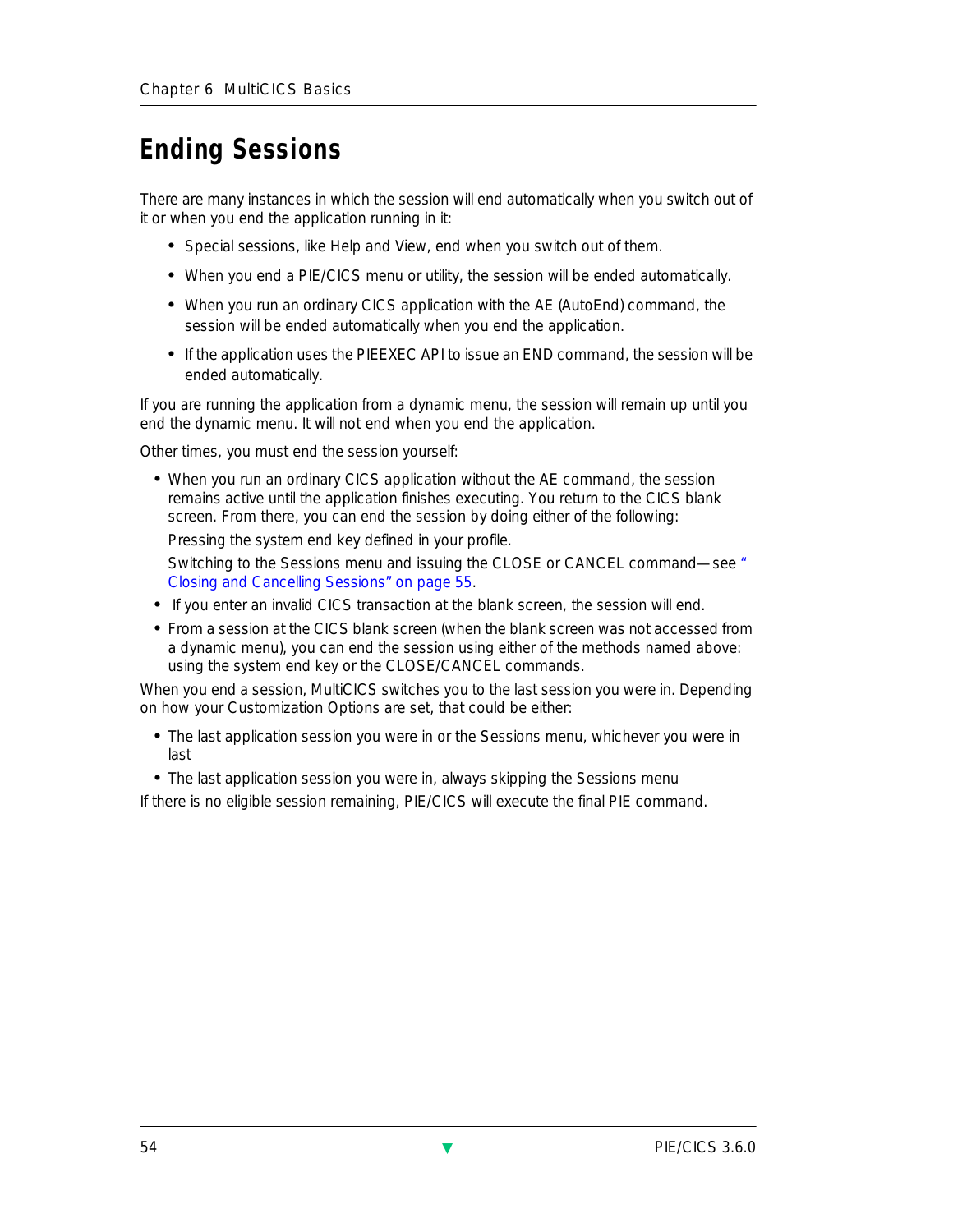# <span id="page-65-0"></span>**Ending Sessions**

There are many instances in which the session will end automatically when you switch out of it or when you end the application running in it:

- **•** Special sessions, like Help and View, end when you switch out of them.
- **•** When you end a PIE/CICS menu or utility, the session will be ended automatically.
- **•** When you run an ordinary CICS application with the AE (AutoEnd) command, the session will be ended automatically when you end the application.
- **•** If the application uses the PIEEXEC API to issue an END command, the session will be ended automatically.

If you are running the application from a dynamic menu, the session will remain up until you end the dynamic menu. It will not end when you end the application.

Other times, you must end the session yourself:

**•** When you run an ordinary CICS application without the AE command, the session remains active until the application finishes executing. You return to the CICS blank screen. From there, you can end the session by doing either of the following:

Pressing the system end key defined in your profile.

Switching to the Sessions menu and issuing the CLOSE or CANCEL command—see ["](#page-66-0) [Closing and Cancelling Sessions" on page 55.](#page-66-0)

- **•** If you enter an invalid CICS transaction at the blank screen, the session will end.
- **•** From a session at the CICS blank screen (when the blank screen was not accessed from a dynamic menu), you can end the session using either of the methods named above: using the system end key or the CLOSE/CANCEL commands.

When you end a session, MultiCICS switches you to the last session you were in. Depending on how your Customization Options are set, that could be either:

- **•** The last application session you were in or the Sessions menu, whichever you were in last
- **•** The last application session you were in, always skipping the Sessions menu

If there is no eligible session remaining, PIE/CICS will execute the final PIE command.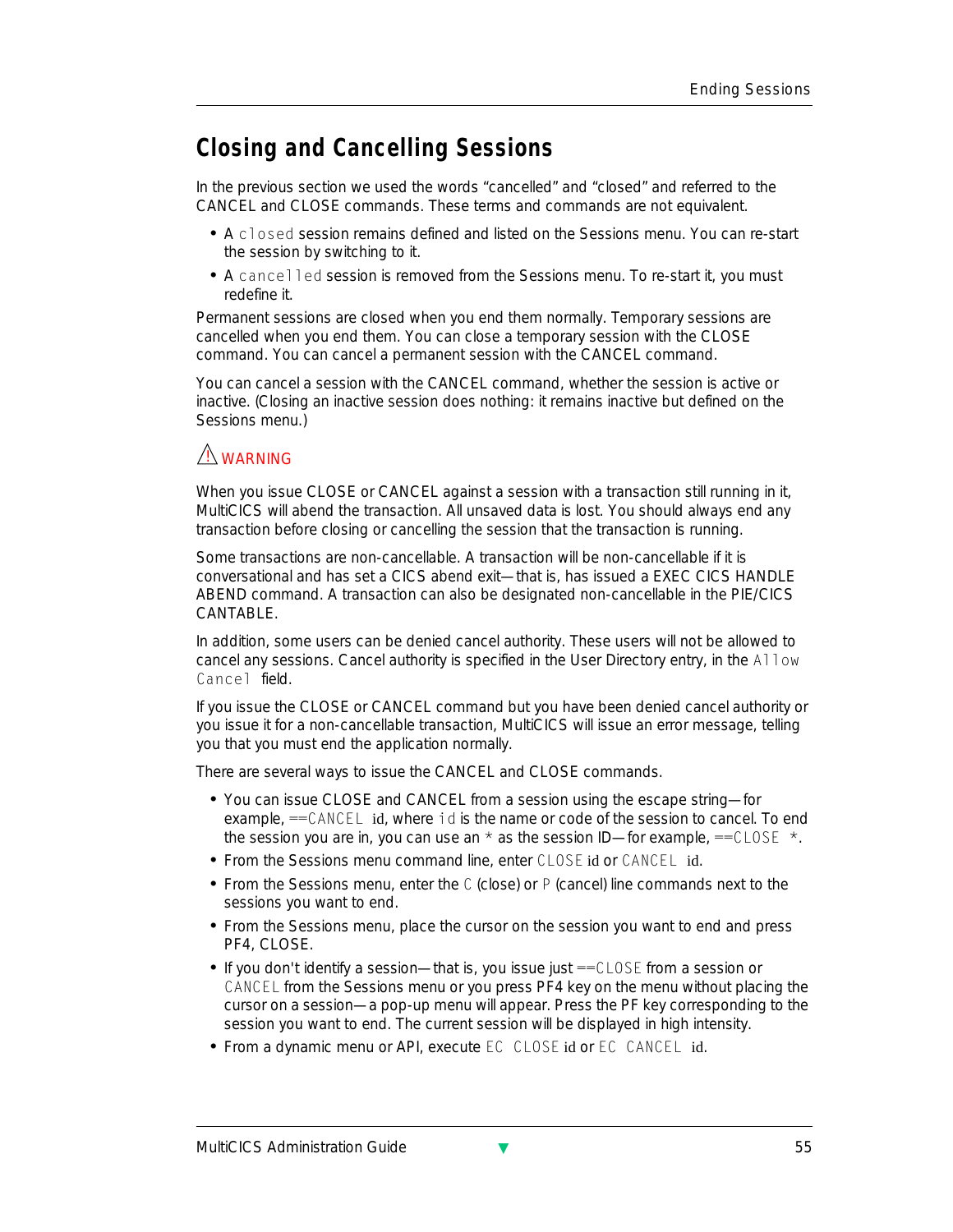### <span id="page-66-0"></span>**Closing and Cancelling Sessions**

In the previous section we used the words "cancelled" and "closed" and referred to the CANCEL and CLOSE commands. These terms and commands are not equivalent.

- **•** A closed session remains defined and listed on the Sessions menu. You can re-start the session by switching to it.
- **•** A cancelled session is removed from the Sessions menu. To re-start it, you must redefine it.

Permanent sessions are closed when you end them normally. Temporary sessions are cancelled when you end them. You can close a temporary session with the CLOSE command. You can cancel a permanent session with the CANCEL command.

You can cancel a session with the CANCEL command, whether the session is active or inactive. (Closing an inactive session does nothing: it remains inactive but defined on the Sessions menu.)

### $\bigwedge$  WARNING

When you issue CLOSE or CANCEL against a session with a transaction still running in it, MultiCICS will abend the transaction. All unsaved data is lost. You should always end any transaction before closing or cancelling the session that the transaction is running.

Some transactions are non-cancellable. A transaction will be non-cancellable if it is conversational and has set a CICS abend exit—that is, has issued a EXEC CICS HANDLE ABEND command. A transaction can also be designated non-cancellable in the PIE/CICS CANTABLE.

In addition, some users can be denied cancel authority. These users will not be allowed to cancel any sessions. Cancel authority is specified in the User Directory entry, in the Allow Cancel field.

If you issue the CLOSE or CANCEL command but you have been denied cancel authority or you issue it for a non-cancellable transaction, MultiCICS will issue an error message, telling you that you must end the application normally.

There are several ways to issue the CANCEL and CLOSE commands.

- **•** You can issue CLOSE and CANCEL from a session using the escape string—for example,  $=$  CANCEL id, where id is the name or code of the session to cancel. To end the session you are in, you can use an  $*$  as the session ID—for example,  $==CLOSE *$ .
- **•** From the Sessions menu command line, enter CLOSE id or CANCEL id.
- **•** From the Sessions menu, enter the C (close) or P (cancel) line commands next to the sessions you want to end.
- **•** From the Sessions menu, place the cursor on the session you want to end and press PF4, CLOSE.
- **•** If you don't identify a session—that is, you issue just ==CLOSE from a session or CANCEL from the Sessions menu or you press PF4 key on the menu without placing the cursor on a session—a pop-up menu will appear. Press the PF key corresponding to the session you want to end. The current session will be displayed in high intensity.
- **•** From a dynamic menu or API, execute EC CLOSE id or EC CANCEL id.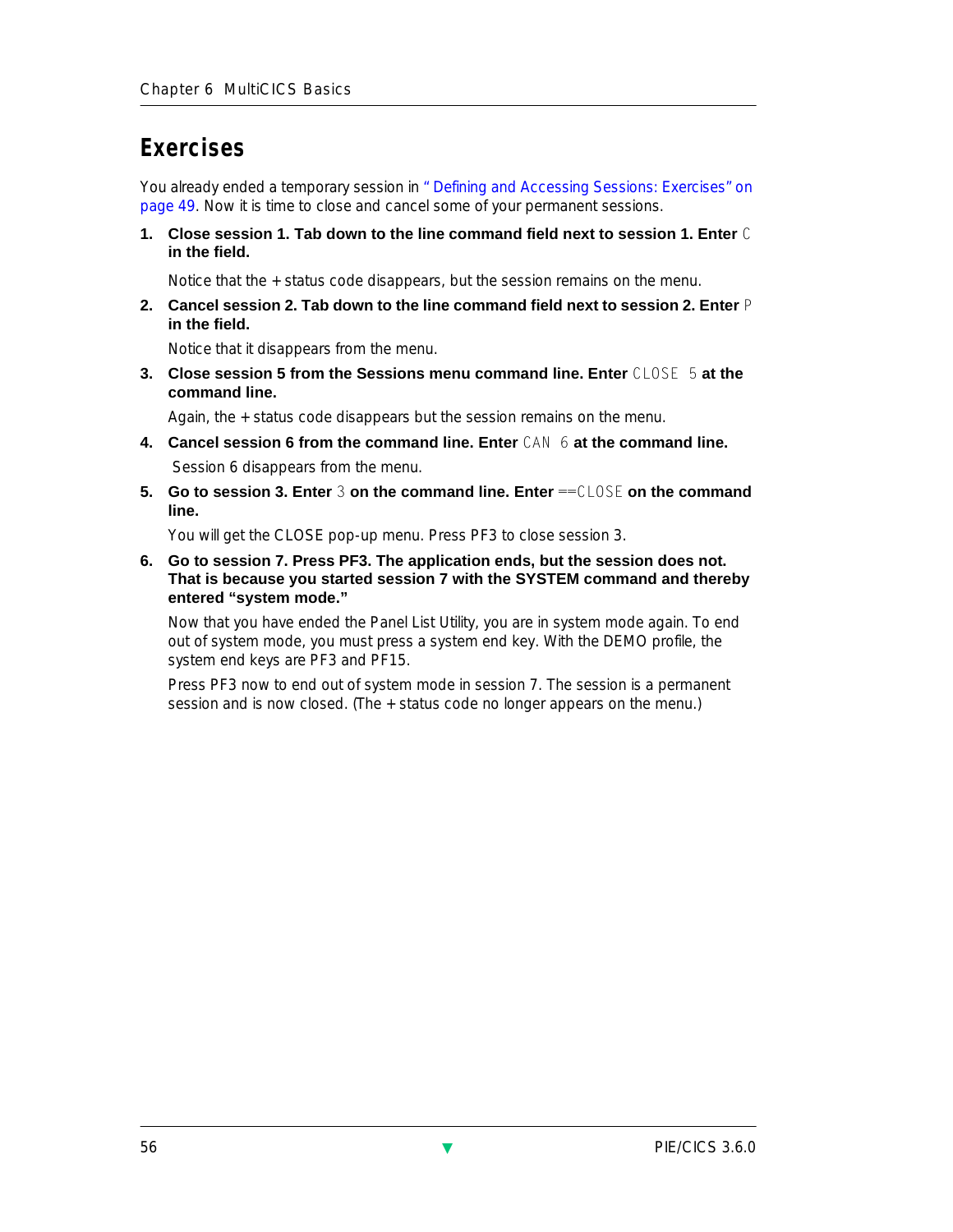## **Exercises**

You already ended a temporary session in " Defining and Accessing Sessions: Exercises" on [page 49.](#page-60-0) Now it is time to close and cancel some of your permanent sessions.

**1. Close session 1. Tab down to the line command field next to session 1. Enter** C **in the field.** 

Notice that the + status code disappears, but the session remains on the menu.

**2. Cancel session 2. Tab down to the line command field next to session 2. Enter** P **in the field.** 

Notice that it disappears from the menu.

**3. Close session 5 from the Sessions menu command line. Enter** CLOSE 5 **at the command line.** 

Again, the + status code disappears but the session remains on the menu.

- **4. Cancel session 6 from the command line. Enter** CAN 6 **at the command line.** Session 6 disappears from the menu.
- **5. Go to session 3. Enter** 3 **on the command line. Enter** ==CLOSE **on the command line.**

You will get the CLOSE pop-up menu. Press PF3 to close session 3.

**6. Go to session 7. Press PF3. The application ends, but the session does not. That is because you started session 7 with the SYSTEM command and thereby entered "system mode."**

Now that you have ended the Panel List Utility, you are in system mode again. To end out of system mode, you must press a system end key. With the DEMO profile, the system end keys are PF3 and PF15.

Press PF3 now to end out of system mode in session 7. The session is a permanent session and is now closed. (The + status code no longer appears on the menu.)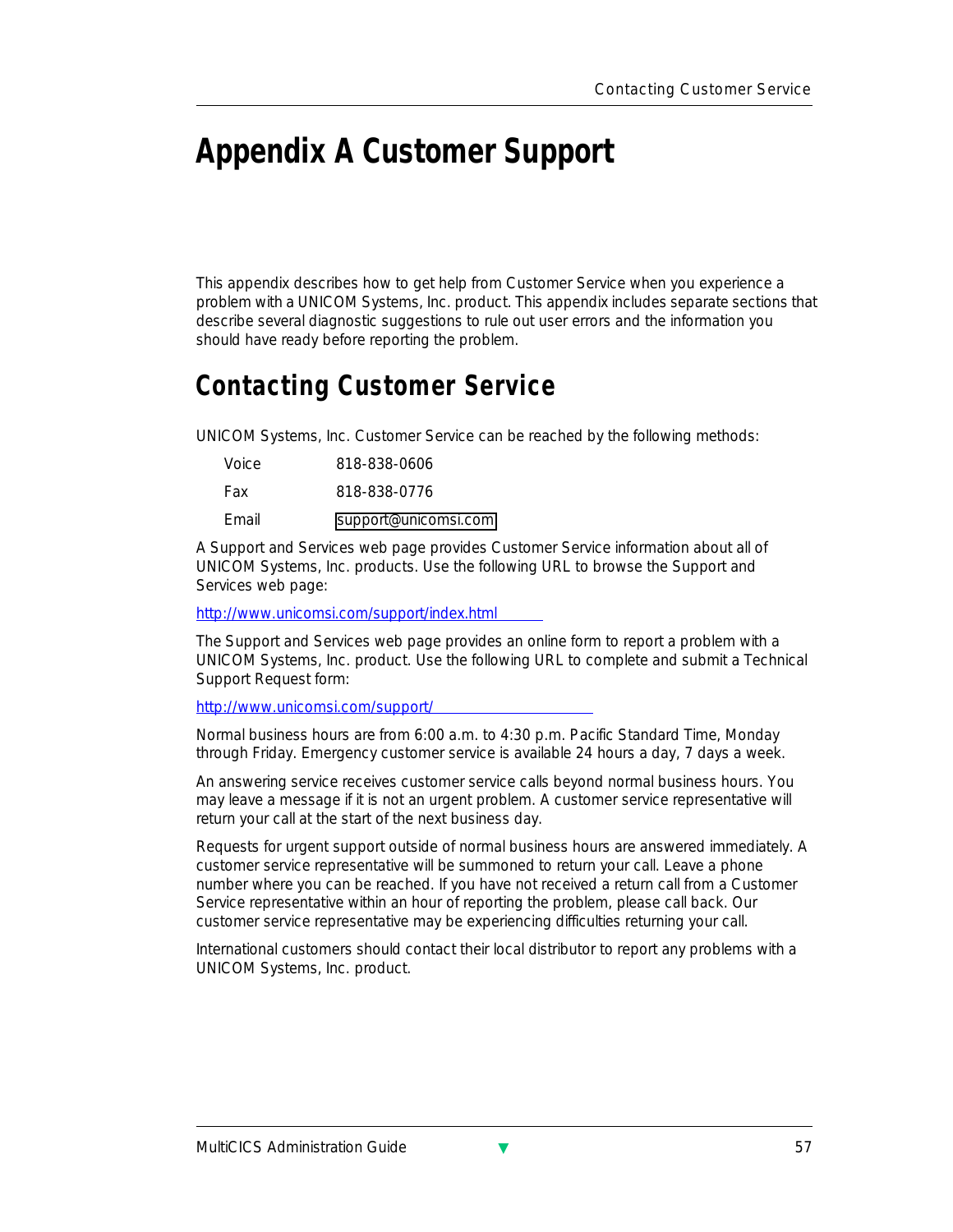# **Appendix A Customer Support**

This appendix describes how to get help from Customer Service when you experience a problem with a UNICOM Systems, Inc. product. This appendix includes separate sections that describe several diagnostic suggestions to rule out user errors and the information you should have ready before reporting the problem.

# **Contacting Customer Service**

UNICOM Systems, Inc. Customer Service can be reached by the following methods:

| Voice | 818-838-0606         |
|-------|----------------------|
| Fax   | 818-838-0776         |
| Fmail | support@unicomsi.com |

A Support and Services web page provides Customer Service information about all of UNICOM Systems, Inc. products. Use the following URL to browse the Support and Services web pa ge:

[http://www.unicomsi.com/support/index.html](http://www.unicomsi.com/support)

The Support and Services web page provides an online form to report a problem with a UNICOM Systems, Inc. product. Use the following URL to complete and submit a Technical Support Request form:

[http://www.unicomsi.com/support/](http://www.technologic.com/support/support_request.html)

Normal business hours are from 6:00 a.m. to 4:30 p.m. Pacific Standard Time, Monday through Friday. Emergency customer service is available 24 hours a day, 7 days a week.

An answering service receives customer service calls beyond normal business hours. You may leave a message if it is not an urgent problem. A customer service representative will return your call at the start of the next business day.

Requests for urgent support outside of normal business hours are answered immediately. A customer service representative will be summoned to return your call. Leave a phone number where you can be reached. If you have not received a return call from a Customer Service representative within an hour of reporting the problem, please call back. Our customer service representative may be experiencing difficulties returning your call.

International customers should contact their local distributor to report any problems with a UNICOM Systems, Inc. product.

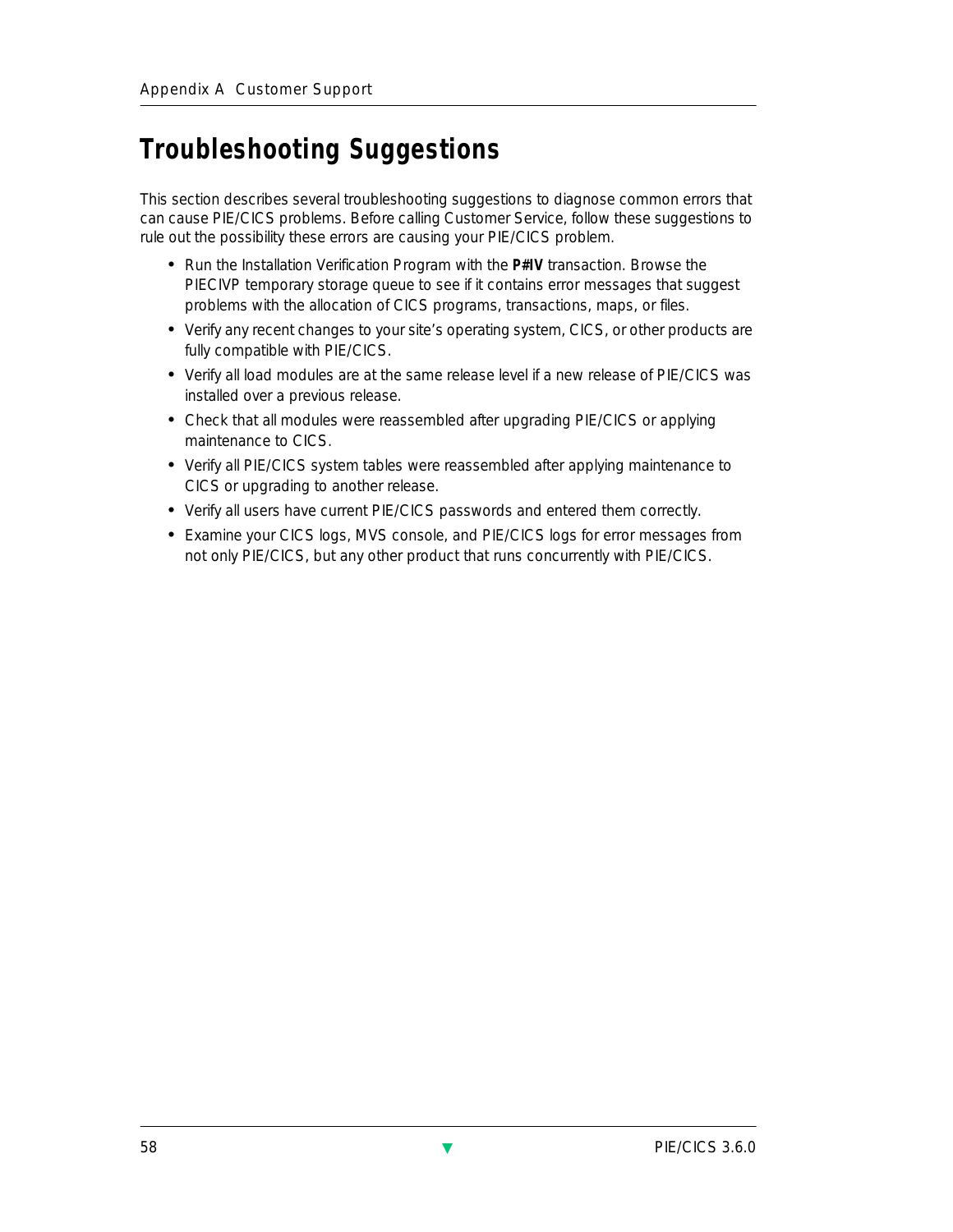# **Troubleshooting Suggestions**

This section describes several troubleshooting suggestions to diagnose common errors that can cause PIE/CICS problems. Before calling Customer Service, follow these suggestions to rule out the possibility these errors are causing your PIE/CICS problem.

- **•** Run the Installation Verification Program with the **P#IV** transaction. Browse the PIECIVP temporary storage queue to see if it contains error messages that suggest problems with the allocation of CICS programs, transactions, maps, or files.
- **•** Verify any recent changes to your site's operating system, CICS, or other products are fully compatible with PIE/CICS.
- **•** Verify all load modules are at the same release level if a new release of PIE/CICS was installed over a previous release.
- **•** Check that all modules were reassembled after upgrading PIE/CICS or applying maintenance to CICS.
- **•** Verify all PIE/CICS system tables were reassembled after applying maintenance to CICS or upgrading to another release.
- **•** Verify all users have current PIE/CICS passwords and entered them correctly.
- **•** Examine your CICS logs, MVS console, and PIE/CICS logs for error messages from not only PIE/CICS, but any other product that runs concurrently with PIE/CICS.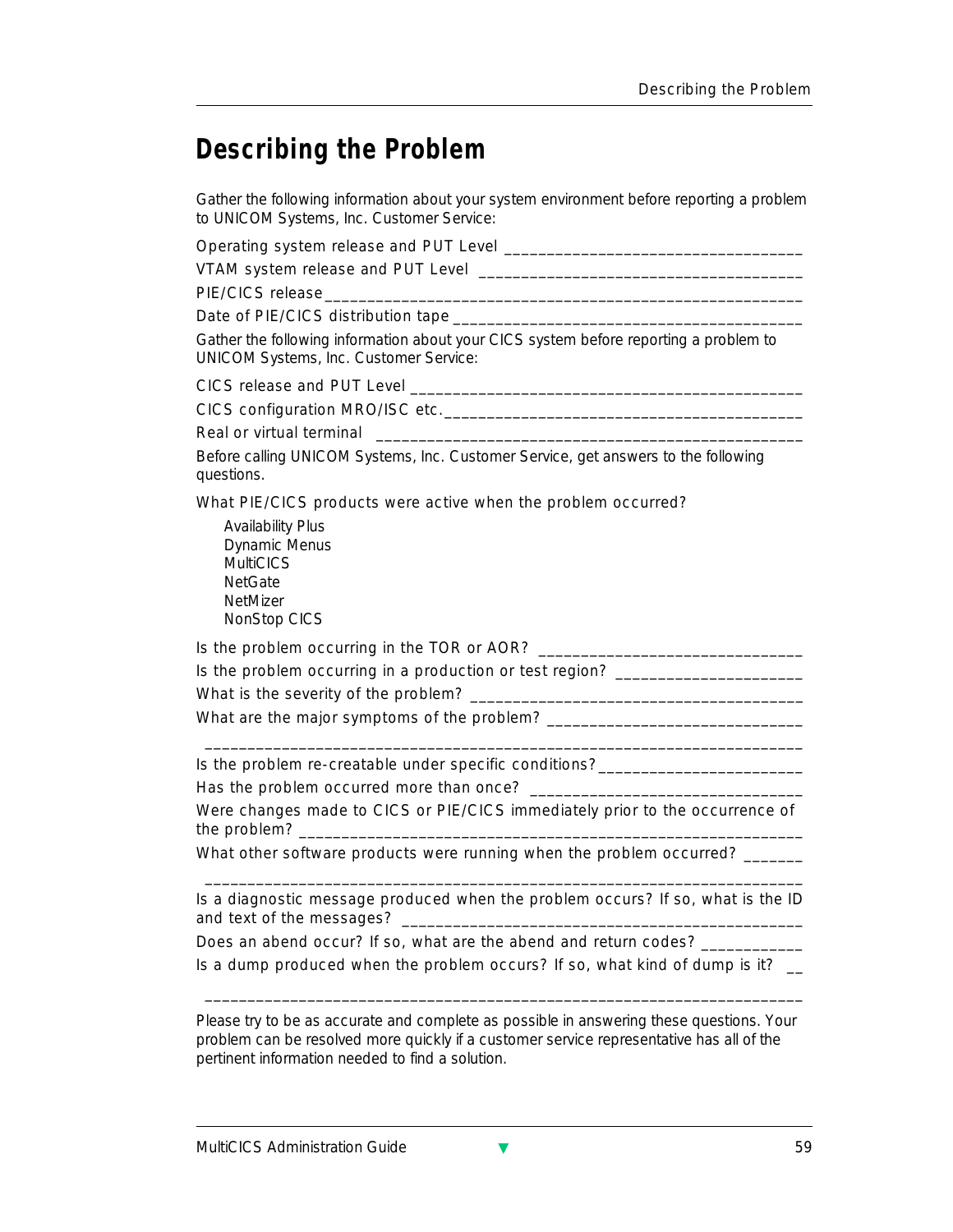# **Describing the Problem**

Gather the following information about your system environment before reporting a problem to UNICOM Systems, Inc. Customer Service:

| Gather the following information about your CICS system before reporting a problem to<br><b>UNICOM Systems, Inc. Customer Service:</b>                                       |
|------------------------------------------------------------------------------------------------------------------------------------------------------------------------------|
|                                                                                                                                                                              |
|                                                                                                                                                                              |
|                                                                                                                                                                              |
| Before calling UNICOM Systems, Inc. Customer Service, get answers to the following<br>questions.                                                                             |
| What PIE/CICS products were active when the problem occurred?<br>Availability Plus<br><b>Dynamic Menus</b><br><b>MultiCICS</b><br><b>NetGate</b><br>NetMizer<br>NonStop CICS |
|                                                                                                                                                                              |
| Is the problem occurring in a production or test region? ______________________                                                                                              |
|                                                                                                                                                                              |
|                                                                                                                                                                              |
| ____________________________<br>Is the problem re-creatable under specific conditions?_________________________                                                              |
|                                                                                                                                                                              |
| Were changes made to CICS or PIE/CICS immediately prior to the occurrence of                                                                                                 |
| What other software products were running when the problem occurred? _______                                                                                                 |
| Is a diagnostic message produced when the problem occurs? If so, what is the ID                                                                                              |
| Does an abend occur? If so, what are the abend and return codes? ___________                                                                                                 |
| Is a dump produced when the problem occurs? If so, what kind of dump is it? __                                                                                               |
| Please try to be as accurate and complete as possible in answering these questions. Your                                                                                     |

problem can be resolved more quickly if a customer service representative has all of the pertinent information needed to find a solution.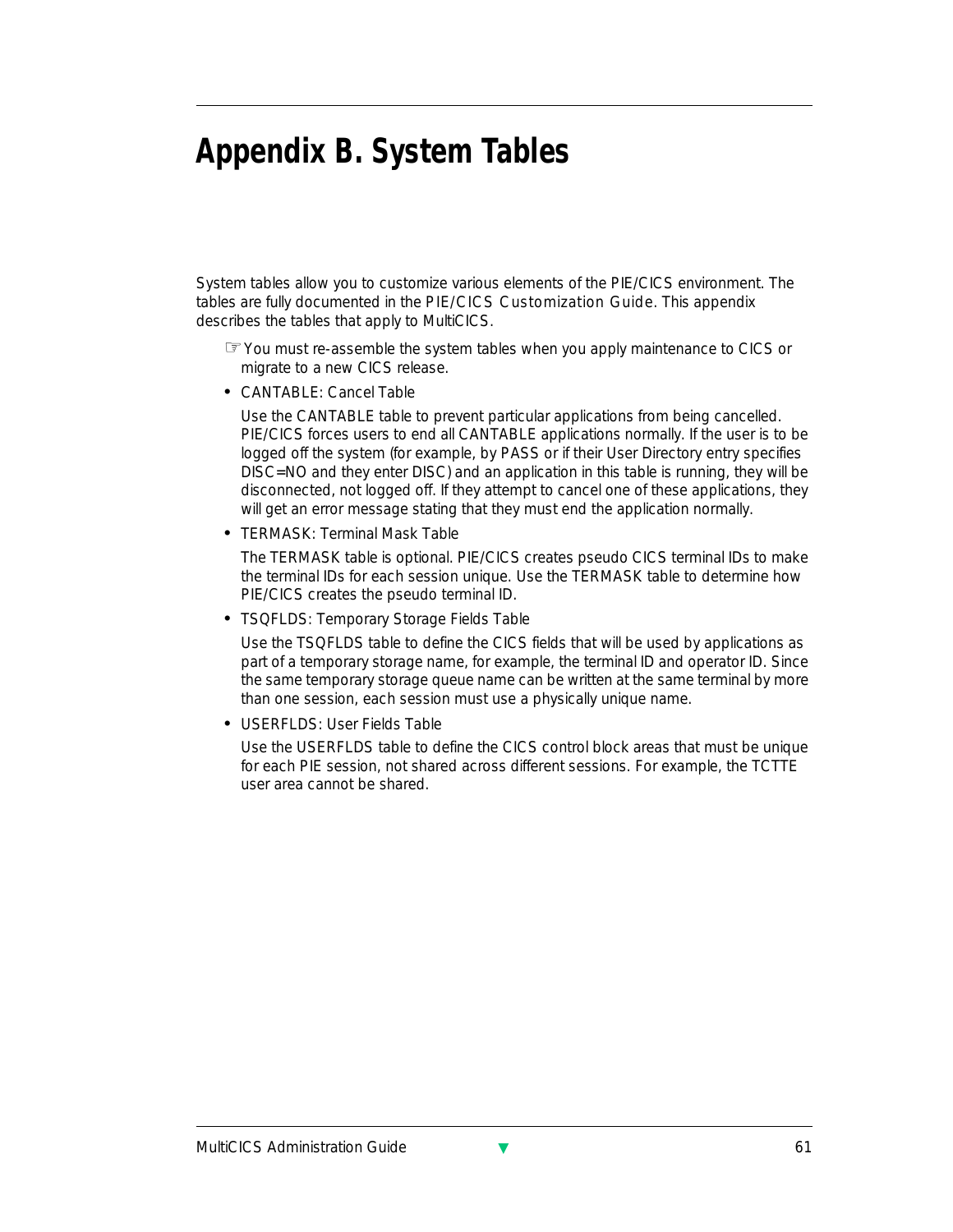# <span id="page-72-2"></span>**Appendix B. System Tables**

System tables allow you to customize various elements of the PIE/CICS environment. The tables are fully documented in the *PIE/CICS Customization Guide*. This appendix describes the tables that apply to MultiCICS.

- <span id="page-72-0"></span>☞You must re-assemble the system tables when you apply maintenance to CICS or migrate to a new CICS release.
- **•** CANTABLE: Cancel Table

<span id="page-72-1"></span>Use the CANTABLE table to prevent particular applications from being cancelled. PIE/CICS forces users to end all CANTABLE applications normally. If the user is to be logged off the system (for example, by PASS or if their User Directory entry specifies DISC=NO and they enter DISC) and an application in this table is running, they will be disconnected, not logged off. If they attempt to cancel one of these applications, they will get an error message stating that they must end the application normally.

**•** TERMASK: Terminal Mask Table

The TERMASK table is optional. PIE/CICS creates pseudo CICS terminal IDs to make the terminal IDs for each session unique. Use the TERMASK table to determine how PIE/CICS creates the pseudo terminal ID.

**•** TSQFLDS: Temporary Storage Fields Table

Use the TSQFLDS table to define the CICS fields that will be used by applications as part of a temporary storage name, for example, the terminal ID and operator ID. Since the same temporary storage queue name can be written at the same terminal by more than one session, each session must use a physically unique name.

**•** USERFLDS: User Fields Table

Use the USERFLDS table to define the CICS control block areas that must be unique for each PIE session, not shared across different sessions. For example, the TCTTE user area cannot be shared.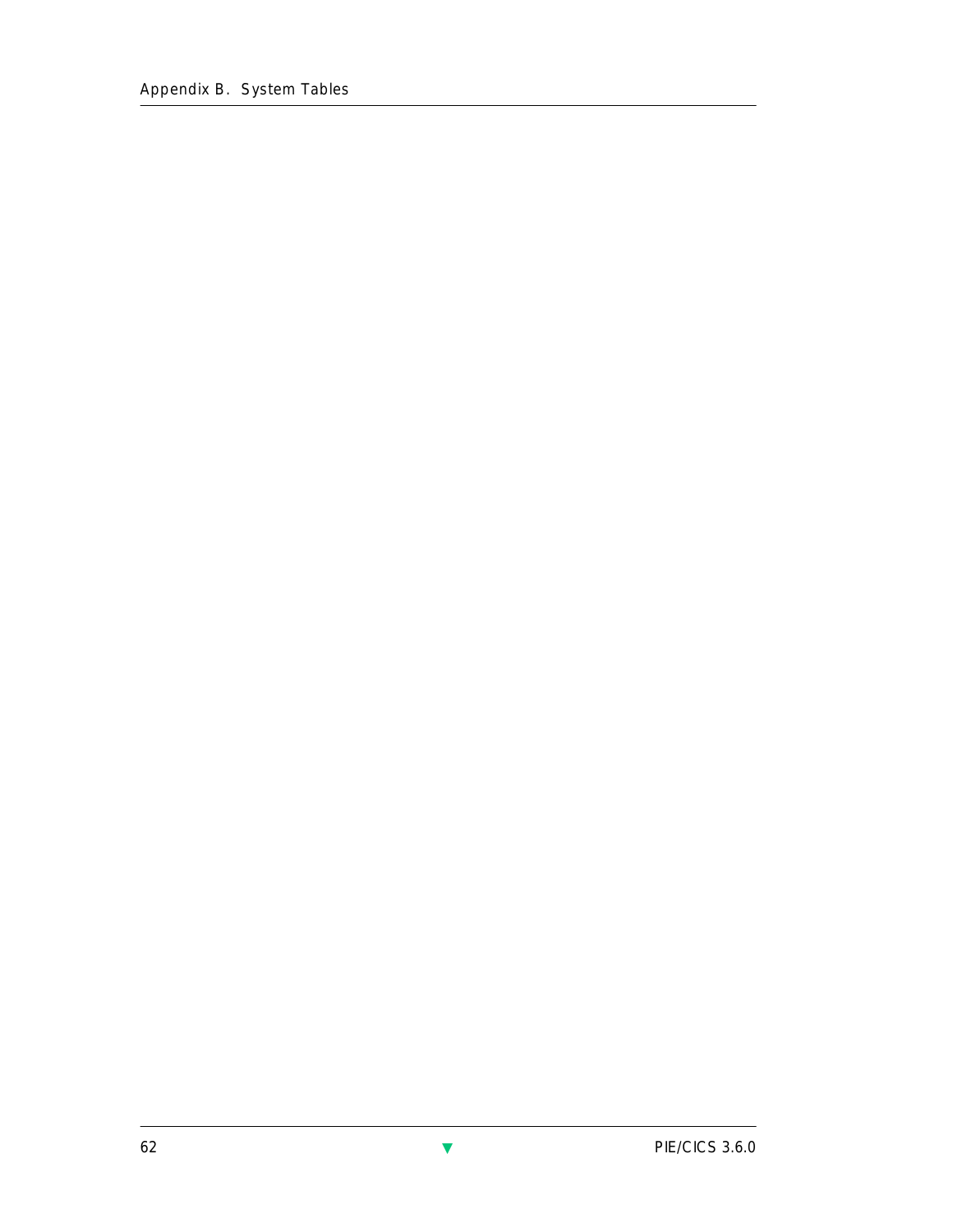62 ▼ PIE/CICS 3.6.0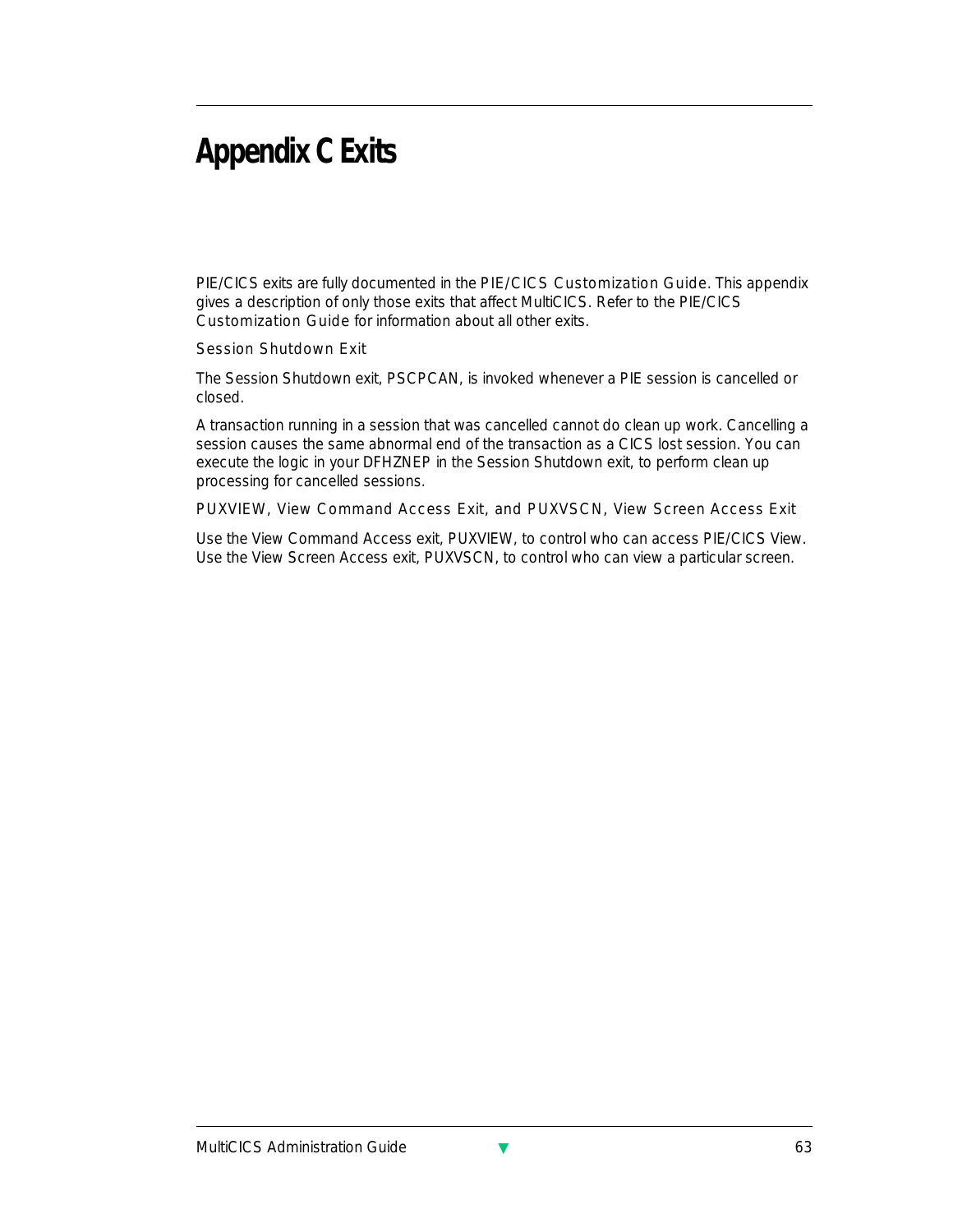# **Appendix C Exits**

PIE/CICS exits are fully documented in the *PIE/CICS Customization Guide*. This appendix gives a description of only those exits that affect MultiCICS. Refer to the *PIE/CICS Customization Guide* for information about all other exits.

<span id="page-74-2"></span><span id="page-74-0"></span>Session Shutdown Exit

The Session Shutdown exit, PSCPCAN, is invoked whenever a PIE session is cancelled or closed.

A transaction running in a session that was cancelled cannot do clean up work. Cancelling a session causes the same abnormal end of the transaction as a CICS lost session. You can execute the logic in your DFHZNEP in the Session Shutdown exit, to perform clean up processing for cancelled sessions.

<span id="page-74-1"></span>PUXVIEW, View Command Access Exit, and PUXVSCN, View Screen Access Exit

Use the View Command Access exit, PUXVIEW, to control who can access PIE/CICS View. Use the View Screen Access exit, PUXVSCN, to control who can view a particular screen.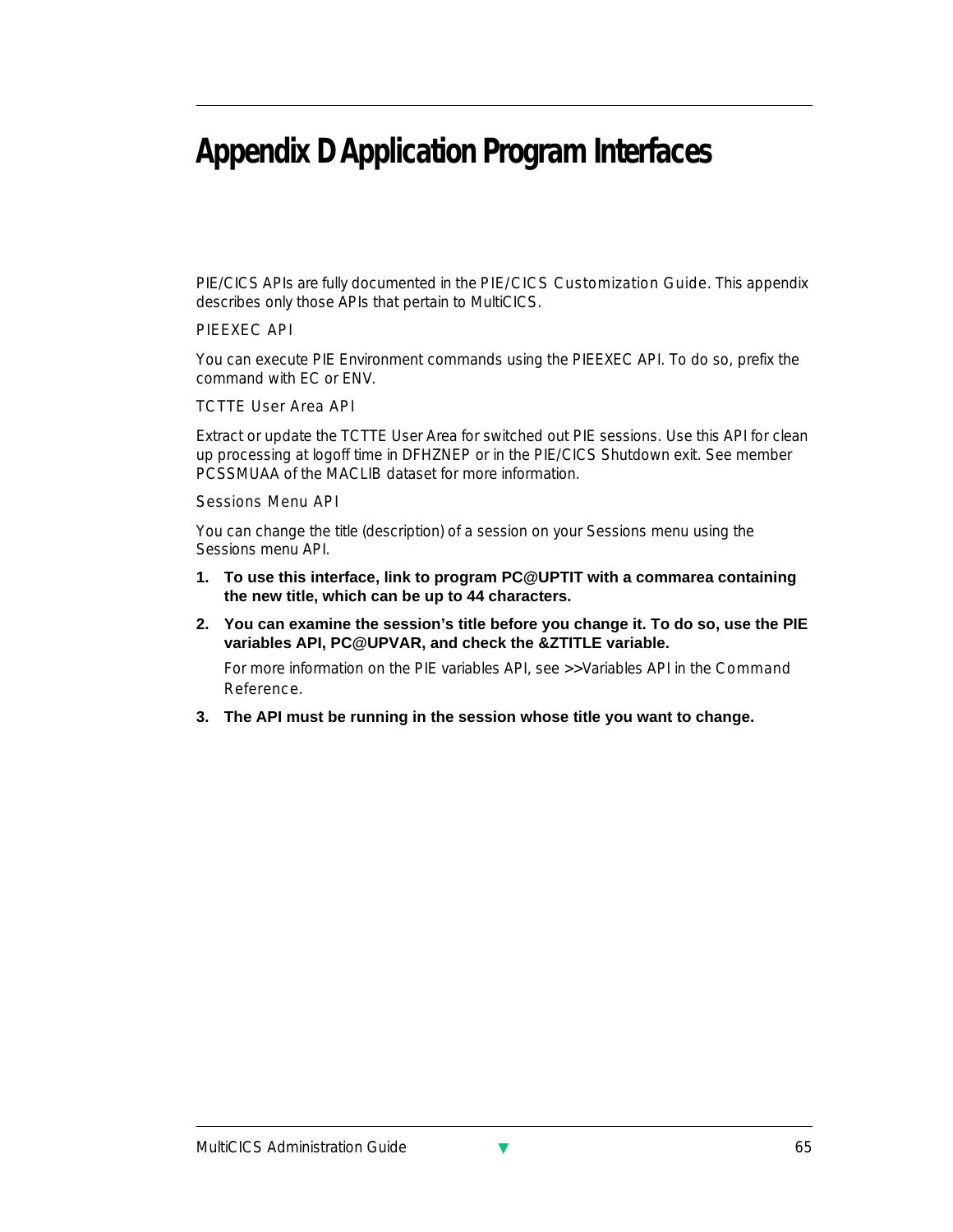# **Appendix D Application Program Interfaces**

PIE/CICS APIs are fully documented in the *PIE/CICS Customization Guide*. This appendix describes only those APIs that pertain to MultiCICS.

<span id="page-76-1"></span><span id="page-76-0"></span>PIEEXEC API

You can execute PIE Environment commands using the PIEEXEC API. To do so, prefix the command with EC or ENV.

TCTTE User Area API

Extract or update the TCTTE User Area for switched out PIE sessions. Use this API for clean up processing at logoff time in DFHZNEP or in the PIE/CICS Shutdown exit. See member PCSSMUAA of the MACLIB dataset for more information.

Sessions Menu API

You can change the title (description) of a session on your Sessions menu using the Sessions menu API.

- **1. To use this interface, link to program PC@UPTIT with a commarea containing the new title, which can be up to 44 characters.**
- **2. You can examine the session's title before you change it. To do so, use the PIE variables API, PC@UPVAR, and check the &ZTITLE variable.**

For more information on the PIE variables API, see >>Variables API in the *Command Reference.*

**3. The API must be running in the session whose title you want to change.**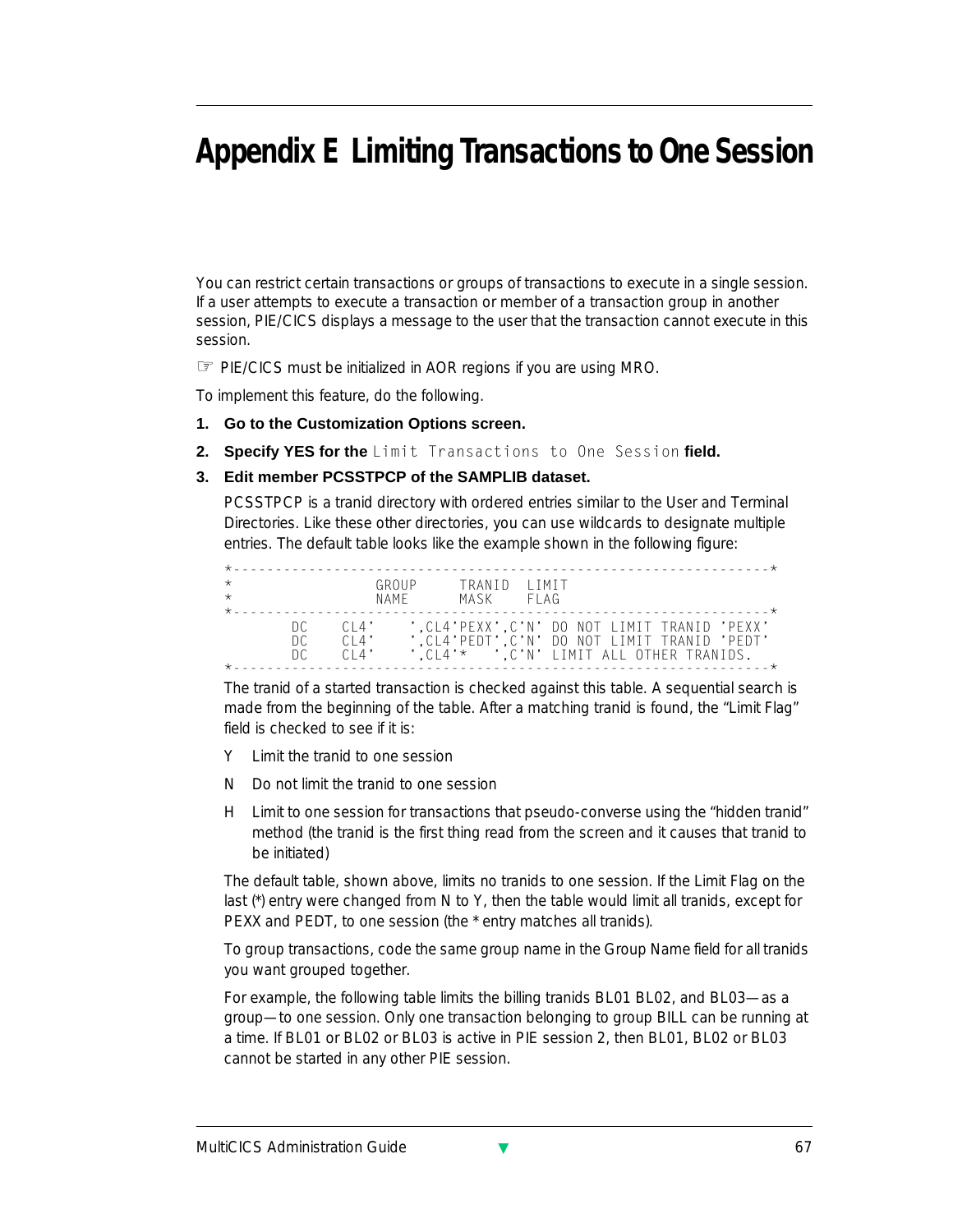# **Appendix E Limiting Transactions to One Session**

<span id="page-78-0"></span>You can restrict certain transactions or groups of transactions to execute in a single session. If a user attempts to execute a transaction or member of a transaction group in another session, PIE/CICS displays a message to the user that the transaction cannot execute in this session.

☞ PIE/CICS must be initialized in AOR regions if you are using MRO.

To implement this feature, do the following.

- **1. Go to the Customization Options screen.**
- **2. Specify YES for the** Limit Transactions to One Session **field.**

#### **3. Edit member PCSSTPCP of the SAMPLIB dataset.**

<span id="page-78-1"></span>PCSSTPCP is a tranid directory with ordered entries similar to the User and Terminal Directories. Like these other directories, you can use wildcards to designate multiple entries. The default table looks like the example shown in the following figure:

| $\star$ |     |     | GROUP | TRANID IMIT                                 |  |  |  |  |  |
|---------|-----|-----|-------|---------------------------------------------|--|--|--|--|--|
| $\star$ |     |     | NAMF  | MASK FIAG                                   |  |  |  |  |  |
|         |     |     |       |                                             |  |  |  |  |  |
|         |     | C14 |       | '.CL4'PEXX'.C'N' DO NOT LIMIT TRANID 'PEXX' |  |  |  |  |  |
|         | DC. | C14 |       | '.CL4'PEDT'.C'N' DO NOT LIMIT TRANID 'PEDT' |  |  |  |  |  |
|         | DC. | C14 |       | '.CL4'* '.C'N' LIMIT ALL OTHER TRANIDS.     |  |  |  |  |  |
|         |     |     |       |                                             |  |  |  |  |  |

The tranid of a started transaction is checked against this table. A sequential search is made from the beginning of the table. After a matching tranid is found, the "Limit Flag" field is checked to see if it is:

- Y Limit the tranid to one session
- N Do not limit the tranid to one session
- H Limit to one session for transactions that pseudo-converse using the "hidden tranid" method (the tranid is the first thing read from the screen and it causes that tranid to be initiated)

The default table, shown above, limits no tranids to one session. If the Limit Flag on the last (\*) entry were changed from N to Y, then the table would limit all tranids, except for PEXX and PEDT, to one session (the  $*$  entry matches all tranids).

To group transactions, code the same group name in the Group Name field for all tranids you want grouped together.

For example, the following table limits the billing tranids BL01 BL02, and BL03—as a group—to one session. Only one transaction belonging to group BILL can be running at a time. If BL01 or BL02 or BL03 is active in PIE session 2, then BL01, BL02 or BL03 cannot be started in any other PIE session.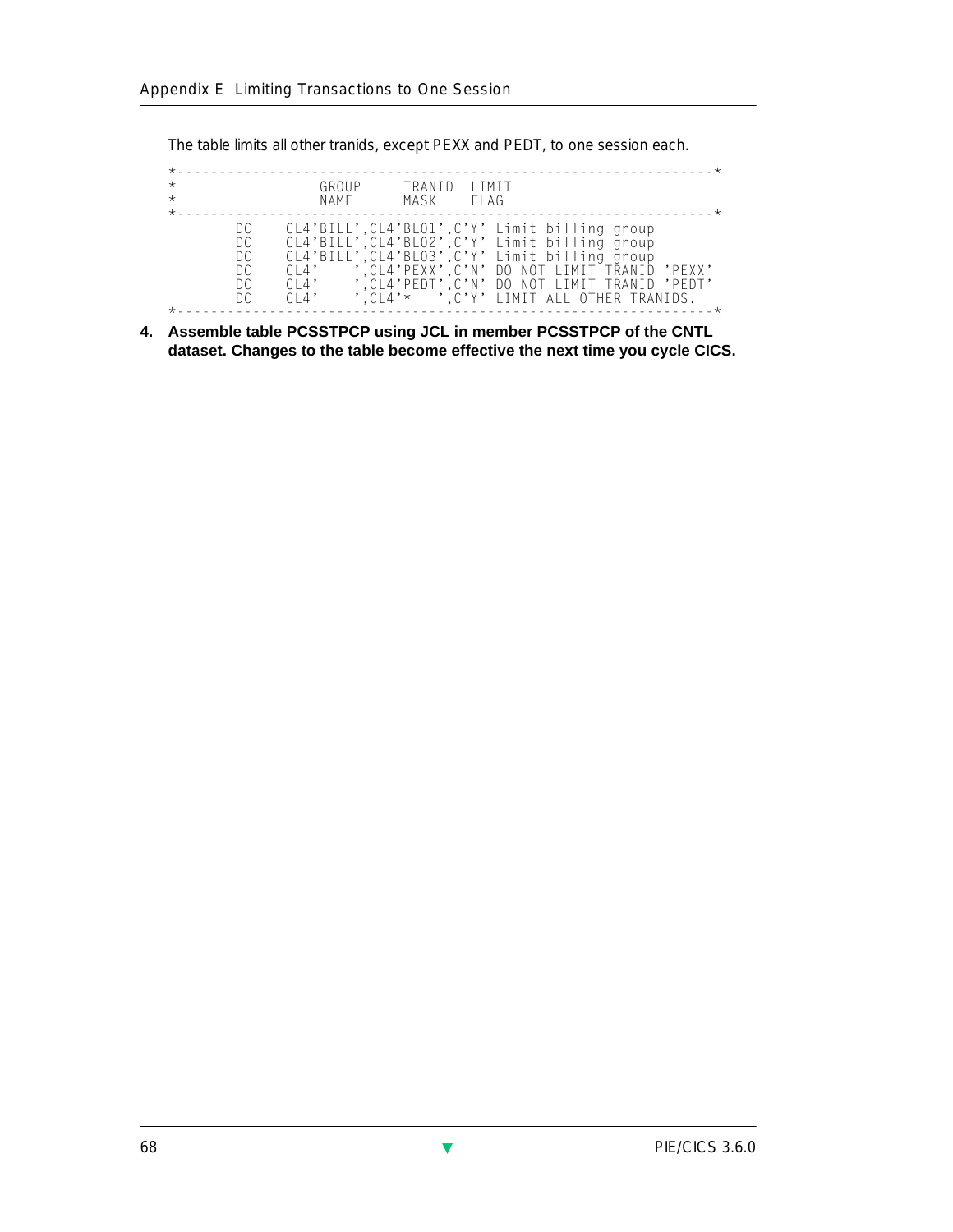The table limits all other tranids, except PEXX and PEDT, to one session each.

<span id="page-79-0"></span>

| $\star$ - |       |                  |                                                  |
|-----------|-------|------------------|--------------------------------------------------|
| $\star$   | GROUP | TRANID<br>I TMTT |                                                  |
| $\star$   | NAMF  | MASK FLAG        |                                                  |
|           |       |                  |                                                  |
| DС        |       |                  | CL4'BILL', CL4'BLO1', C'Y' Limit billing group   |
| DC        |       |                  | CL4'BILL',CL4'BLO2',C'Y' Limit billing group     |
| DC.       |       |                  | CL4'BILL', CL4'BL03', C'Y' Limit billing group   |
| DC.       | C14'  |                  | ',CL4'PEXX',C'N' DO NOT LIMIT TRANID 'PEXX'      |
| DC.       |       |                  | CL4' '.CL4'PEDT'.C'N' DO NOT LIMIT TRANID 'PEDT' |
| DC.       |       |                  | CL4' ',CL4'* ',C'Y' LIMIT ALL OTHER TRANIDS.     |
|           |       |                  |                                                  |

**4. Assemble table PCSSTPCP using JCL in member PCSSTPCP of the CNTL dataset. Changes to the table become effective the next time you cycle CICS.**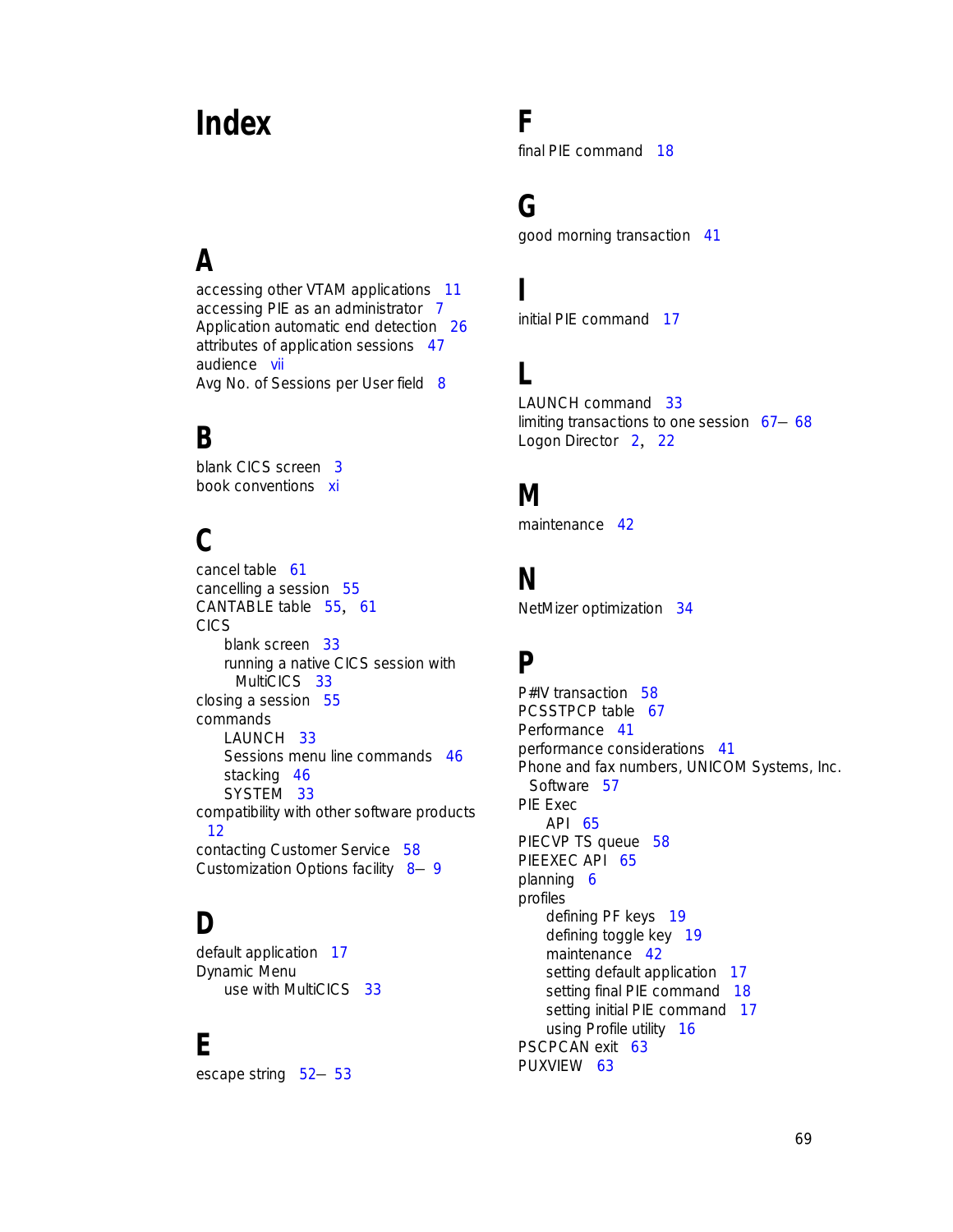# **Index**

# **A**

accessing other VTAM applications [11](#page-22-0) accessing PIE as an administrator [7](#page-18-0) Application automatic end detection [26](#page-37-0) attributes of application sessions [47](#page-58-0) audience [vii](#page-6-0) Avg No. of Sessions per User field [8](#page-19-0)

### **B**

blank CICS screen [3](#page-14-0) book conventions [xi](#page-10-0)

# **C**

cancel table [61](#page-72-0) cancelling a session [55](#page-66-0) CANTABLE table [55](#page-66-1), [61](#page-72-1) CICS blank screen [33](#page-44-0) running a native CICS session with MultiCICS [33](#page-44-1) closing a session [55](#page-66-0) commands LAUNCH [33](#page-44-2) Sessions menu line commands [46](#page-57-0) stacking [46](#page-57-0) SYSTEM [33](#page-44-3) compatibility with other software products [12](#page-23-0) contacting Customer Service [58](#page-69-0) Customization Options facility [8](#page-19-1)– [9](#page-20-0)

### **D**

default application [17](#page-28-0) Dynamic Menu use with MultiCICS [33](#page-44-4)

### **E**

escape string [52](#page-63-0)– [53](#page-64-0)

#### **F**

final PIE command [18](#page-29-0)

#### **G**

good morning transaction [41](#page-52-0)

### **I**

initial PIE command [17](#page-28-1)

# **L**

LAUNCH command [33](#page-44-2) limiting transactions to one session  $67-68$ Logon Director [2](#page-13-0), [22](#page-33-0)

#### **M**

maintenance [42](#page-53-0)

#### **N**

NetMizer optimization [34](#page-45-0)

### **P**

P#IV transaction [58](#page-69-1) PCSSTPCP table [67](#page-78-1) Performance [41](#page-52-1) performance considerations [41](#page-52-2) Phone and fax numbers, UNICOM Systems, Inc. Software [57](#page-68-0) PIE Exec API [65](#page-76-0) PIECVP TS queue [58](#page-69-2) PIEEXEC API [65](#page-76-1) planning [6](#page-17-0) profiles defining PF keys [19](#page-30-0) defining toggle key [19](#page-30-1) maintenance [42](#page-53-1) setting default application [17](#page-28-2) setting final PIE command [18](#page-29-0) setting initial PIE command [17](#page-28-1) using Profile utility [16](#page-27-0) PSCPCAN exit [63](#page-74-0) PUXVIEW [63](#page-74-1)